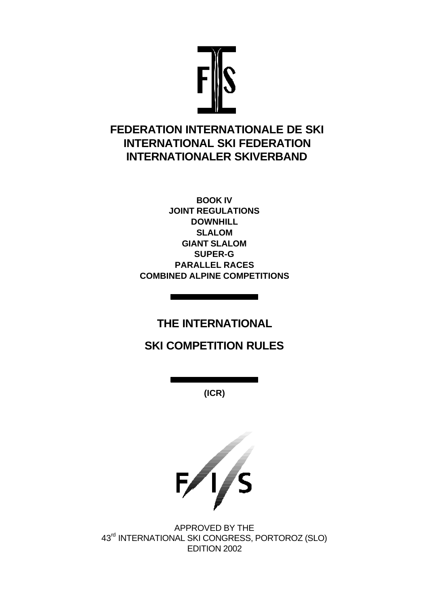

# **FEDERATION INTERNATIONALE DE SKI INTERNATIONAL SKI FEDERATION INTERNATIONALER SKIVERBAND**

**BOOK IV JOINT REGULATIONS DOWNHILL SLALOM GIANT SLALOM SUPER-G PARALLEL RACES COMBINED ALPINE COMPETITIONS**

# **THE INTERNATIONAL**

# **SKI COMPETITION RULES**

**(ICR)**



APPROVED BY THE 43<sup>rd</sup> INTERNATIONAL SKI CONGRESS, PORTOROZ (SLO) EDITION 2002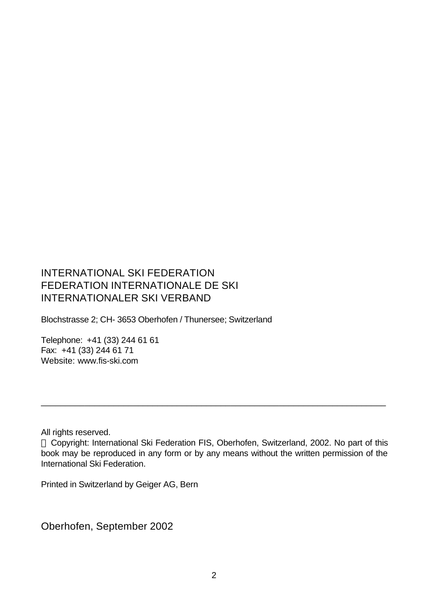## INTERNATIONAL SKI FEDERATION FEDERATION INTERNATIONALE DE SKI INTERNATIONALER SKI VERBAND

Blochstrasse 2; CH- 3653 Oberhofen / Thunersee; Switzerland

Telephone: +41 (33) 244 61 61 Fax: +41 (33) 244 61 71 Website: www.fis-ski.com

All rights reserved.

 Copyright: International Ski Federation FIS, Oberhofen, Switzerland, 2002. No part of this book may be reproduced in any form or by any means without the written permission of the International Ski Federation.

\_\_\_\_\_\_\_\_\_\_\_\_\_\_\_\_\_\_\_\_\_\_\_\_\_\_\_\_\_\_\_\_\_\_\_\_\_\_\_\_\_\_\_\_\_\_\_\_\_\_\_\_\_\_\_\_\_\_\_\_\_\_\_\_\_\_\_\_\_\_\_

Printed in Switzerland by Geiger AG, Bern

Oberhofen, September 2002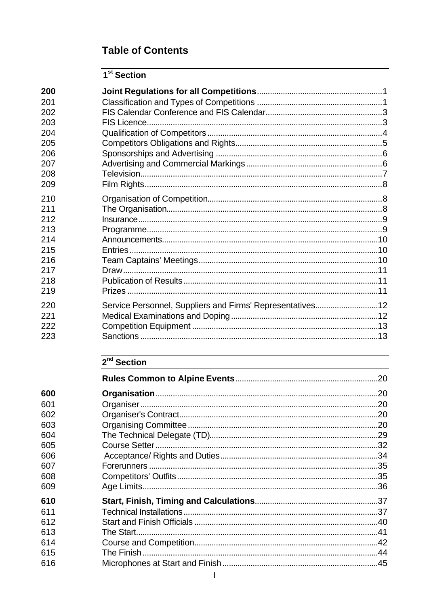## **Table of Contents**

|     | 1 <sup>st</sup> Section                                   |  |
|-----|-----------------------------------------------------------|--|
| 200 |                                                           |  |
| 201 |                                                           |  |
| 202 |                                                           |  |
| 203 |                                                           |  |
| 204 |                                                           |  |
| 205 |                                                           |  |
| 206 |                                                           |  |
| 207 |                                                           |  |
| 208 |                                                           |  |
| 209 |                                                           |  |
| 210 |                                                           |  |
| 211 |                                                           |  |
| 212 |                                                           |  |
| 213 |                                                           |  |
| 214 |                                                           |  |
| 215 |                                                           |  |
| 216 |                                                           |  |
| 217 |                                                           |  |
| 218 |                                                           |  |
| 219 |                                                           |  |
| 220 | Service Personnel, Suppliers and Firms' Representatives12 |  |
| 221 |                                                           |  |
| 222 |                                                           |  |
| 223 |                                                           |  |
|     | 2 <sup>nd</sup> Section                                   |  |

| 600 |  |
|-----|--|
| 601 |  |
| 602 |  |
| 603 |  |
| 604 |  |
| 605 |  |
| 606 |  |
| 607 |  |
| 608 |  |
| 609 |  |
| 610 |  |
| 611 |  |
| 612 |  |
| 613 |  |
| 614 |  |
| 615 |  |
| 616 |  |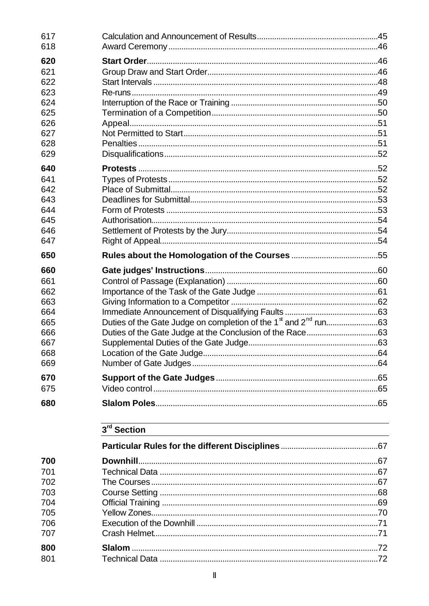| 617 |                                                                                                                                     |  |
|-----|-------------------------------------------------------------------------------------------------------------------------------------|--|
| 618 |                                                                                                                                     |  |
| 620 |                                                                                                                                     |  |
| 621 |                                                                                                                                     |  |
| 622 |                                                                                                                                     |  |
| 623 |                                                                                                                                     |  |
| 624 |                                                                                                                                     |  |
| 625 |                                                                                                                                     |  |
| 626 |                                                                                                                                     |  |
| 627 |                                                                                                                                     |  |
| 628 |                                                                                                                                     |  |
| 629 |                                                                                                                                     |  |
| 640 |                                                                                                                                     |  |
| 641 |                                                                                                                                     |  |
| 642 |                                                                                                                                     |  |
| 643 |                                                                                                                                     |  |
| 644 |                                                                                                                                     |  |
| 645 |                                                                                                                                     |  |
| 646 |                                                                                                                                     |  |
| 647 |                                                                                                                                     |  |
| 650 |                                                                                                                                     |  |
| 660 |                                                                                                                                     |  |
| 661 |                                                                                                                                     |  |
| 662 |                                                                                                                                     |  |
| 663 |                                                                                                                                     |  |
| 664 |                                                                                                                                     |  |
| 665 |                                                                                                                                     |  |
| 666 |                                                                                                                                     |  |
| 667 |                                                                                                                                     |  |
| 668 | Location of the Gate Judge.                                                                                                         |  |
| 669 |                                                                                                                                     |  |
| 670 |                                                                                                                                     |  |
| 675 |                                                                                                                                     |  |
| 680 |                                                                                                                                     |  |
|     | <u> 1989 - Johann Barbara, martin amerikan perang perang pada tahun 1989. Bagi berakhirnya dalam pengaran perang</u><br>3rd Section |  |
|     |                                                                                                                                     |  |
| 700 | Downhill.                                                                                                                           |  |
| 701 |                                                                                                                                     |  |
| 702 |                                                                                                                                     |  |
| 703 |                                                                                                                                     |  |
| 704 |                                                                                                                                     |  |
| 705 |                                                                                                                                     |  |
| 706 |                                                                                                                                     |  |
| 707 |                                                                                                                                     |  |
| 800 |                                                                                                                                     |  |

801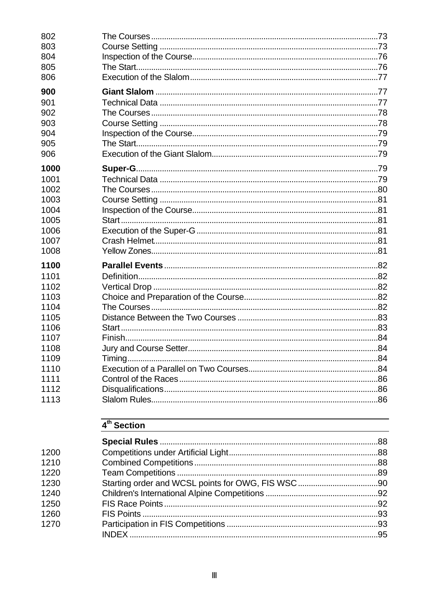| 802  |  |
|------|--|
| 803  |  |
| 804  |  |
| 805  |  |
| 806  |  |
| 900  |  |
| 901  |  |
| 902  |  |
| 903  |  |
| 904  |  |
| 905  |  |
| 906  |  |
| 1000 |  |
| 1001 |  |
| 1002 |  |
| 1003 |  |
| 1004 |  |
| 1005 |  |
| 1006 |  |
| 1007 |  |
| 1008 |  |
| 1100 |  |
| 1101 |  |
| 1102 |  |
| 1103 |  |
| 1104 |  |
| 1105 |  |
| 1106 |  |
| 1107 |  |
| 1108 |  |
| 1109 |  |
| 1110 |  |
| 1111 |  |
| 1112 |  |
| 1113 |  |
|      |  |

# $4<sup>th</sup>$  Section

| 1200 |  |
|------|--|
| 1210 |  |
| 1220 |  |
| 1230 |  |
| 1240 |  |
| 1250 |  |
| 1260 |  |
| 1270 |  |
|      |  |
|      |  |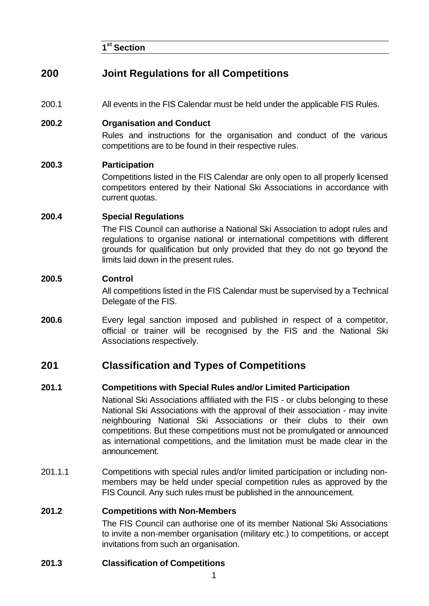```
1
st Section
```
## **200 Joint Regulations for all Competitions**

200.1 All events in the FIS Calendar must be held under the applicable FIS Rules.

#### **200.2 Organisation and Conduct**

Rules and instructions for the organisation and conduct of the various competitions are to be found in their respective rules.

#### **200.3 Participation**

Competitions listed in the FIS Calendar are only open to all properly licensed competitors entered by their National Ski Associations in accordance with current quotas.

#### **200.4 Special Regulations**

The FIS Council can authorise a National Ski Association to adopt rules and regulations to organise national or international competitions with different grounds for qualification but only provided that they do not go beyond the limits laid down in the present rules.

#### **200.5 Control**

All competitions listed in the FIS Calendar must be supervised by a Technical Delegate of the FIS.

**200.6** Every legal sanction imposed and published in respect of a competitor, official or trainer will be recognised by the FIS and the National Ski Associations respectively.

## **201 Classification and Types of Competitions**

#### **201.1 Competitions with Special Rules and/or Limited Participation**

National Ski Associations affiliated with the FIS - or clubs belonging to these National Ski Associations with the approval of their association - may invite neighbouring National Ski Associations or their clubs to their own competitions. But these competitions must not be promulgated or announced as international competitions, and the limitation must be made clear in the announcement.

201.1.1 Competitions with special rules and/or limited participation or including nonmembers may be held under special competition rules as approved by the FIS Council. Any such rules must be published in the announcement.

#### **201.2 Competitions with Non-Members**

The FIS Council can authorise one of its member National Ski Associations to invite a non-member organisation (military etc.) to competitions, or accept invitations from such an organisation.

#### **201.3 Classification of Competitions**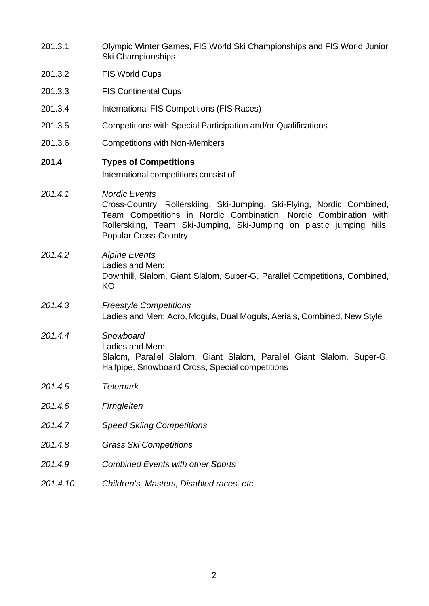| 201.3.1  | Olympic Winter Games, FIS World Ski Championships and FIS World Junior<br><b>Ski Championships</b>                                                                                                                                                                          |
|----------|-----------------------------------------------------------------------------------------------------------------------------------------------------------------------------------------------------------------------------------------------------------------------------|
| 201.3.2  | <b>FIS World Cups</b>                                                                                                                                                                                                                                                       |
| 201.3.3  | <b>FIS Continental Cups</b>                                                                                                                                                                                                                                                 |
| 201.3.4  | International FIS Competitions (FIS Races)                                                                                                                                                                                                                                  |
| 201.3.5  | Competitions with Special Participation and/or Qualifications                                                                                                                                                                                                               |
| 201.3.6  | <b>Competitions with Non-Members</b>                                                                                                                                                                                                                                        |
| 201.4    | <b>Types of Competitions</b><br>International competitions consist of:                                                                                                                                                                                                      |
| 201.4.1  | <b>Nordic Events</b><br>Cross-Country, Rollerskiing, Ski-Jumping, Ski-Flying, Nordic Combined,<br>Team Competitions in Nordic Combination, Nordic Combination with<br>Rollerskiing, Team Ski-Jumping, Ski-Jumping on plastic jumping hills,<br><b>Popular Cross-Country</b> |
| 201.4.2  | <b>Alpine Events</b><br>Ladies and Men:<br>Downhill, Slalom, Giant Slalom, Super-G, Parallel Competitions, Combined,<br>KO                                                                                                                                                  |
| 201.4.3  | <b>Freestyle Competitions</b><br>Ladies and Men: Acro, Moguls, Dual Moguls, Aerials, Combined, New Style                                                                                                                                                                    |
| 201.4.4  | Snowboard<br>Ladies and Men:<br>Slalom, Parallel Slalom, Giant Slalom, Parallel Giant Slalom, Super-G,<br>Halfpipe, Snowboard Cross, Special competitions                                                                                                                   |
| 201.4.5  | <b>Telemark</b>                                                                                                                                                                                                                                                             |
| 201.4.6  | Firngleiten                                                                                                                                                                                                                                                                 |
| 201.4.7  | <b>Speed Skiing Competitions</b>                                                                                                                                                                                                                                            |
| 201.4.8  | <b>Grass Ski Competitions</b>                                                                                                                                                                                                                                               |
| 201.4.9  | <b>Combined Events with other Sports</b>                                                                                                                                                                                                                                    |
| 201.4.10 | Children's, Masters, Disabled races, etc.                                                                                                                                                                                                                                   |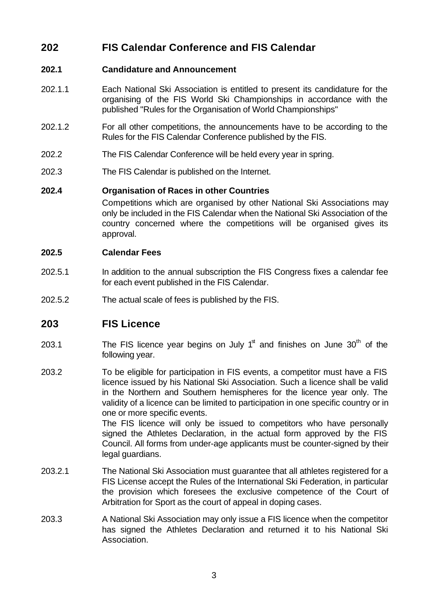## **202 FIS Calendar Conference and FIS Calendar**

#### **202.1 Candidature and Announcement**

- 202.1.1 Each National Ski Association is entitled to present its candidature for the organising of the FIS World Ski Championships in accordance with the published "Rules for the Organisation of World Championships"
- 202.1.2 For all other competitions, the announcements have to be according to the Rules for the FIS Calendar Conference published by the FIS.
- 202.2 The FIS Calendar Conference will be held every year in spring.
- 202.3 The FIS Calendar is published on the Internet.

#### **202.4 Organisation of Races in other Countries**

Competitions which are organised by other National Ski Associations may only be included in the FIS Calendar when the National Ski Association of the country concerned where the competitions will be organised gives its approval.

#### **202.5 Calendar Fees**

- 202.5.1 In addition to the annual subscription the FIS Congress fixes a calendar fee for each event published in the FIS Calendar.
- 202.5.2 The actual scale of fees is published by the FIS.

## **203 FIS Licence**

- 203.1 The FIS licence year begins on July  $1<sup>st</sup>$  and finishes on June  $30<sup>th</sup>$  of the following year.
- 203.2 To be eligible for participation in FIS events, a competitor must have a FIS licence issued by his National Ski Association. Such a licence shall be valid in the Northern and Southern hemispheres for the licence year only. The validity of a licence can be limited to participation in one specific country or in one or more specific events. The FIS licence will only be issued to competitors who have personally

signed the Athletes Declaration, in the actual form approved by the FIS Council. All forms from under-age applicants must be counter-signed by their legal guardians.

- 203.2.1 The National Ski Association must guarantee that all athletes registered for a FIS License accept the Rules of the International Ski Federation, in particular the provision which foresees the exclusive competence of the Court of Arbitration for Sport as the court of appeal in doping cases.
- 203.3 A National Ski Association may only issue a FIS licence when the competitor has signed the Athletes Declaration and returned it to his National Ski Association.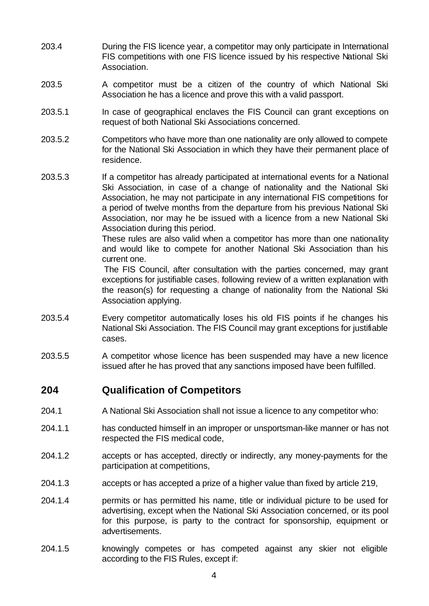- 203.4 During the FIS licence year, a competitor may only participate in International FIS competitions with one FIS licence issued by his respective National Ski Association.
- 203.5 A competitor must be a citizen of the country of which National Ski Association he has a licence and prove this with a valid passport.
- 203.5.1 In case of geographical enclaves the FIS Council can grant exceptions on request of both National Ski Associations concerned.
- 203.5.2 Competitors who have more than one nationality are only allowed to compete for the National Ski Association in which they have their permanent place of residence.
- 203.5.3 If a competitor has already participated at international events for a National Ski Association, in case of a change of nationality and the National Ski Association, he may not participate in any international FIS competitions for a period of twelve months from the departure from his previous National Ski Association, nor may he be issued with a licence from a new National Ski Association during this period.

These rules are also valid when a competitor has more than one nationality and would like to compete for another National Ski Association than his current one.

The FIS Council, after consultation with the parties concerned, may grant exceptions for justifiable cases, following review of a written explanation with the reason(s) for requesting a change of nationality from the National Ski Association applying*.*

- 203.5.4 Every competitor automatically loses his old FIS points if he changes his National Ski Association. The FIS Council may grant exceptions for justifiable cases.
- 203.5.5 A competitor whose licence has been suspended may have a new licence issued after he has proved that any sanctions imposed have been fulfilled.

## **204 Qualification of Competitors**

- 204.1 A National Ski Association shall not issue a licence to any competitor who:
- 204.1.1 has conducted himself in an improper or unsportsman-like manner or has not respected the FIS medical code,
- 204.1.2 accepts or has accepted, directly or indirectly, any money-payments for the participation at competitions,
- 204.1.3 accepts or has accepted a prize of a higher value than fixed by article 219,
- 204.1.4 permits or has permitted his name, title or individual picture to be used for advertising, except when the National Ski Association concerned, or its pool for this purpose, is party to the contract for sponsorship, equipment or advertisements.
- 204.1.5 knowingly competes or has competed against any skier not eligible according to the FIS Rules, except if: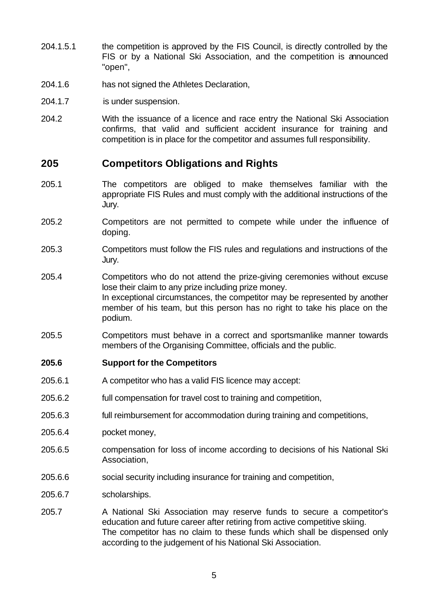- 204.1.5.1 the competition is approved by the FIS Council, is directly controlled by the FIS or by a National Ski Association, and the competition is announced "open",
- 204.1.6 has not signed the Athletes Declaration,
- 204.1.7 is under suspension.
- 204.2 With the issuance of a licence and race entry the National Ski Association confirms, that valid and sufficient accident insurance for training and competition is in place for the competitor and assumes full responsibility.

## **205 Competitors Obligations and Rights**

- 205.1 The competitors are obliged to make themselves familiar with the appropriate FIS Rules and must comply with the additional instructions of the Jury.
- 205.2 Competitors are not permitted to compete while under the influence of doping.
- 205.3 Competitors must follow the FIS rules and regulations and instructions of the Jury.
- 205.4 Competitors who do not attend the prize-giving ceremonies without excuse lose their claim to any prize including prize money. In exceptional circumstances, the competitor may be represented by another member of his team, but this person has no right to take his place on the podium.
- 205.5 Competitors must behave in a correct and sportsmanlike manner towards members of the Organising Committee, officials and the public.

#### **205.6 Support for the Competitors**

- 205.6.1 A competitor who has a valid FIS licence may accept:
- 205.6.2 full compensation for travel cost to training and competition,
- 205.6.3 full reimbursement for accommodation during training and competitions,
- 205.6.4 pocket money,
- 205.6.5 compensation for loss of income according to decisions of his National Ski Association,
- 205.6.6 social security including insurance for training and competition,
- 205.6.7 scholarships.
- 205.7 A National Ski Association may reserve funds to secure a competitor's education and future career after retiring from active competitive skiing. The competitor has no claim to these funds which shall be dispensed only according to the judgement of his National Ski Association.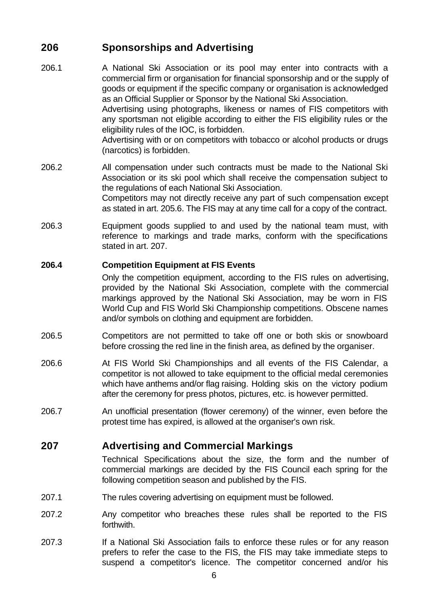## **206 Sponsorships and Advertising**

- 206.1 A National Ski Association or its pool may enter into contracts with a commercial firm or organisation for financial sponsorship and or the supply of goods or equipment if the specific company or organisation is acknowledged as an Official Supplier or Sponsor by the National Ski Association. Advertising using photographs, likeness or names of FIS competitors with any sportsman not eligible according to either the FIS eligibility rules or the eligibility rules of the IOC, is forbidden. Advertising with or on competitors with tobacco or alcohol products or drugs (narcotics) is forbidden.
- 206.2 All compensation under such contracts must be made to the National Ski Association or its ski pool which shall receive the compensation subject to the regulations of each National Ski Association. Competitors may not directly receive any part of such compensation except as stated in art. 205.6. The FIS may at any time call for a copy of the contract.
- 206.3 Equipment goods supplied to and used by the national team must, with reference to markings and trade marks, conform with the specifications stated in art. 207.

#### **206.4 Competition Equipment at FIS Events**

Only the competition equipment, according to the FIS rules on advertising, provided by the National Ski Association, complete with the commercial markings approved by the National Ski Association, may be worn in FIS World Cup and FIS World Ski Championship competitions. Obscene names and/or symbols on clothing and equipment are forbidden.

- 206.5 Competitors are not permitted to take off one or both skis or snowboard before crossing the red line in the finish area, as defined by the organiser.
- 206.6 At FIS World Ski Championships and all events of the FIS Calendar, a competitor is not allowed to take equipment to the official medal ceremonies which have anthems and/or flag raising. Holding skis on the victory podium after the ceremony for press photos, pictures, etc. is however permitted.
- 206.7 An unofficial presentation (flower ceremony) of the winner, even before the protest time has expired, is allowed at the organiser's own risk.

## **207 Advertising and Commercial Markings**

Technical Specifications about the size, the form and the number of commercial markings are decided by the FIS Council each spring for the following competition season and published by the FIS.

- 207.1 The rules covering advertising on equipment must be followed.
- 207.2 Any competitor who breaches these rules shall be reported to the FIS forthwith.
- 207.3 If a National Ski Association fails to enforce these rules or for any reason prefers to refer the case to the FIS, the FIS may take immediate steps to suspend a competitor's licence. The competitor concerned and/or his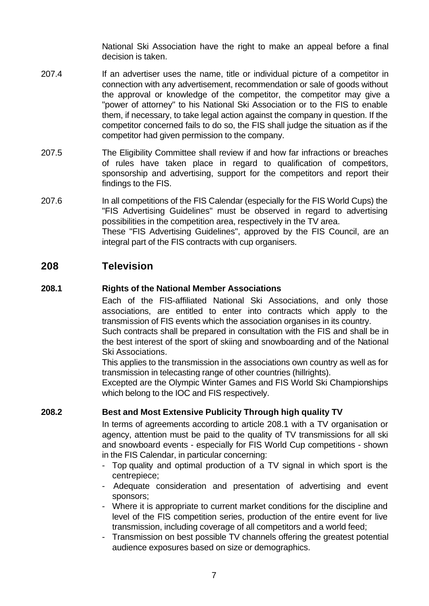National Ski Association have the right to make an appeal before a final decision is taken.

- 207.4 If an advertiser uses the name, title or individual picture of a competitor in connection with any advertisement, recommendation or sale of goods without the approval or knowledge of the competitor, the competitor may give a "power of attorney" to his National Ski Association or to the FIS to enable them, if necessary, to take legal action against the company in question. If the competitor concerned fails to do so, the FIS shall judge the situation as if the competitor had given permission to the company.
- 207.5 The Eligibility Committee shall review if and how far infractions or breaches of rules have taken place in regard to qualification of competitors, sponsorship and advertising, support for the competitors and report their findings to the FIS.
- 207.6 In all competitions of the FIS Calendar (especially for the FIS World Cups) the "FIS Advertising Guidelines" must be observed in regard to advertising possibilities in the competition area, respectively in the TV area. These "FIS Advertising Guidelines", approved by the FIS Council, are an integral part of the FIS contracts with cup organisers.

## **208 Television**

#### **208.1 Rights of the National Member Associations**

Each of the FIS-affiliated National Ski Associations, and only those associations, are entitled to enter into contracts which apply to the transmission of FIS events which the association organises in its country.

Such contracts shall be prepared in consultation with the FIS and shall be in the best interest of the sport of skiing and snowboarding and of the National Ski Associations.

This applies to the transmission in the associations own country as well as for transmission in telecasting range of other countries (hillrights).

Excepted are the Olympic Winter Games and FIS World Ski Championships which belong to the IOC and FIS respectively.

### **208.2 Best and Most Extensive Publicity Through high quality TV**

In terms of agreements according to article 208.1 with a TV organisation or agency, attention must be paid to the quality of TV transmissions for all ski and snowboard events - especially for FIS World Cup competitions - shown in the FIS Calendar, in particular concerning:

- Top quality and optimal production of a TV signal in which sport is the centrepiece;
- Adequate consideration and presentation of advertising and event sponsors;
- Where it is appropriate to current market conditions for the discipline and level of the FIS competition series, production of the entire event for live transmission, including coverage of all competitors and a world feed;
- Transmission on best possible TV channels offering the greatest potential audience exposures based on size or demographics.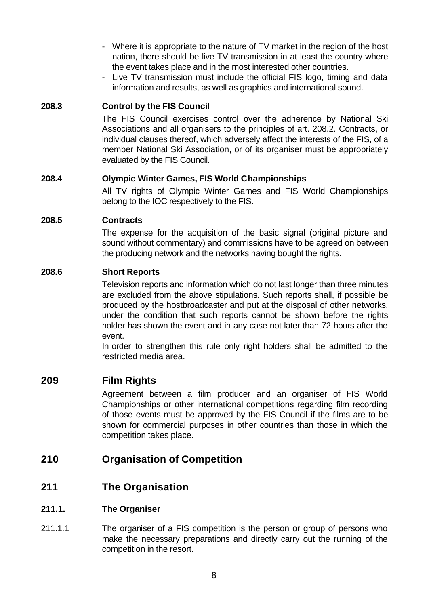- Where it is appropriate to the nature of TV market in the region of the host nation, there should be live TV transmission in at least the country where the event takes place and in the most interested other countries.
- Live TV transmission must include the official FIS logo, timing and data information and results, as well as graphics and international sound.

## **208.3 Control by the FIS Council**

The FIS Council exercises control over the adherence by National Ski Associations and all organisers to the principles of art. 208.2. Contracts, or individual clauses thereof, which adversely affect the interests of the FIS, of a member National Ski Association, or of its organiser must be appropriately evaluated by the FIS Council.

#### **208.4 Olympic Winter Games, FIS World Championships**

All TV rights of Olympic Winter Games and FIS World Championships belong to the IOC respectively to the FIS.

#### **208.5 Contracts**

The expense for the acquisition of the basic signal (original picture and sound without commentary) and commissions have to be agreed on between the producing network and the networks having bought the rights.

#### **208.6 Short Reports**

Television reports and information which do not last longer than three minutes are excluded from the above stipulations. Such reports shall, if possible be produced by the hostbroadcaster and put at the disposal of other networks, under the condition that such reports cannot be shown before the rights holder has shown the event and in any case not later than 72 hours after the event.

In order to strengthen this rule only right holders shall be admitted to the restricted media area.

## **209 Film Rights**

Agreement between a film producer and an organiser of FIS World Championships or other international competitions regarding film recording of those events must be approved by the FIS Council if the films are to be shown for commercial purposes in other countries than those in which the competition takes place.

## **210 Organisation of Competition**

## **211 The Organisation**

#### **211.1. The Organiser**

211.1.1 The organiser of a FIS competition is the person or group of persons who make the necessary preparations and directly carry out the running of the competition in the resort.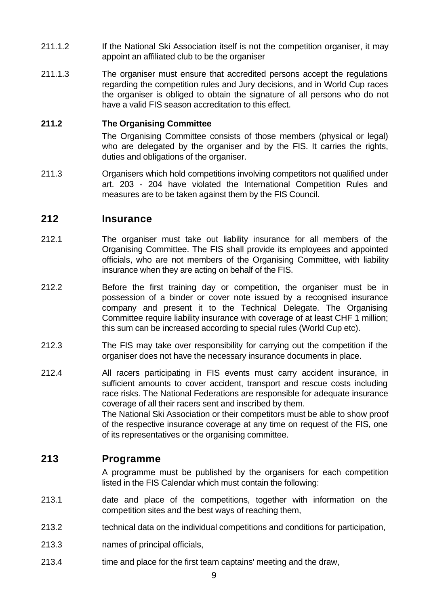- 211.1.2 If the National Ski Association itself is not the competition organiser, it may appoint an affiliated club to be the organiser
- 211.1.3 The organiser must ensure that accredited persons accept the regulations regarding the competition rules and Jury decisions, and in World Cup races the organiser is obliged to obtain the signature of all persons who do not have a valid FIS season accreditation to this effect.

#### **211.2 The Organising Committee**

The Organising Committee consists of those members (physical or legal) who are delegated by the organiser and by the FIS. It carries the rights, duties and obligations of the organiser.

211.3 Organisers which hold competitions involving competitors not qualified under art. 203 - 204 have violated the International Competition Rules and measures are to be taken against them by the FIS Council.

#### **212 Insurance**

- 212.1 The organiser must take out liability insurance for all members of the Organising Committee. The FIS shall provide its employees and appointed officials, who are not members of the Organising Committee, with liability insurance when they are acting on behalf of the FIS.
- 212.2 Before the first training day or competition, the organiser must be in possession of a binder or cover note issued by a recognised insurance company and present it to the Technical Delegate. The Organising Committee require liability insurance with coverage of at least CHF 1 million; this sum can be increased according to special rules (World Cup etc).
- 212.3 The FIS may take over responsibility for carrying out the competition if the organiser does not have the necessary insurance documents in place.
- 212.4 All racers participating in FIS events must carry accident insurance, in sufficient amounts to cover accident, transport and rescue costs including race risks. The National Federations are responsible for adequate insurance coverage of all their racers sent and inscribed by them. The National Ski Association or their competitors must be able to show proof of the respective insurance coverage at any time on request of the FIS, one

of its representatives or the organising committee.

#### **213 Programme**

A programme must be published by the organisers for each competition listed in the FIS Calendar which must contain the following:

- 213.1 date and place of the competitions, together with information on the competition sites and the best ways of reaching them,
- 213.2 technical data on the individual competitions and conditions for participation,
- 213.3 names of principal officials,
- 213.4 time and place for the first team captains' meeting and the draw,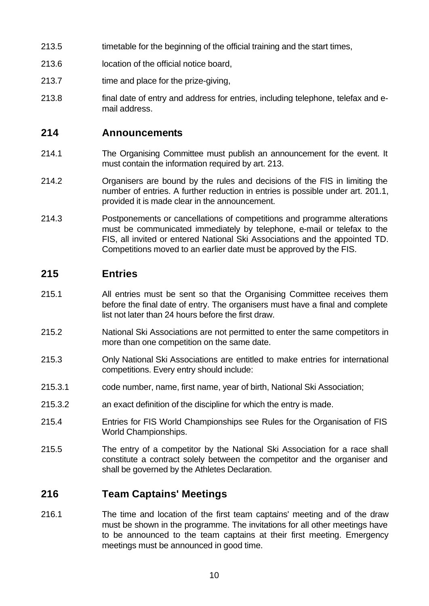- 213.5 timetable for the beginning of the official training and the start times,
- 213.6 location of the official notice board,
- 213.7 time and place for the prize-giving,
- 213.8 final date of entry and address for entries, including telephone, telefax and email address.

## **214 Announcements**

- 214.1 The Organising Committee must publish an announcement for the event. It must contain the information required by art. 213.
- 214.2 Organisers are bound by the rules and decisions of the FIS in limiting the number of entries. A further reduction in entries is possible under art. 201.1, provided it is made clear in the announcement.
- 214.3 Postponements or cancellations of competitions and programme alterations must be communicated immediately by telephone, e-mail or telefax to the FIS, all invited or entered National Ski Associations and the appointed TD. Competitions moved to an earlier date must be approved by the FIS.

## **215 Entries**

- 215.1 All entries must be sent so that the Organising Committee receives them before the final date of entry. The organisers must have a final and complete list not later than 24 hours before the first draw.
- 215.2 National Ski Associations are not permitted to enter the same competitors in more than one competition on the same date.
- 215.3 Only National Ski Associations are entitled to make entries for international competitions. Every entry should include:
- 215.3.1 code number, name, first name, year of birth, National Ski Association;
- 215.3.2 an exact definition of the discipline for which the entry is made.
- 215.4 Entries for FIS World Championships see Rules for the Organisation of FIS World Championships.
- 215.5 The entry of a competitor by the National Ski Association for a race shall constitute a contract solely between the competitor and the organiser and shall be governed by the Athletes Declaration.

## **216 Team Captains' Meetings**

216.1 The time and location of the first team captains' meeting and of the draw must be shown in the programme. The invitations for all other meetings have to be announced to the team captains at their first meeting. Emergency meetings must be announced in good time.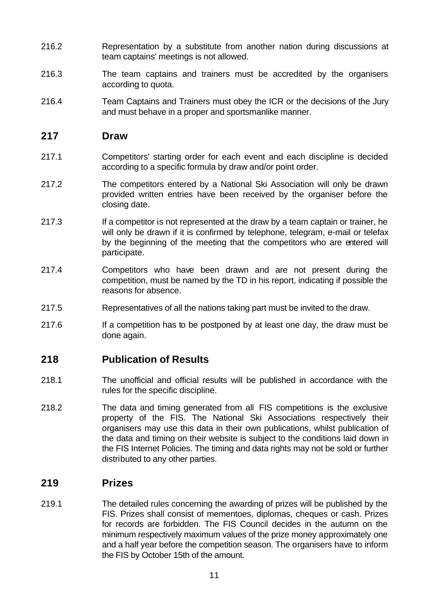- 216.2 Representation by a substitute from another nation during discussions at team captains' meetings is not allowed.
- 216.3 The team captains and trainers must be accredited by the organisers according to quota.
- 216.4 Team Captains and Trainers must obey the ICR or the decisions of the Jury and must behave in a proper and sportsmanlike manner.

### **217 Draw**

- 217.1 Competitors' starting order for each event and each discipline is decided according to a specific formula by draw and/or point order.
- 217.2 The competitors entered by a National Ski Association will only be drawn provided written entries have been received by the organiser before the closing date.
- 217.3 If a competitor is not represented at the draw by a team captain or trainer, he will only be drawn if it is confirmed by telephone, telegram, e-mail or telefax by the beginning of the meeting that the competitors who are entered will participate.
- 217.4 Competitors who have been drawn and are not present during the competition, must be named by the TD in his report, indicating if possible the reasons for absence.
- 217.5 Representatives of all the nations taking part must be invited to the draw.
- 217.6 If a competition has to be postponed by at least one day, the draw must be done again.

## **218 Publication of Results**

- 218.1 The unofficial and official results will be published in accordance with the rules for the specific discipline.
- 218.2 The data and timing generated from all FIS competitions is the exclusive property of the FIS. The National Ski Associations respectively their organisers may use this data in their own publications, whilst publication of the data and timing on their website is subject to the conditions laid down in the FIS Internet Policies. The timing and data rights may not be sold or further distributed to any other parties.

### **219 Prizes**

219.1 The detailed rules concerning the awarding of prizes will be published by the FIS. Prizes shall consist of mementoes, diplomas, cheques or cash. Prizes for records are forbidden. The FIS Council decides in the autumn on the minimum respectively maximum values of the prize money approximately one and a half year before the competition season. The organisers have to inform the FIS by October 15th of the amount.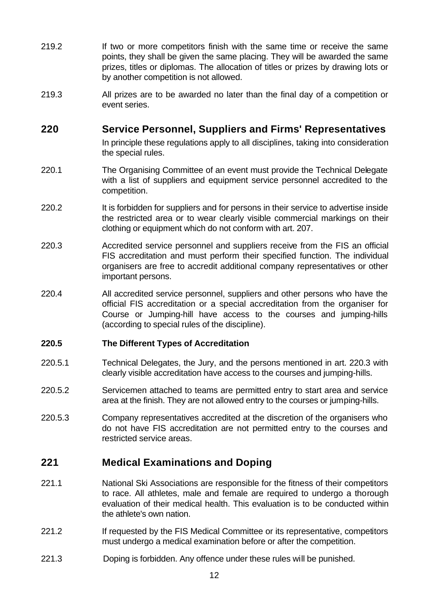- 219.2 If two or more competitors finish with the same time or receive the same points, they shall be given the same placing. They will be awarded the same prizes, titles or diplomas. The allocation of titles or prizes by drawing lots or by another competition is not allowed.
- 219.3 All prizes are to be awarded no later than the final day of a competition or event series.

## **220 Service Personnel, Suppliers and Firms' Representatives**

In principle these regulations apply to all disciplines, taking into consideration the special rules.

- 220.1 The Organising Committee of an event must provide the Technical Delegate with a list of suppliers and equipment service personnel accredited to the competition.
- 220.2 It is forbidden for suppliers and for persons in their service to advertise inside the restricted area or to wear clearly visible commercial markings on their clothing or equipment which do not conform with art. 207.
- 220.3 Accredited service personnel and suppliers receive from the FIS an official FIS accreditation and must perform their specified function. The individual organisers are free to accredit additional company representatives or other important persons.
- 220.4 All accredited service personnel, suppliers and other persons who have the official FIS accreditation or a special accreditation from the organiser for Course or Jumping-hill have access to the courses and jumping-hills (according to special rules of the discipline).

### **220.5 The Different Types of Accreditation**

- 220.5.1 Technical Delegates, the Jury, and the persons mentioned in art. 220.3 with clearly visible accreditation have access to the courses and jumping-hills.
- 220.5.2 Servicemen attached to teams are permitted entry to start area and service area at the finish. They are not allowed entry to the courses or jumping-hills.
- 220.5.3 Company representatives accredited at the discretion of the organisers who do not have FIS accreditation are not permitted entry to the courses and restricted service areas.

## **221 Medical Examinations and Doping**

- 221.1 National Ski Associations are responsible for the fitness of their competitors to race. All athletes, male and female are required to undergo a thorough evaluation of their medical health. This evaluation is to be conducted within the athlete's own nation.
- 221.2 **If requested by the FIS Medical Committee or its representative, competitors** must undergo a medical examination before or after the competition.
- 221.3 Doping is forbidden. Any offence under these rules will be punished.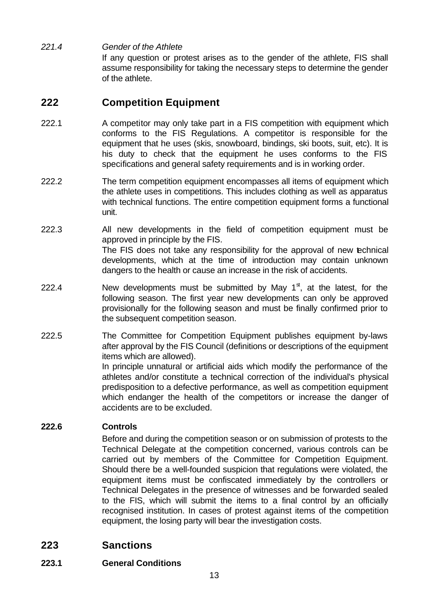*221.4 Gender of the Athlete* If any question or protest arises as to the gender of the athlete, FIS shall assume responsibility for taking the necessary steps to determine the gender of the athlete.

## **222 Competition Equipment**

- 222.1 A competitor may only take part in a FIS competition with equipment which conforms to the FIS Regulations. A competitor is responsible for the equipment that he uses (skis, snowboard, bindings, ski boots, suit, etc). It is his duty to check that the equipment he uses conforms to the FIS specifications and general safety requirements and is in working order.
- 222.2 The term competition equipment encompasses all items of equipment which the athlete uses in competitions. This includes clothing as well as apparatus with technical functions. The entire competition equipment forms a functional unit.
- 222.3 All new developments in the field of competition equipment must be approved in principle by the FIS. The FIS does not take any responsibility for the approval of new technical developments, which at the time of introduction may contain unknown dangers to the health or cause an increase in the risk of accidents.
- 222.4 New developments must be submitted by May  $1<sup>st</sup>$ , at the latest, for the following season. The first year new developments can only be approved provisionally for the following season and must be finally confirmed prior to the subsequent competition season.
- 222.5 The Committee for Competition Equipment publishes equipment by-laws after approval by the FIS Council (definitions or descriptions of the equipment items which are allowed).

In principle unnatural or artificial aids which modify the performance of the athletes and/or constitute a technical correction of the individual's physical predisposition to a defective performance, as well as competition equipment which endanger the health of the competitors or increase the danger of accidents are to be excluded.

### **222.6 Controls**

Before and during the competition season or on submission of protests to the Technical Delegate at the competition concerned, various controls can be carried out by members of the Committee for Competition Equipment. Should there be a well-founded suspicion that regulations were violated, the equipment items must be confiscated immediately by the controllers or Technical Delegates in the presence of witnesses and be forwarded sealed to the FIS, which will submit the items to a final control by an officially recognised institution. In cases of protest against items of the competition equipment, the losing party will bear the investigation costs.

## **223 Sanctions**

### **223.1 General Conditions**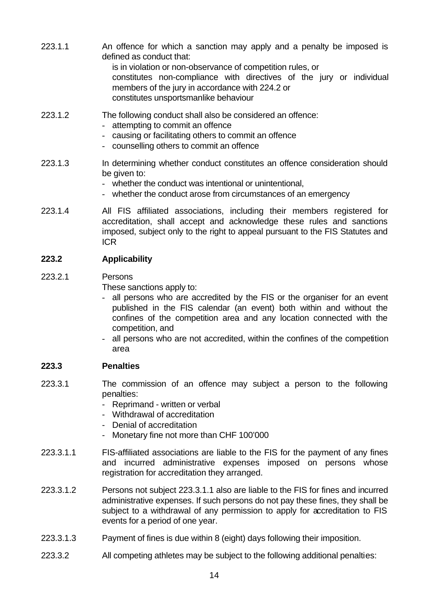- 223.1.1 An offence for which a sanction may apply and a penalty be imposed is defined as conduct that: is in violation or non-observance of competition rules, or constitutes non-compliance with directives of the jury or individual members of the jury in accordance with 224.2 or
	- constitutes unsportsmanlike behaviour
- 223.1.2 The following conduct shall also be considered an offence:
	- attempting to commit an offence
	- causing or facilitating others to commit an offence
	- counselling others to commit an offence
- 223.1.3 In determining whether conduct constitutes an offence consideration should be given to:
	- whether the conduct was intentional or unintentional,
	- whether the conduct arose from circumstances of an emergency
- 223.1.4 All FIS affiliated associations, including their members registered for accreditation, shall accept and acknowledge these rules and sanctions imposed, subject only to the right to appeal pursuant to the FIS Statutes and ICR

#### **223.2 Applicability**

223.2.1 Persons

These sanctions apply to:

- all persons who are accredited by the FIS or the organiser for an event published in the FIS calendar (an event) both within and without the confines of the competition area and any location connected with the competition, and
- all persons who are not accredited, within the confines of the competition area

#### **223.3 Penalties**

- 223.3.1 The commission of an offence may subject a person to the following penalties:
	- Reprimand written or verbal
	- Withdrawal of accreditation
	- Denial of accreditation
	- Monetary fine not more than CHF 100'000
- 223.3.1.1 FIS-affiliated associations are liable to the FIS for the payment of any fines and incurred administrative expenses imposed on persons whose registration for accreditation they arranged.
- 223.3.1.2 Persons not subject 223.3.1.1 also are liable to the FIS for fines and incurred administrative expenses. If such persons do not pay these fines, they shall be subject to a withdrawal of any permission to apply for accreditation to FIS events for a period of one year.
- 223.3.1.3 Payment of fines is due within 8 (eight) days following their imposition.
- 223.3.2 All competing athletes may be subject to the following additional penalties: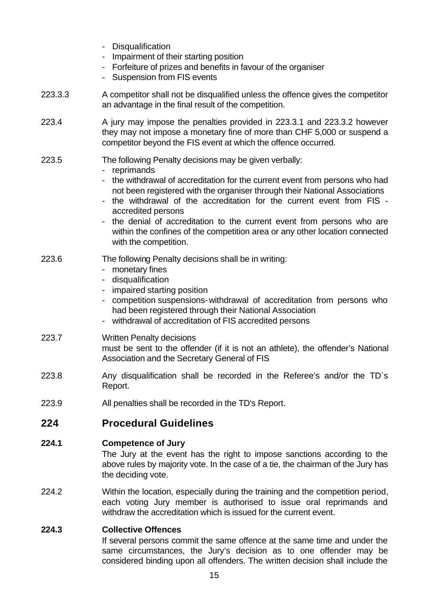- Disqualification - Impairment of their starting position - Forfeiture of prizes and benefits in favour of the organiser - Suspension from FIS events 223.3.3 A competitor shall not be disqualified unless the offence gives the competitor an advantage in the final result of the competition. 223.4 A jury may impose the penalties provided in 223.3.1 and 223.3.2 however they may not impose a monetary fine of more than CHF 5,000 or suspend a competitor beyond the FIS event at which the offence occurred. 223.5 The following Penalty decisions may be given verbally: - reprimands - the withdrawal of accreditation for the current event from persons who had not been registered with the organiser through their National Associations - the withdrawal of the accreditation for the current event from FIS accredited persons - the denial of accreditation to the current event from persons who are within the confines of the competition area or any other location connected with the competition. 223.6 The following Penalty decisions shall be in writing: - monetary fines - disqualification - impaired starting position - competition suspensions-withdrawal of accreditation from persons who had been registered through their National Association - withdrawal of accreditation of FIS accredited persons 223.7 Written Penalty decisions must be sent to the offender (if it is not an athlete), the offender's National Association and the Secretary General of FIS 223.8 Any disqualification shall be recorded in the Referee's and/or the TD`s Report. 223.9 All penalties shall be recorded in the TD's Report. **224 Procedural Guidelines 224.1 Competence of Jury** The Jury at the event has the right to impose sanctions according to the above rules by majority vote. In the case of a tie, the chairman of the Jury has the deciding vote. 224.2 Within the location, especially during the training and the competition period, each voting Jury member is authorised to issue oral reprimands and withdraw the accreditation which is issued for the current event. **224.3 Collective Offences**

If several persons commit the same offence at the same time and under the same circumstances, the Jury's decision as to one offender may be considered binding upon all offenders. The written decision shall include the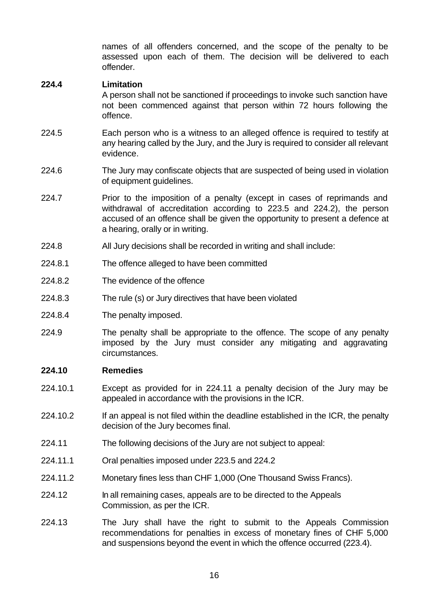names of all offenders concerned, and the scope of the penalty to be assessed upon each of them. The decision will be delivered to each offender.

#### **224.4 Limitation**

A person shall not be sanctioned if proceedings to invoke such sanction have not been commenced against that person within 72 hours following the offence.

- 224.5 Each person who is a witness to an alleged offence is required to testify at any hearing called by the Jury, and the Jury is required to consider all relevant evidence.
- 224.6 The Jury may confiscate objects that are suspected of being used in violation of equipment guidelines.
- 224.7 Prior to the imposition of a penalty (except in cases of reprimands and withdrawal of accreditation according to 223.5 and 224.2), the person accused of an offence shall be given the opportunity to present a defence at a hearing, orally or in writing.
- 224.8 All Jury decisions shall be recorded in writing and shall include:
- 224.8.1 The offence alleged to have been committed
- 224.8.2 The evidence of the offence
- 224.8.3 The rule (s) or Jury directives that have been violated
- 224.8.4 The penalty imposed.
- 224.9 The penalty shall be appropriate to the offence. The scope of any penalty imposed by the Jury must consider any mitigating and aggravating circumstances.

#### **224.10 Remedies**

- 224.10.1 Except as provided for in 224.11 a penalty decision of the Jury may be appealed in accordance with the provisions in the ICR.
- 224.10.2 If an appeal is not filed within the deadline established in the ICR, the penalty decision of the Jury becomes final.
- 224.11 The following decisions of the Jury are not subject to appeal:
- 224.11.1 Oral penalties imposed under 223.5 and 224.2
- 224.11.2 Monetary fines less than CHF 1,000 (One Thousand Swiss Francs).
- 224.12 In all remaining cases, appeals are to be directed to the Appeals Commission, as per the ICR.
- 224.13 The Jury shall have the right to submit to the Appeals Commission recommendations for penalties in excess of monetary fines of CHF 5,000 and suspensions beyond the event in which the offence occurred (223.4).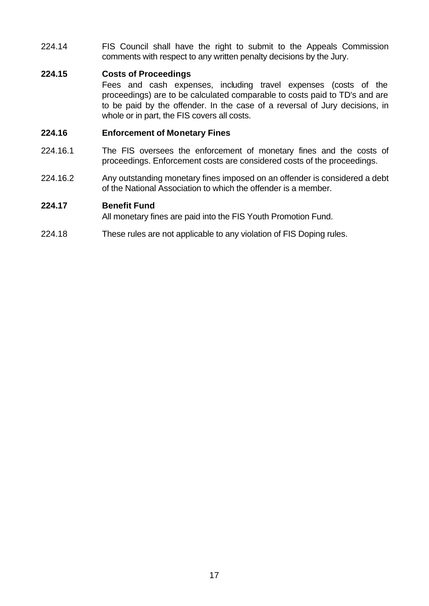224.14 FIS Council shall have the right to submit to the Appeals Commission comments with respect to any written penalty decisions by the Jury.

#### **224.15 Costs of Proceedings**

Fees and cash expenses, including travel expenses (costs of the proceedings) are to be calculated comparable to costs paid to TD's and are to be paid by the offender. In the case of a reversal of Jury decisions, in whole or in part, the FIS covers all costs.

#### **224.16 Enforcement of Monetary Fines**

- 224.16.1 The FIS oversees the enforcement of monetary fines and the costs of proceedings. Enforcement costs are considered costs of the proceedings.
- 224.16.2 Any outstanding monetary fines imposed on an offender is considered a debt of the National Association to which the offender is a member.

#### **224.17 Benefit Fund**

All monetary fines are paid into the FIS Youth Promotion Fund.

224.18 These rules are not applicable to any violation of FIS Doping rules.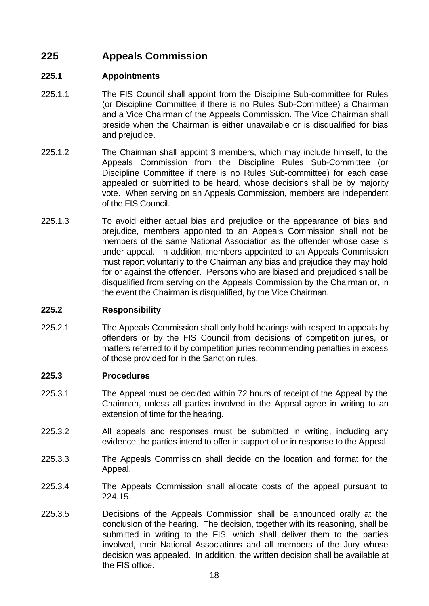## **225 Appeals Commission**

### **225.1 Appointments**

- 225.1.1 The FIS Council shall appoint from the Discipline Sub-committee for Rules (or Discipline Committee if there is no Rules Sub-Committee) a Chairman and a Vice Chairman of the Appeals Commission. The Vice Chairman shall preside when the Chairman is either unavailable or is disqualified for bias and prejudice.
- 225.1.2 The Chairman shall appoint 3 members, which may include himself, to the Appeals Commission from the Discipline Rules Sub-Committee (or Discipline Committee if there is no Rules Sub-committee) for each case appealed or submitted to be heard, whose decisions shall be by majority vote. When serving on an Appeals Commission, members are independent of the FIS Council.
- 225.1.3 To avoid either actual bias and prejudice or the appearance of bias and prejudice, members appointed to an Appeals Commission shall not be members of the same National Association as the offender whose case is under appeal. In addition, members appointed to an Appeals Commission must report voluntarily to the Chairman any bias and prejudice they may hold for or against the offender. Persons who are biased and prejudiced shall be disqualified from serving on the Appeals Commission by the Chairman or, in the event the Chairman is disqualified, by the Vice Chairman.

#### **225.2 Responsibility**

225.2.1 The Appeals Commission shall only hold hearings with respect to appeals by offenders or by the FIS Council from decisions of competition juries, or matters referred to it by competition juries recommending penalties in excess of those provided for in the Sanction rules.

#### **225.3 Procedures**

- 225.3.1 The Appeal must be decided within 72 hours of receipt of the Appeal by the Chairman, unless all parties involved in the Appeal agree in writing to an extension of time for the hearing.
- 225.3.2 All appeals and responses must be submitted in writing, including any evidence the parties intend to offer in support of or in response to the Appeal.
- 225.3.3 The Appeals Commission shall decide on the location and format for the Appeal.
- 225.3.4 The Appeals Commission shall allocate costs of the appeal pursuant to 224.15.
- 225.3.5 Decisions of the Appeals Commission shall be announced orally at the conclusion of the hearing. The decision, together with its reasoning, shall be submitted in writing to the FIS, which shall deliver them to the parties involved, their National Associations and all members of the Jury whose decision was appealed. In addition, the written decision shall be available at the FIS office.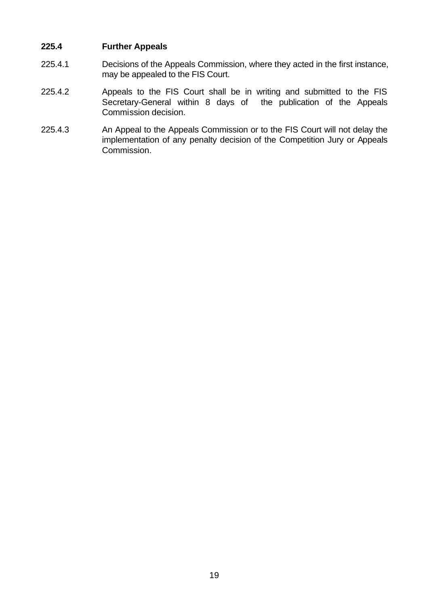#### **225.4 Further Appeals**

- 225.4.1 Decisions of the Appeals Commission, where they acted in the first instance, may be appealed to the FIS Court.
- 225.4.2 Appeals to the FIS Court shall be in writing and submitted to the FIS Secretary-General within 8 days of the publication of the Appeals Commission decision.
- 225.4.3 An Appeal to the Appeals Commission or to the FIS Court will not delay the implementation of any penalty decision of the Competition Jury or Appeals Commission.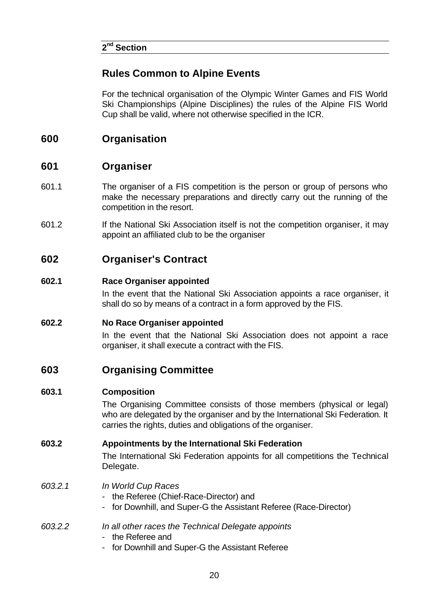## **Rules Common to Alpine Events**

For the technical organisation of the Olympic Winter Games and FIS World Ski Championships (Alpine Disciplines) the rules of the Alpine FIS World Cup shall be valid, where not otherwise specified in the ICR.

## **600 Organisation**

## **601 Organiser**

- 601.1 The organiser of a FIS competition is the person or group of persons who make the necessary preparations and directly carry out the running of the competition in the resort.
- 601.2 If the National Ski Association itself is not the competition organiser, it may appoint an affiliated club to be the organiser

## **602 Organiser's Contract**

#### **602.1 Race Organiser appointed**

In the event that the National Ski Association appoints a race organiser, it shall do so by means of a contract in a form approved by the FIS.

### **602.2 No Race Organiser appointed**

In the event that the National Ski Association does not appoint a race organiser, it shall execute a contract with the FIS.

## **603 Organising Committee**

#### **603.1 Composition**

The Organising Committee consists of those members (physical or legal) who are delegated by the organiser and by the International Ski Federation. It carries the rights, duties and obligations of the organiser.

### **603.2 Appointments by the International Ski Federation**

The International Ski Federation appoints for all competitions the Technical Delegate.

#### *603.2.1 In World Cup Races*

- the Referee (Chief-Race-Director) and
- for Downhill, and Super-G the Assistant Referee (Race-Director)

### *603.2.2 In all other races the Technical Delegate appoints*

- the Referee and
- for Downhill and Super-G the Assistant Referee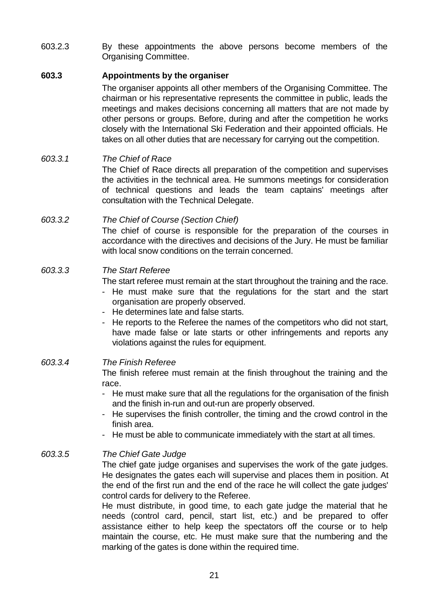603.2.3 By these appointments the above persons become members of the Organising Committee.

#### **603.3 Appointments by the organiser**

The organiser appoints all other members of the Organising Committee. The chairman or his representative represents the committee in public, leads the meetings and makes decisions concerning all matters that are not made by other persons or groups. Before, during and after the competition he works closely with the International Ski Federation and their appointed officials. He takes on all other duties that are necessary for carrying out the competition.

## *603.3.1 The Chief of Race* The Chief of Race directs all preparation of the competition and supervises the activities in the technical area. He summons meetings for consideration of technical questions and leads the team captains' meetings after consultation with the Technical Delegate.

*603.3.2 The Chief of Course (Section Chief)* The chief of course is responsible for the preparation of the courses in accordance with the directives and decisions of the Jury. He must be familiar with local snow conditions on the terrain concerned.

#### *603.3.3 The Start Referee*

The start referee must remain at the start throughout the training and the race.

- He must make sure that the regulations for the start and the start organisation are properly observed.
- He determines late and false starts.
- He reports to the Referee the names of the competitors who did not start, have made false or late starts or other infringements and reports any violations against the rules for equipment.

#### *603.3.4 The Finish Referee*

The finish referee must remain at the finish throughout the training and the race.

- He must make sure that all the regulations for the organisation of the finish and the finish in-run and out-run are properly observed.
- He supervises the finish controller, the timing and the crowd control in the finish area.
- He must be able to communicate immediately with the start at all times.

#### *603.3.5 The Chief Gate Judge*

The chief gate judge organises and supervises the work of the gate judges. He designates the gates each will supervise and places them in position. At the end of the first run and the end of the race he will collect the gate judges' control cards for delivery to the Referee.

He must distribute, in good time, to each gate judge the material that he needs (control card, pencil, start list, etc.) and be prepared to offer assistance either to help keep the spectators off the course or to help maintain the course, etc. He must make sure that the numbering and the marking of the gates is done within the required time.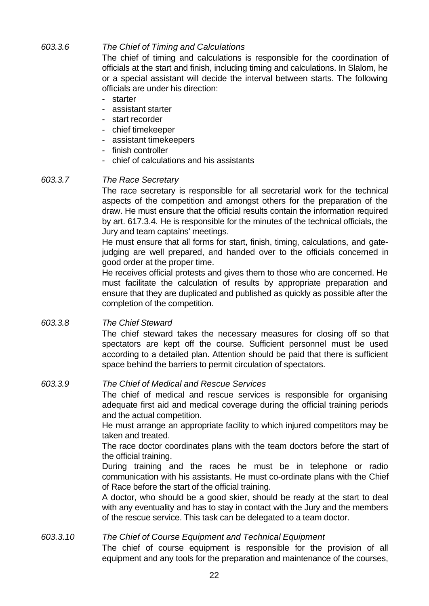## *603.3.6 The Chief of Timing and Calculations*

The chief of timing and calculations is responsible for the coordination of officials at the start and finish, including timing and calculations. In Slalom, he or a special assistant will decide the interval between starts. The following officials are under his direction:

- starter
- assistant starter
- start recorder
- chief timekeeper
- assistant timekeepers
- finish controller
- chief of calculations and his assistants

### *603.3.7 The Race Secretary*

The race secretary is responsible for all secretarial work for the technical aspects of the competition and amongst others for the preparation of the draw. He must ensure that the official results contain the information required by art. 617.3.4. He is responsible for the minutes of the technical officials, the Jury and team captains' meetings.

He must ensure that all forms for start, finish, timing, calculations, and gatejudging are well prepared, and handed over to the officials concerned in good order at the proper time.

He receives official protests and gives them to those who are concerned. He must facilitate the calculation of results by appropriate preparation and ensure that they are duplicated and published as quickly as possible after the completion of the competition.

#### *603.3.8 The Chief Steward*

The chief steward takes the necessary measures for closing off so that spectators are kept off the course. Sufficient personnel must be used according to a detailed plan. Attention should be paid that there is sufficient space behind the barriers to permit circulation of spectators.

#### *603.3.9 The Chief of Medical and Rescue Services*

The chief of medical and rescue services is responsible for organising adequate first aid and medical coverage during the official training periods and the actual competition.

He must arrange an appropriate facility to which injured competitors may be taken and treated.

The race doctor coordinates plans with the team doctors before the start of the official training.

During training and the races he must be in telephone or radio communication with his assistants. He must co-ordinate plans with the Chief of Race before the start of the official training.

A doctor, who should be a good skier, should be ready at the start to deal with any eventuality and has to stay in contact with the Jury and the members of the rescue service. This task can be delegated to a team doctor.

### *603.3.10 The Chief of Course Equipment and Technical Equipment*

The chief of course equipment is responsible for the provision of all equipment and any tools for the preparation and maintenance of the courses,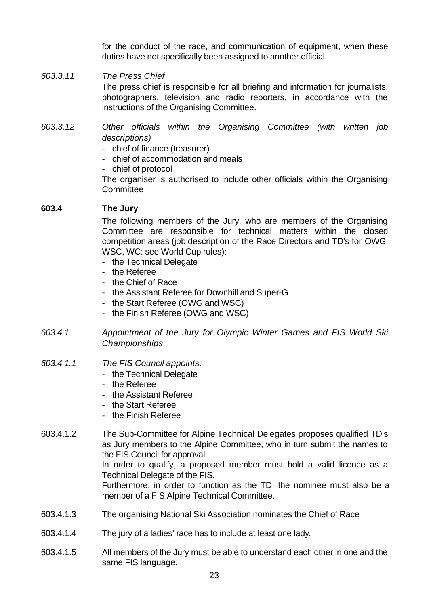for the conduct of the race, and communication of equipment, when these duties have not specifically been assigned to another official.

- *603.3.11 The Press Chief* The press chief is responsible for all briefing and information for journalists, photographers, television and radio reporters, in accordance with the instructions of the Organising Committee.
- *603.3.12 Other officials within the Organising Committee (with written job descriptions)*
	- chief of finance (treasurer)
	- chief of accommodation and meals
	- chief of protocol

The organiser is authorised to include other officials within the Organising **Committee** 

#### **603.4 The Jury**

The following members of the Jury, who are members of the Organising Committee are responsible for technical matters within the closed competition areas (job description of the Race Directors and TD's for OWG, WSC, WC: see World Cup rules):

- the Technical Delegate
- the Referee
- the Chief of Race
- the Assistant Referee for Downhill and Super-G
- the Start Referee (OWG and WSC)
- the Finish Referee (OWG and WSC)
- *603.4.1 Appointment of the Jury for Olympic Winter Games and FIS World Ski Championships*
- *603.4.1.1 The FIS Council appoints:*
	- the Technical Delegate
	- the Referee
	- the Assistant Referee
	- the Start Referee
	- the Finish Referee
- 603.4.1.2 The Sub-Committee for Alpine Technical Delegates proposes qualified TD's as Jury members to the Alpine Committee, who in turn submit the names to the FIS Council for approval.

In order to qualify, a proposed member must hold a valid licence as a Technical Delegate of the FIS.

Furthermore, in order to function as the TD, the nominee must also be a member of a FIS Alpine Technical Committee.

- 603.4.1.3 The organising National Ski Association nominates the Chief of Race
- 603.4.1.4 The jury of a ladies' race has to include at least one lady.
- 603.4.1.5 All members of the Jury must be able to understand each other in one and the same FIS language.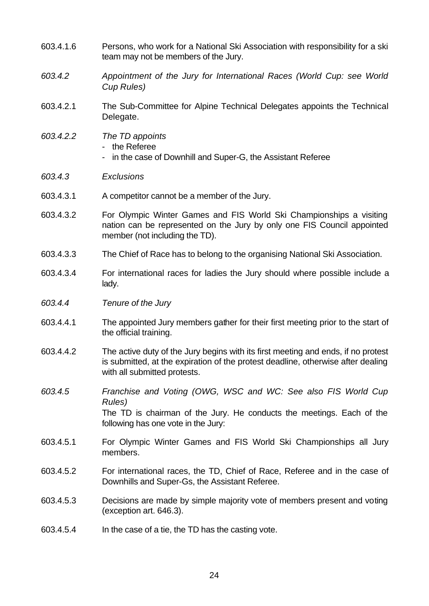- 603.4.1.6 Persons, who work for a National Ski Association with responsibility for a ski team may not be members of the Jury.
- *603.4.2 Appointment of the Jury for International Races (World Cup: see World Cup Rules)*
- 603.4.2.1 The Sub-Committee for Alpine Technical Delegates appoints the Technical Delegate.
- *603.4.2.2 The TD appoints*
	- the Referee
	- in the case of Downhill and Super-G, the Assistant Referee
- *603.4.3 Exclusions*
- 603.4.3.1 A competitor cannot be a member of the Jury.
- 603.4.3.2 For Olympic Winter Games and FIS World Ski Championships a visiting nation can be represented on the Jury by only one FIS Council appointed member (not including the TD).
- 603.4.3.3 The Chief of Race has to belong to the organising National Ski Association.
- 603.4.3.4 For international races for ladies the Jury should where possible include a lady.
- *603.4.4 Tenure of the Jury*
- 603.4.4.1 The appointed Jury members gather for their first meeting prior to the start of the official training.
- 603.4.4.2 The active duty of the Jury begins with its first meeting and ends, if no protest is submitted, at the expiration of the protest deadline, otherwise after dealing with all submitted protests.
- *603.4.5 Franchise and Voting (OWG, WSC and WC: See also FIS World Cup Rules)* The TD is chairman of the Jury. He conducts the meetings. Each of the

following has one vote in the Jury:

- 603.4.5.1 For Olympic Winter Games and FIS World Ski Championships all Jury members.
- 603.4.5.2 For international races, the TD, Chief of Race, Referee and in the case of Downhills and Super-Gs, the Assistant Referee.
- 603.4.5.3 Decisions are made by simple majority vote of members present and voting (exception art. 646.3).
- 603.4.5.4 In the case of a tie, the TD has the casting vote.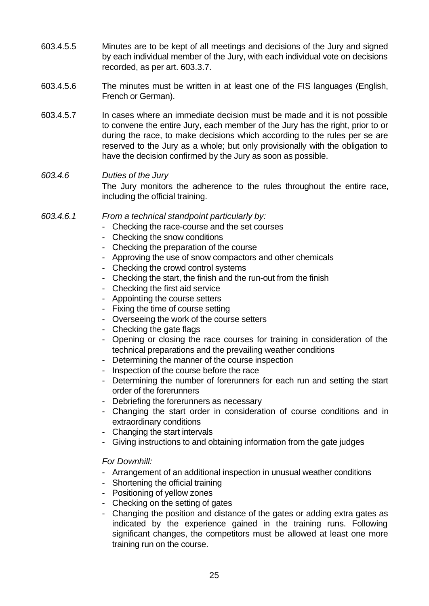- 603.4.5.5 Minutes are to be kept of all meetings and decisions of the Jury and signed by each individual member of the Jury, with each individual vote on decisions recorded, as per art. 603.3.7.
- 603.4.5.6 The minutes must be written in at least one of the FIS languages (English, French or German).
- 603.4.5.7 In cases where an immediate decision must be made and it is not possible to convene the entire Jury, each member of the Jury has the right, prior to or during the race, to make decisions which according to the rules per se are reserved to the Jury as a whole; but only provisionally with the obligation to have the decision confirmed by the Jury as soon as possible.

### *603.4.6 Duties of the Jury* The Jury monitors the adherence to the rules throughout the entire race, including the official training.

- *603.4.6.1 From a technical standpoint particularly by:*
	- Checking the race-course and the set courses
	- Checking the snow conditions
	- Checking the preparation of the course
	- Approving the use of snow compactors and other chemicals
	- Checking the crowd control systems
	- Checking the start, the finish and the run-out from the finish
	- Checking the first aid service
	- Appointing the course setters
	- Fixing the time of course setting
	- Overseeing the work of the course setters
	- Checking the gate flags
	- Opening or closing the race courses for training in consideration of the technical preparations and the prevailing weather conditions
	- Determining the manner of the course inspection
	- Inspection of the course before the race
	- Determining the number of forerunners for each run and setting the start order of the forerunners
	- Debriefing the forerunners as necessary
	- Changing the start order in consideration of course conditions and in extraordinary conditions
	- Changing the start intervals
	- Giving instructions to and obtaining information from the gate judges

### *For Downhill:*

- Arrangement of an additional inspection in unusual weather conditions
- Shortening the official training
- Positioning of yellow zones
- Checking on the setting of gates
- Changing the position and distance of the gates or adding extra gates as indicated by the experience gained in the training runs. Following significant changes, the competitors must be allowed at least one more training run on the course.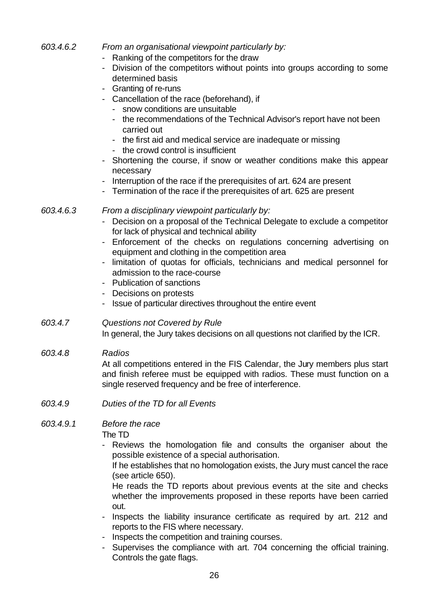| 603.4.6.2 | From an organisational viewpoint particularly by:<br>Ranking of the competitors for the draw<br>Division of the competitors without points into groups according to some<br>determined basis<br>Granting of re-runs<br>- Cancellation of the race (beforehand), if<br>- snow conditions are unsuitable<br>- the recommendations of the Technical Advisor's report have not been<br>carried out<br>- the first aid and medical service are inadequate or missing<br>- the crowd control is insufficient<br>Shortening the course, if snow or weather conditions make this appear<br>۰.<br>necessary<br>Interruption of the race if the prerequisites of art. 624 are present<br>-<br>- Termination of the race if the prerequisites of art. 625 are present |
|-----------|------------------------------------------------------------------------------------------------------------------------------------------------------------------------------------------------------------------------------------------------------------------------------------------------------------------------------------------------------------------------------------------------------------------------------------------------------------------------------------------------------------------------------------------------------------------------------------------------------------------------------------------------------------------------------------------------------------------------------------------------------------|
| 603.4.6.3 | From a disciplinary viewpoint particularly by:<br>Decision on a proposal of the Technical Delegate to exclude a competitor<br>for lack of physical and technical ability<br>Enforcement of the checks on regulations concerning advertising on<br>$\overline{\phantom{0}}$<br>equipment and clothing in the competition area<br>limitation of quotas for officials, technicians and medical personnel for<br>admission to the race-course<br><b>Publication of sanctions</b><br>- Decisions on protests<br>Issue of particular directives throughout the entire event                                                                                                                                                                                      |
| 603.4.7   | Questions not Covered by Rule<br>In general, the Jury takes decisions on all questions not clarified by the ICR.                                                                                                                                                                                                                                                                                                                                                                                                                                                                                                                                                                                                                                           |
| 603.4.8   | Radios<br>At all competitions entered in the FIS Calendar, the Jury members plus start<br>and finish referee must be equipped with radios. These must function on a<br>single reserved frequency and be free of interference.                                                                                                                                                                                                                                                                                                                                                                                                                                                                                                                              |
| 603.4.9   | Duties of the TD for all Events                                                                                                                                                                                                                                                                                                                                                                                                                                                                                                                                                                                                                                                                                                                            |
| 603.4.9.1 | Before the race<br>The TD<br>Reviews the homologation file and consults the organiser about the<br>-<br>possible existence of a special authorisation.<br>If he establishes that no homologation exists, the Jury must cancel the race<br>(see article 650).<br>He reads the TD reports about previous events at the site and checks<br>whether the improvements proposed in these reports have been carried<br>out.<br>Inspects the liability insurance certificate as required by art. 212 and<br>reports to the FIS where necessary.<br>Inspects the competition and training courses.<br>Supervises the compliance with art. 704 concerning the official training.<br>-<br>Controls the gate flags.                                                    |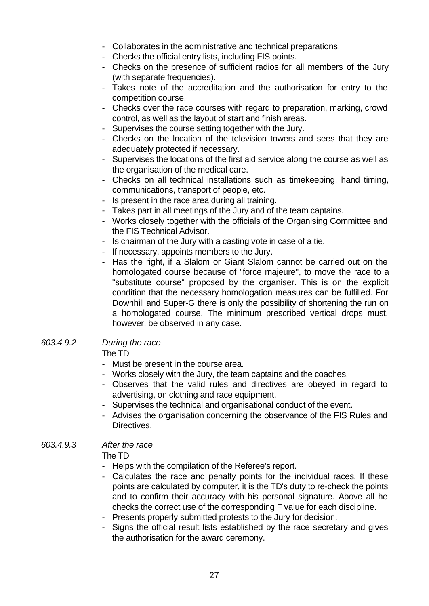- Collaborates in the administrative and technical preparations.
- Checks the official entry lists, including FIS points.
- Checks on the presence of sufficient radios for all members of the Jury (with separate frequencies).
- Takes note of the accreditation and the authorisation for entry to the competition course.
- Checks over the race courses with regard to preparation, marking, crowd control, as well as the layout of start and finish areas.
- Supervises the course setting together with the Jury.
- Checks on the location of the television towers and sees that they are adequately protected if necessary.
- Supervises the locations of the first aid service along the course as well as the organisation of the medical care.
- Checks on all technical installations such as timekeeping, hand timing, communications, transport of people, etc.
- Is present in the race area during all training.
- Takes part in all meetings of the Jury and of the team captains.
- Works closely together with the officials of the Organising Committee and the FIS Technical Advisor.
- Is chairman of the Jury with a casting vote in case of a tie.
- If necessary, appoints members to the Jury.
- Has the right, if a Slalom or Giant Slalom cannot be carried out on the homologated course because of "force majeure", to move the race to a "substitute course" proposed by the organiser. This is on the explicit condition that the necessary homologation measures can be fulfilled. For Downhill and Super-G there is only the possibility of shortening the run on a homologated course. The minimum prescribed vertical drops must, however, be observed in any case.

#### *603.4.9.2 During the race*

The TD

- Must be present in the course area.
- Works closely with the Jury, the team captains and the coaches.
- Observes that the valid rules and directives are obeyed in regard to advertising, on clothing and race equipment.
- Supervises the technical and organisational conduct of the event.
- Advises the organisation concerning the observance of the FIS Rules and Directives.

#### *603.4.9.3 After the race*

The TD

- Helps with the compilation of the Referee's report.
- Calculates the race and penalty points for the individual races. If these points are calculated by computer, it is the TD's duty to re-check the points and to confirm their accuracy with his personal signature. Above all he checks the correct use of the corresponding F value for each discipline.
- Presents properly submitted protests to the Jury for decision.
- Signs the official result lists established by the race secretary and gives the authorisation for the award ceremony.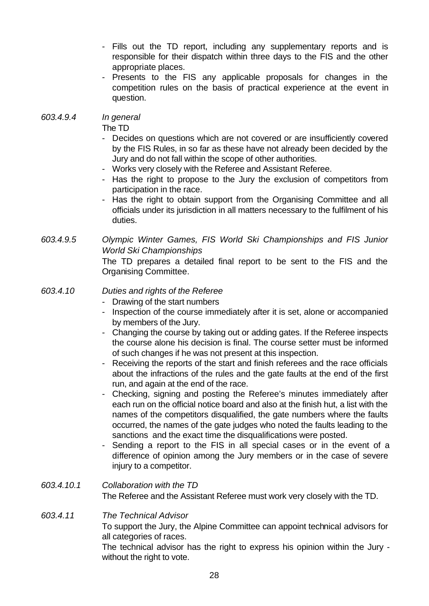- Fills out the TD report, including any supplementary reports and is responsible for their dispatch within three days to the FIS and the other appropriate places.
- Presents to the FIS any applicable proposals for changes in the competition rules on the basis of practical experience at the event in question.

#### *603.4.9.4 In general*

The TD

- Decides on questions which are not covered or are insufficiently covered by the FIS Rules, in so far as these have not already been decided by the Jury and do not fall within the scope of other authorities.
- Works very closely with the Referee and Assistant Referee.
- Has the right to propose to the Jury the exclusion of competitors from participation in the race.
- Has the right to obtain support from the Organising Committee and all officials under its jurisdiction in all matters necessary to the fulfilment of his duties.

*603.4.9.5 Olympic Winter Games, FIS World Ski Championships and FIS Junior World Ski Championships*

The TD prepares a detailed final report to be sent to the FIS and the Organising Committee.

#### *603.4.10 Duties and rights of the Referee*

- Drawing of the start numbers
- Inspection of the course immediately after it is set, alone or accompanied by members of the Jury.
- Changing the course by taking out or adding gates. If the Referee inspects the course alone his decision is final. The course setter must be informed of such changes if he was not present at this inspection.
- Receiving the reports of the start and finish referees and the race officials about the infractions of the rules and the gate faults at the end of the first run, and again at the end of the race.
- Checking, signing and posting the Referee's minutes immediately after each run on the official notice board and also at the finish hut, a list with the names of the competitors disqualified, the gate numbers where the faults occurred, the names of the gate judges who noted the faults leading to the sanctions and the exact time the disqualifications were posted.
- Sending a report to the FIS in all special cases or in the event of a difference of opinion among the Jury members or in the case of severe injury to a competitor.

## *603.4.10.1 Collaboration with the TD* The Referee and the Assistant Referee must work very closely with the TD.

*603.4.11 The Technical Advisor* To support the Jury, the Alpine Committee can appoint technical advisors for all categories of races. The technical advisor has the right to express his opinion within the Jury without the right to vote.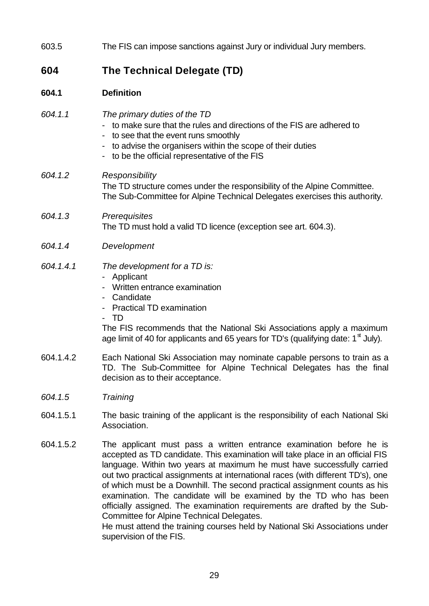| 603.5     | The FIS can impose sanctions against Jury or individual Jury members.                                                                                                                                                                                                                                                                                                                                                                                                                                                                                                                                                                                                           |  |
|-----------|---------------------------------------------------------------------------------------------------------------------------------------------------------------------------------------------------------------------------------------------------------------------------------------------------------------------------------------------------------------------------------------------------------------------------------------------------------------------------------------------------------------------------------------------------------------------------------------------------------------------------------------------------------------------------------|--|
| 604       | The Technical Delegate (TD)                                                                                                                                                                                                                                                                                                                                                                                                                                                                                                                                                                                                                                                     |  |
| 604.1     | <b>Definition</b>                                                                                                                                                                                                                                                                                                                                                                                                                                                                                                                                                                                                                                                               |  |
| 604.1.1   | The primary duties of the TD<br>to make sure that the rules and directions of the FIS are adhered to<br>- to see that the event runs smoothly<br>to advise the organisers within the scope of their duties<br>- to be the official representative of the FIS                                                                                                                                                                                                                                                                                                                                                                                                                    |  |
| 604.1.2   | Responsibility<br>The TD structure comes under the responsibility of the Alpine Committee.<br>The Sub-Committee for Alpine Technical Delegates exercises this authority.                                                                                                                                                                                                                                                                                                                                                                                                                                                                                                        |  |
| 604.1.3   | Prerequisites<br>The TD must hold a valid TD licence (exception see art. 604.3).                                                                                                                                                                                                                                                                                                                                                                                                                                                                                                                                                                                                |  |
| 604.1.4   | Development                                                                                                                                                                                                                                                                                                                                                                                                                                                                                                                                                                                                                                                                     |  |
| 604.1.4.1 | The development for a TD is:<br>Applicant<br>- Written entrance examination<br>Candidate<br><b>Practical TD examination</b><br>- TD<br>The FIS recommends that the National Ski Associations apply a maximum<br>age limit of 40 for applicants and 65 years for TD's (qualifying date: $1st$ July).                                                                                                                                                                                                                                                                                                                                                                             |  |
| 604.1.4.2 | Each National Ski Association may nominate capable persons to train as a<br>TD. The Sub-Committee for Alpine Technical Delegates has the final<br>decision as to their acceptance.                                                                                                                                                                                                                                                                                                                                                                                                                                                                                              |  |
| 604.1.5   | Training                                                                                                                                                                                                                                                                                                                                                                                                                                                                                                                                                                                                                                                                        |  |
| 604.1.5.1 | The basic training of the applicant is the responsibility of each National Ski<br>Association.                                                                                                                                                                                                                                                                                                                                                                                                                                                                                                                                                                                  |  |
| 604.1.5.2 | The applicant must pass a written entrance examination before he is<br>accepted as TD candidate. This examination will take place in an official FIS<br>language. Within two years at maximum he must have successfully carried<br>out two practical assignments at international races (with different TD's), one<br>of which must be a Downhill. The second practical assignment counts as his<br>examination. The candidate will be examined by the TD who has been<br>officially assigned. The examination requirements are drafted by the Sub-<br>Committee for Alpine Technical Delegates.<br>He must attend the training courses hold by Notional Oki Associations under |  |

He must attend the training courses held by National Ski Associations under supervision of the FIS.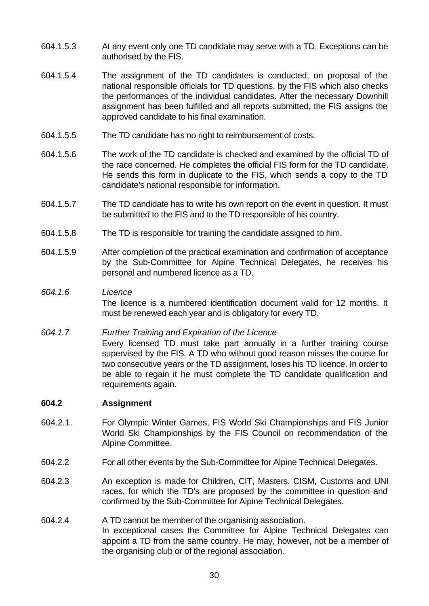- 604.1.5.3 At any event only one TD candidate may serve with a TD. Exceptions can be authorised by the FIS.
- 604.1.5.4 The assignment of the TD candidates is conducted, on proposal of the national responsible officials for TD questions, by the FIS which also checks the performances of the individual candidates. After the necessary Downhill assignment has been fulfilled and all reports submitted, the FIS assigns the approved candidate to his final examination.
- 604.1.5.5 The TD candidate has no right to reimbursement of costs.
- 604.1.5.6 The work of the TD candidate is checked and examined by the official TD of the race concerned. He completes the official FIS form for the TD candidate. He sends this form in duplicate to the FIS, which sends a copy to the TD candidate's national responsible for information.
- 604.1.5.7 The TD candidate has to write his own report on the event in question. It must be submitted to the FIS and to the TD responsible of his country.
- 604.1.5.8 The TD is responsible for training the candidate assigned to him.
- 604.1.5.9 After completion of the practical examination and confirmation of acceptance by the Sub-Committee for Alpine Technical Delegates, he receives his personal and numbered licence as a TD.

#### *604.1.6 Licence* The licence is a numbered identification document valid for 12 months. It must be renewed each year and is obligatory for every TD.

*604.1.7 Further Training and Expiration of the Licence* Every licensed TD must take part annually in a further training course supervised by the FIS. A TD who without good reason misses the course for two consecutive years or the TD assignment, loses his TD licence. In order to be able to regain it he must complete the TD candidate qualification and requirements again.

#### **604.2 Assignment**

- 604.2.1. For Olympic Winter Games, FIS World Ski Championships and FIS Junior World Ski Championships by the FIS Council on recommendation of the Alpine Committee.
- 604.2.2 For all other events by the Sub-Committee for Alpine Technical Delegates.
- 604.2.3 An exception is made for Children, CIT, Masters, CISM, Customs and UNI races, for which the TD's are proposed by the committee in question and confirmed by the Sub-Committee for Alpine Technical Delegates.
- 604.2.4 A TD cannot be member of the organising association. In exceptional cases the Committee for Alpine Technical Delegates can appoint a TD from the same country. He may, however, not be a member of the organising club or of the regional association.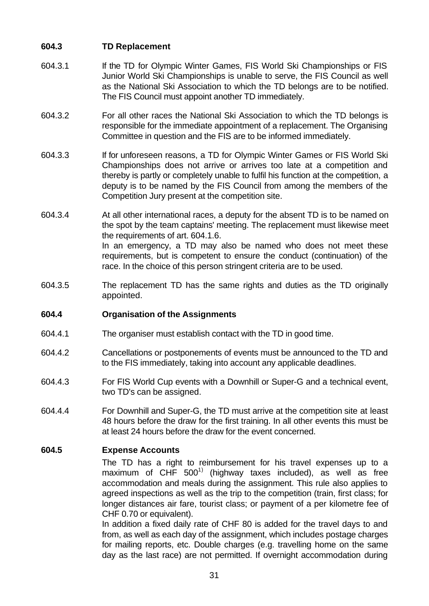### **604.3 TD Replacement**

- 604.3.1 If the TD for Olympic Winter Games, FIS World Ski Championships or FIS Junior World Ski Championships is unable to serve, the FIS Council as well as the National Ski Association to which the TD belongs are to be notified. The FIS Council must appoint another TD immediately.
- 604.3.2 For all other races the National Ski Association to which the TD belongs is responsible for the immediate appointment of a replacement. The Organising Committee in question and the FIS are to be informed immediately.
- 604.3.3 If for unforeseen reasons, a TD for Olympic Winter Games or FIS World Ski Championships does not arrive or arrives too late at a competition and thereby is partly or completely unable to fulfil his function at the competition, a deputy is to be named by the FIS Council from among the members of the Competition Jury present at the competition site.
- 604.3.4 At all other international races, a deputy for the absent TD is to be named on the spot by the team captains' meeting. The replacement must likewise meet the requirements of art. 604.1.6. In an emergency, a TD may also be named who does not meet these requirements, but is competent to ensure the conduct (continuation) of the race. In the choice of this person stringent criteria are to be used.
- 604.3.5 The replacement TD has the same rights and duties as the TD originally appointed.

#### **604.4 Organisation of the Assignments**

- 604.4.1 The organiser must establish contact with the TD in good time.
- 604.4.2 Cancellations or postponements of events must be announced to the TD and to the FIS immediately, taking into account any applicable deadlines.
- 604.4.3 For FIS World Cup events with a Downhill or Super-G and a technical event, two TD's can be assigned.
- 604.4.4 For Downhill and Super-G, the TD must arrive at the competition site at least 48 hours before the draw for the first training. In all other events this must be at least 24 hours before the draw for the event concerned.

#### **604.5 Expense Accounts**

The TD has a right to reimbursement for his travel expenses up to a  $maximum$  of CHF 500<sup>1)</sup> (highway taxes included), as well as free accommodation and meals during the assignment. This rule also applies to agreed inspections as well as the trip to the competition (train, first class; for longer distances air fare, tourist class; or payment of a per kilometre fee of CHF 0.70 or equivalent).

In addition a fixed daily rate of CHF 80 is added for the travel days to and from, as well as each day of the assignment, which includes postage charges for mailing reports, etc. Double charges (e.g. travelling home on the same day as the last race) are not permitted. If overnight accommodation during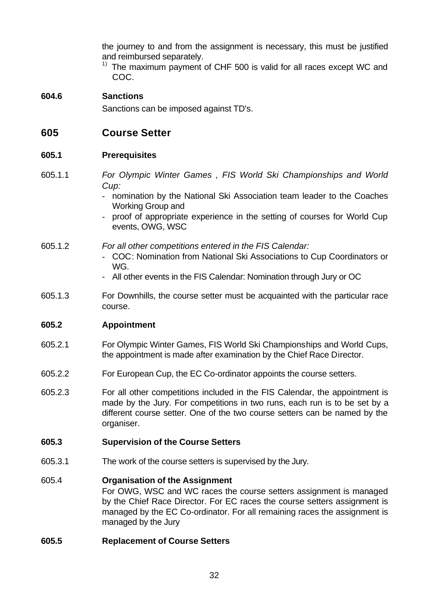the journey to and from the assignment is necessary, this must be justified and reimbursed separately.

 $1)$  The maximum payment of CHF 500 is valid for all races except WC and COC.

## **604.6 Sanctions**

Sanctions can be imposed against TD's.

# **605 Course Setter**

### **605.1 Prerequisites**

- 605.1.1 *For Olympic Winter Games , FIS World Ski Championships and World Cup:*
	- nomination by the National Ski Association team leader to the Coaches Working Group and
	- proof of appropriate experience in the setting of courses for World Cup events, OWG, WSC
- 605.1.2 *For all other competitions entered in the FIS Calendar:*
	- COC: Nomination from National Ski Associations to Cup Coordinators or WG.
	- All other events in the FIS Calendar: Nomination through Jury or OC
- 605.1.3 For Downhills, the course setter must be acquainted with the particular race course.

#### **605.2 Appointment**

- 605.2.1 For Olympic Winter Games, FIS World Ski Championships and World Cups, the appointment is made after examination by the Chief Race Director.
- 605.2.2 For European Cup, the EC Co-ordinator appoints the course setters.
- 605.2.3 For all other competitions included in the FIS Calendar, the appointment is made by the Jury. For competitions in two runs, each run is to be set by a different course setter. One of the two course setters can be named by the organiser.

#### **605.3 Supervision of the Course Setters**

605.3.1 The work of the course setters is supervised by the Jury.

### 605.4 **Organisation of the Assignment**

For OWG, WSC and WC races the course setters assignment is managed by the Chief Race Director. For EC races the course setters assignment is managed by the EC Co-ordinator. For all remaining races the assignment is managed by the Jury

#### **605.5 Replacement of Course Setters**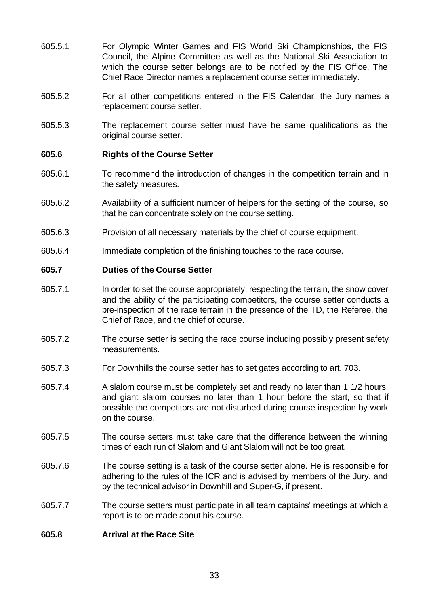- 605.5.1 For Olympic Winter Games and FIS World Ski Championships, the FIS Council, the Alpine Committee as well as the National Ski Association to which the course setter belongs are to be notified by the FIS Office. The Chief Race Director names a replacement course setter immediately.
- 605.5.2 For all other competitions entered in the FIS Calendar, the Jury names a replacement course setter.
- 605.5.3 The replacement course setter must have the same qualifications as the original course setter.

#### **605.6 Rights of the Course Setter**

- 605.6.1 To recommend the introduction of changes in the competition terrain and in the safety measures.
- 605.6.2 Availability of a sufficient number of helpers for the setting of the course, so that he can concentrate solely on the course setting.
- 605.6.3 Provision of all necessary materials by the chief of course equipment.
- 605.6.4 Immediate completion of the finishing touches to the race course.

#### **605.7 Duties of the Course Setter**

- 605.7.1 In order to set the course appropriately, respecting the terrain, the snow cover and the ability of the participating competitors, the course setter conducts a pre-inspection of the race terrain in the presence of the TD, the Referee, the Chief of Race, and the chief of course.
- 605.7.2 The course setter is setting the race course including possibly present safety measurements.
- 605.7.3 For Downhills the course setter has to set gates according to art. 703.
- 605.7.4 A slalom course must be completely set and ready no later than 1 1/2 hours, and giant slalom courses no later than 1 hour before the start, so that if possible the competitors are not disturbed during course inspection by work on the course.
- 605.7.5 The course setters must take care that the difference between the winning times of each run of Slalom and Giant Slalom will not be too great.
- 605.7.6 The course setting is a task of the course setter alone. He is responsible for adhering to the rules of the ICR and is advised by members of the Jury, and by the technical advisor in Downhill and Super-G, if present.
- 605.7.7 The course setters must participate in all team captains' meetings at which a report is to be made about his course.

#### **605.8 Arrival at the Race Site**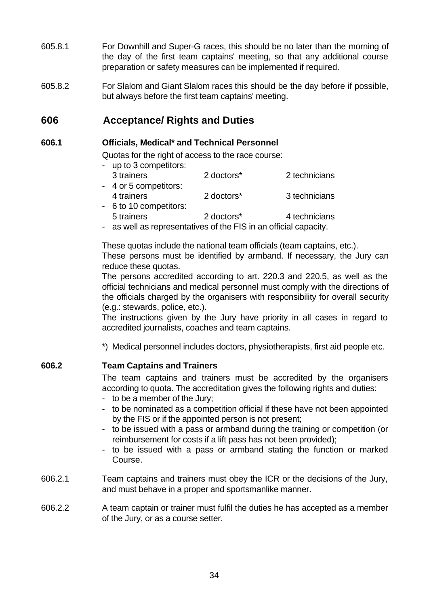- 605.8.1 For Downhill and Super-G races, this should be no later than the morning of the day of the first team captains' meeting, so that any additional course preparation or safety measures can be implemented if required.
- 605.8.2 For Slalom and Giant Slalom races this should be the day before if possible, but always before the first team captains' meeting.

# **606 Acceptance/ Rights and Duties**

### **606.1 Officials, Medical\* and Technical Personnel**

Quotas for the right of access to the race course:

- up to 3 competitors: 3 trainers 2 doctors\* 2 technicians - 4 or 5 competitors: 4 trainers 2 doctors\* 3 technicians - 6 to 10 competitors: 5 trainers 2 doctors\* 4 technicians
- as well as representatives of the FIS in an official capacity.

These quotas include the national team officials (team captains, etc.).

These persons must be identified by armband. If necessary, the Jury can reduce these quotas.

The persons accredited according to art. 220.3 and 220.5, as well as the official technicians and medical personnel must comply with the directions of the officials charged by the organisers with responsibility for overall security (e.g.: stewards, police, etc.).

The instructions given by the Jury have priority in all cases in regard to accredited journalists, coaches and team captains.

\*) Medical personnel includes doctors, physiotherapists, first aid people etc.

### **606.2 Team Captains and Trainers**

The team captains and trainers must be accredited by the organisers according to quota. The accreditation gives the following rights and duties:

- to be a member of the Jury;
- to be nominated as a competition official if these have not been appointed by the FIS or if the appointed person is not present;
- to be issued with a pass or armband during the training or competition (or reimbursement for costs if a lift pass has not been provided);
- to be issued with a pass or armband stating the function or marked Course.
- 606.2.1 Team captains and trainers must obey the ICR or the decisions of the Jury, and must behave in a proper and sportsmanlike manner.
- 606.2.2 A team captain or trainer must fulfil the duties he has accepted as a member of the Jury, or as a course setter.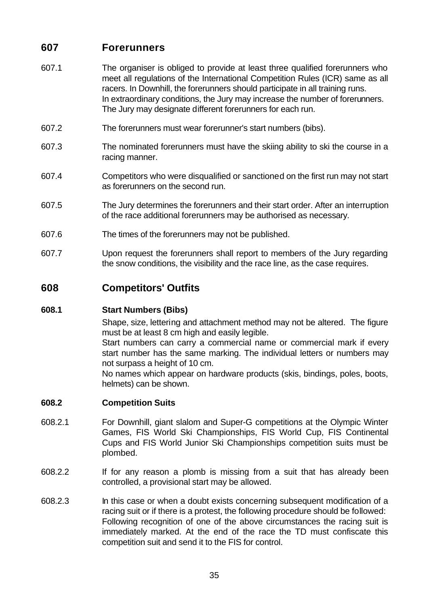# **607 Forerunners**

- 607.1 The organiser is obliged to provide at least three qualified forerunners who meet all regulations of the International Competition Rules (ICR) same as all racers. In Downhill, the forerunners should participate in all training runs. In extraordinary conditions, the Jury may increase the number of forerunners. The Jury may designate different forerunners for each run.
- 607.2 The forerunners must wear forerunner's start numbers (bibs).
- 607.3 The nominated forerunners must have the skiing ability to ski the course in a racing manner.
- 607.4 Competitors who were disqualified or sanctioned on the first run may not start as forerunners on the second run.
- 607.5 The Jury determines the forerunners and their start order. After an interruption of the race additional forerunners may be authorised as necessary.
- 607.6 The times of the forerunners may not be published.
- 607.7 Upon request the forerunners shall report to members of the Jury regarding the snow conditions, the visibility and the race line, as the case requires.

# **608 Competitors' Outfits**

#### **608.1 Start Numbers (Bibs)**

Shape, size, lettering and attachment method may not be altered. The figure must be at least 8 cm high and easily legible.

Start numbers can carry a commercial name or commercial mark if every start number has the same marking. The individual letters or numbers may not surpass a height of 10 cm.

No names which appear on hardware products (skis, bindings, poles, boots, helmets) can be shown.

#### **608.2 Competition Suits**

- 608.2.1 For Downhill, giant slalom and Super-G competitions at the Olympic Winter Games, FIS World Ski Championships, FIS World Cup, FIS Continental Cups and FIS World Junior Ski Championships competition suits must be plombed.
- 608.2.2 If for any reason a plomb is missing from a suit that has already been controlled, a provisional start may be allowed.
- 608.2.3 In this case or when a doubt exists concerning subsequent modification of a racing suit or if there is a protest, the following procedure should be followed: Following recognition of one of the above circumstances the racing suit is immediately marked. At the end of the race the TD must confiscate this competition suit and send it to the FIS for control.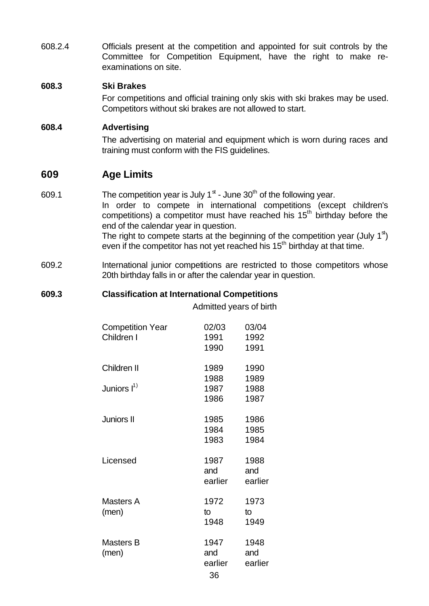608.2.4 Officials present at the competition and appointed for suit controls by the Committee for Competition Equipment, have the right to make reexaminations on site.

#### **608.3 Ski Brakes**

For competitions and official training only skis with ski brakes may be used. Competitors without ski brakes are not allowed to start.

#### **608.4 Advertising**

The advertising on material and equipment which is worn during races and training must conform with the FIS guidelines.

# **609 Age Limits**

609.1 The competition year is July  $1<sup>st</sup>$  - June  $30<sup>th</sup>$  of the following year.

In order to compete in international competitions (except children's competitions) a competitor must have reached his  $15<sup>th</sup>$  birthday before the end of the calendar year in question.

The right to compete starts at the beginning of the competition year (July  $1<sup>st</sup>$ ) even if the competitor has not yet reached his  $15<sup>th</sup>$  birthday at that time.

609.2 International junior competitions are restricted to those competitors whose 20th birthday falls in or after the calendar year in question.

### **609.3 Classification at International Competitions**

Admitted years of birth

| <b>Competition Year</b><br>Children I  | 02/03<br>1991<br>1990        | 03/04<br>1992<br>1991        |
|----------------------------------------|------------------------------|------------------------------|
| Children II<br>Juniors I <sup>1)</sup> | 1989<br>1988<br>1987<br>1986 | 1990<br>1989<br>1988<br>1987 |
| <b>Juniors II</b>                      | 1985<br>1984<br>1983         | 1986<br>1985<br>1984         |
| Licensed                               | 1987<br>and<br>earlier       | 1988<br>and<br>earlier       |
| Masters A<br>(men)                     | 1972<br>to<br>1948           | 1973<br>to<br>1949           |
| Masters B<br>(men)                     | 1947<br>and<br>earlier<br>ລຂ | 1948<br>and<br>earlier       |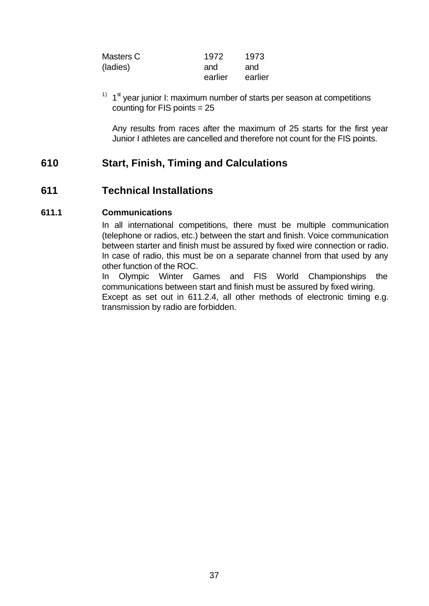| Masters C | 1972    | 1973    |
|-----------|---------|---------|
| (ladies)  | and     | and     |
|           | earlier | earlier |

 $1)$  1<sup>st</sup> year junior I: maximum number of starts per season at competitions counting for FIS points = 25

Any results from races after the maximum of 25 starts for the first year Junior I athletes are cancelled and therefore not count for the FIS points.

# **610 Start, Finish, Timing and Calculations**

# **611 Technical Installations**

### **611.1 Communications**

In all international competitions, there must be multiple communication (telephone or radios, etc.) between the start and finish. Voice communication between starter and finish must be assured by fixed wire connection or radio. In case of radio, this must be on a separate channel from that used by any other function of the ROC.

In Olympic Winter Games and FIS World Championships the communications between start and finish must be assured by fixed wiring. Except as set out in 611.2.4, all other methods of electronic timing e.g. transmission by radio are forbidden.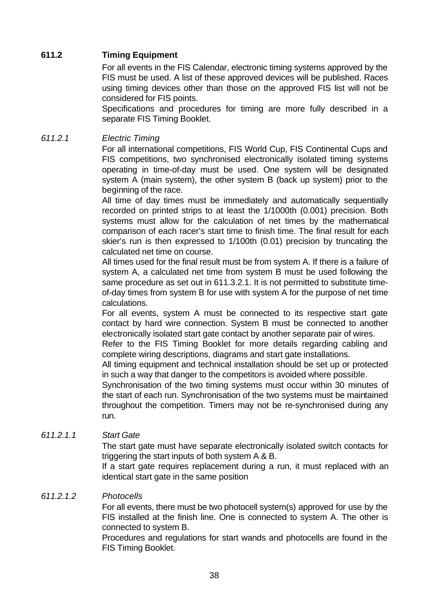## **611.2 Timing Equipment**

For all events in the FIS Calendar, electronic timing systems approved by the FIS must be used. A list of these approved devices will be published. Races using timing devices other than those on the approved FIS list will not be considered for FIS points.

Specifications and procedures for timing are more fully described in a separate FIS Timing Booklet.

### *611.2.1 Electric Timing*

For all international competitions, FIS World Cup, FIS Continental Cups and FIS competitions, two synchronised electronically isolated timing systems operating in time-of-day must be used. One system will be designated system A (main system), the other system B (back up system) prior to the beginning of the race.

All time of day times must be immediately and automatically sequentially recorded on printed strips to at least the 1/1000th (0.001) precision. Both systems must allow for the calculation of net times by the mathematical comparison of each racer's start time to finish time. The final result for each skier's run is then expressed to 1/100th (0.01) precision by truncating the calculated net time on course.

All times used for the final result must be from system A. If there is a failure of system A, a calculated net time from system B must be used following the same procedure as set out in 611.3.2.1. It is not permitted to substitute timeof-day times from system B for use with system A for the purpose of net time calculations.

For all events, system A must be connected to its respective start gate contact by hard wire connection. System B must be connected to another electronically isolated start gate contact by another separate pair of wires.

Refer to the FIS Timing Booklet for more details regarding cabling and complete wiring descriptions, diagrams and start gate installations.

All timing equipment and technical installation should be set up or protected in such a way that danger to the competitors is avoided where possible.

Synchronisation of the two timing systems must occur within 30 minutes of the start of each run. Synchronisation of the two systems must be maintained throughout the competition. Timers may not be re-synchronised during any run.

#### *611.2.1.1 Start Gate*

The start gate must have separate electronically isolated switch contacts for triggering the start inputs of both system A & B.

If a start gate requires replacement during a run, it must replaced with an identical start gate in the same position

#### *611.2.1.2 Photocells*

For all events, there must be two photocell system(s) approved for use by the FIS installed at the finish line. One is connected to system A. The other is connected to system B.

Procedures and regulations for start wands and photocells are found in the FIS Timing Booklet.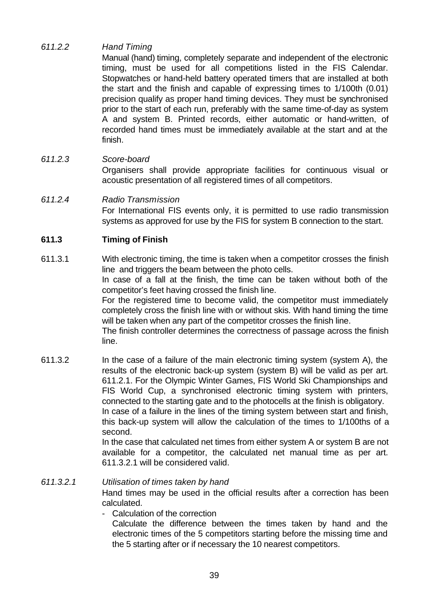## *611.2.2 Hand Timing*

Manual (hand) timing, completely separate and independent of the electronic timing, must be used for all competitions listed in the FIS Calendar. Stopwatches or hand-held battery operated timers that are installed at both the start and the finish and capable of expressing times to 1/100th (0.01) precision qualify as proper hand timing devices. They must be synchronised prior to the start of each run, preferably with the same time-of-day as system A and system B. Printed records, either automatic or hand-written, of recorded hand times must be immediately available at the start and at the finish.

### *611.2.3 Score-board*

Organisers shall provide appropriate facilities for continuous visual or acoustic presentation of all registered times of all competitors.

*611.2.4 Radio Transmission* For International FIS events only, it is permitted to use radio transmission systems as approved for use by the FIS for system B connection to the start.

### **611.3 Timing of Finish**

611.3.1 With electronic timing, the time is taken when a competitor crosses the finish line and triggers the beam between the photo cells. In case of a fall at the finish, the time can be taken without both of the competitor's feet having crossed the finish line. For the registered time to become valid, the competitor must immediately completely cross the finish line with or without skis. With hand timing the time

will be taken when any part of the competitor crosses the finish line. The finish controller determines the correctness of passage across the finish line.

611.3.2 In the case of a failure of the main electronic timing system (system A), the results of the electronic back-up system (system B) will be valid as per art. 611.2.1. For the Olympic Winter Games, FIS World Ski Championships and FIS World Cup, a synchronised electronic timing system with printers, connected to the starting gate and to the photocells at the finish is obligatory. In case of a failure in the lines of the timing system between start and finish, this back-up system will allow the calculation of the times to 1/100ths of a second.

In the case that calculated net times from either system A or system B are not available for a competitor, the calculated net manual time as per art. 611.3.2.1 will be considered valid.

# *611.3.2.1 Utilisation of times taken by hand*

Hand times may be used in the official results after a correction has been calculated.

- Calculation of the correction

Calculate the difference between the times taken by hand and the electronic times of the 5 competitors starting before the missing time and the 5 starting after or if necessary the 10 nearest competitors.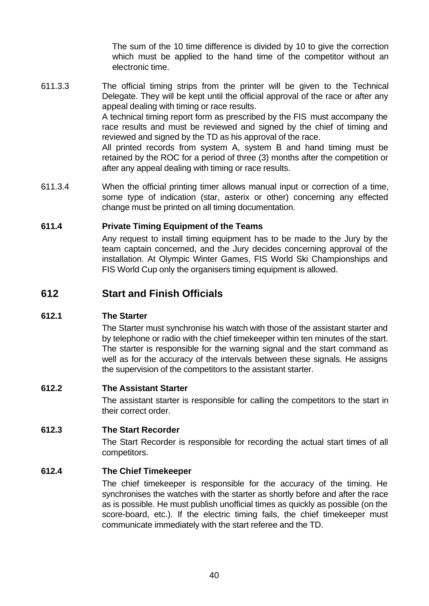The sum of the 10 time difference is divided by 10 to give the correction which must be applied to the hand time of the competitor without an electronic time.

- 611.3.3 The official timing strips from the printer will be given to the Technical Delegate. They will be kept until the official approval of the race or after any appeal dealing with timing or race results. A technical timing report form as prescribed by the FIS must accompany the race results and must be reviewed and signed by the chief of timing and reviewed and signed by the TD as his approval of the race. All printed records from system A, system B and hand timing must be retained by the ROC for a period of three (3) months after the competition or after any appeal dealing with timing or race results.
- 611.3.4 When the official printing timer allows manual input or correction of a time, some type of indication (star, asterix or other) concerning any effected change must be printed on all timing documentation.

#### **611.4 Private Timing Equipment of the Teams**

Any request to install timing equipment has to be made to the Jury by the team captain concerned, and the Jury decides concerning approval of the installation. At Olympic Winter Games, FIS World Ski Championships and FIS World Cup only the organisers timing equipment is allowed.

# **612 Start and Finish Officials**

#### **612.1 The Starter**

The Starter must synchronise his watch with those of the assistant starter and by telephone or radio with the chief timekeeper within ten minutes of the start. The starter is responsible for the warning signal and the start command as well as for the accuracy of the intervals between these signals. He assigns the supervision of the competitors to the assistant starter.

#### **612.2 The Assistant Starter**

The assistant starter is responsible for calling the competitors to the start in their correct order.

#### **612.3 The Start Recorder**

The Start Recorder is responsible for recording the actual start times of all competitors.

#### **612.4 The Chief Timekeeper**

The chief timekeeper is responsible for the accuracy of the timing. He synchronises the watches with the starter as shortly before and after the race as is possible. He must publish unofficial times as quickly as possible (on the score-board, etc.). If the electric timing fails, the chief timekeeper must communicate immediately with the start referee and the TD.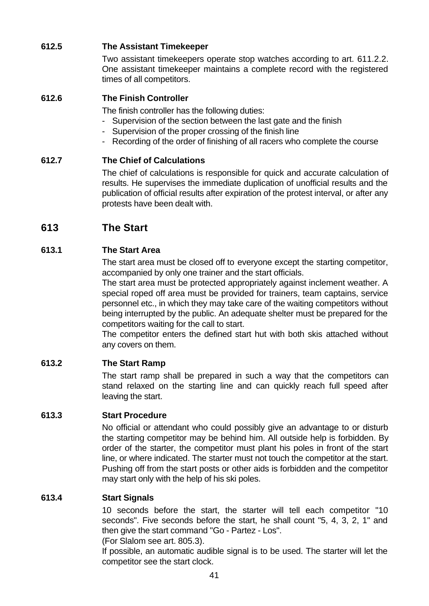### **612.5 The Assistant Timekeeper**

Two assistant timekeepers operate stop watches according to art. 611.2.2. One assistant timekeeper maintains a complete record with the registered times of all competitors.

### **612.6 The Finish Controller**

The finish controller has the following duties:

- Supervision of the section between the last gate and the finish
- Supervision of the proper crossing of the finish line
- Recording of the order of finishing of all racers who complete the course

### **612.7 The Chief of Calculations**

The chief of calculations is responsible for quick and accurate calculation of results. He supervises the immediate duplication of unofficial results and the publication of official results after expiration of the protest interval, or after any protests have been dealt with.

# **613 The Start**

### **613.1 The Start Area**

The start area must be closed off to everyone except the starting competitor, accompanied by only one trainer and the start officials.

The start area must be protected appropriately against inclement weather. A special roped off area must be provided for trainers, team captains, service personnel etc., in which they may take care of the waiting competitors without being interrupted by the public. An adequate shelter must be prepared for the competitors waiting for the call to start.

The competitor enters the defined start hut with both skis attached without any covers on them.

### **613.2 The Start Ramp**

The start ramp shall be prepared in such a way that the competitors can stand relaxed on the starting line and can quickly reach full speed after leaving the start.

#### **613.3 Start Procedure**

No official or attendant who could possibly give an advantage to or disturb the starting competitor may be behind him. All outside help is forbidden. By order of the starter, the competitor must plant his poles in front of the start line, or where indicated. The starter must not touch the competitor at the start. Pushing off from the start posts or other aids is forbidden and the competitor may start only with the help of his ski poles.

#### **613.4 Start Signals**

10 seconds before the start, the starter will tell each competitor "10 seconds". Five seconds before the start, he shall count "5, 4, 3, 2, 1" and then give the start command "Go - Partez - Los".

(For Slalom see art. 805.3).

If possible, an automatic audible signal is to be used. The starter will let the competitor see the start clock.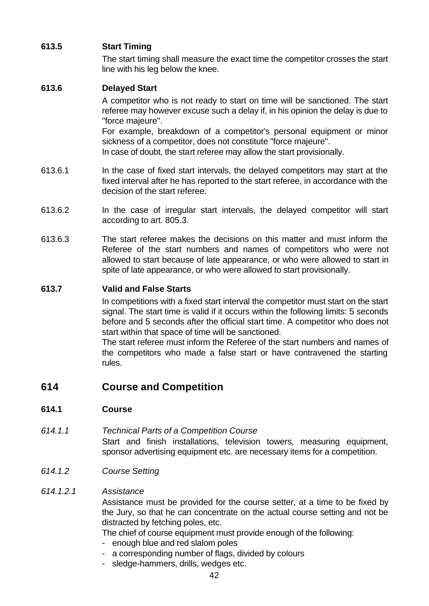# **613.5 Start Timing**

The start timing shall measure the exact time the competitor crosses the start line with his leg below the knee.

### **613.6 Delayed Start**

A competitor who is not ready to start on time will be sanctioned. The start referee may however excuse such a delay if, in his opinion the delay is due to "force majeure".

For example, breakdown of a competitor's personal equipment or minor sickness of a competitor, does not constitute "force majeure".

In case of doubt, the start referee may allow the start provisionally.

- 613.6.1 In the case of fixed start intervals, the delayed competitors may start at the fixed interval after he has reported to the start referee, in accordance with the decision of the start referee.
- 613.6.2 In the case of irregular start intervals, the delayed competitor will start according to art. 805.3.
- 613.6.3 The start referee makes the decisions on this matter and must inform the Referee of the start numbers and names of competitors who were not allowed to start because of late appearance, or who were allowed to start in spite of late appearance, or who were allowed to start provisionally.

### **613.7 Valid and False Starts**

In competitions with a fixed start interval the competitor must start on the start signal. The start time is valid if it occurs within the following limits: 5 seconds before and 5 seconds after the official start time. A competitor who does not start within that space of time will be sanctioned.

The start referee must inform the Referee of the start numbers and names of the competitors who made a false start or have contravened the starting rules.

# **614 Course and Competition**

### **614.1 Course**

- *614.1.1 Technical Parts of a Competition Course* Start and finish installations, television towers, measuring equipment, sponsor advertising equipment etc. are necessary items for a competition.
- *614.1.2 Course Setting*

#### *614.1.2.1 Assistance*

Assistance must be provided for the course setter, at a time to be fixed by the Jury, so that he can concentrate on the actual course setting and not be distracted by fetching poles, etc.

The chief of course equipment must provide enough of the following:

- enough blue and red slalom poles
- a corresponding number of flags, divided by colours
- sledge-hammers, drills, wedges etc.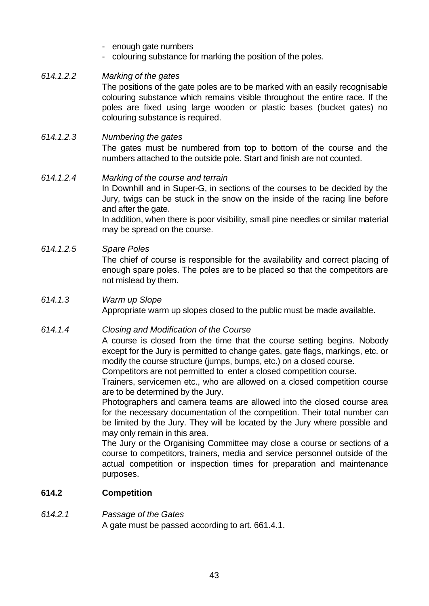- enough gate numbers
- colouring substance for marking the position of the poles.

#### *614.1.2.2 Marking of the gates*

The positions of the gate poles are to be marked with an easily recognisable colouring substance which remains visible throughout the entire race. If the poles are fixed using large wooden or plastic bases (bucket gates) no colouring substance is required.

#### *614.1.2.3 Numbering the gates*

The gates must be numbered from top to bottom of the course and the numbers attached to the outside pole. Start and finish are not counted.

#### *614.1.2.4 Marking of the course and terrain*

In Downhill and in Super-G, in sections of the courses to be decided by the Jury, twigs can be stuck in the snow on the inside of the racing line before and after the gate.

In addition, when there is poor visibility, small pine needles or similar material may be spread on the course.

#### *614.1.2.5 Spare Poles*

The chief of course is responsible for the availability and correct placing of enough spare poles. The poles are to be placed so that the competitors are not mislead by them.

#### *614.1.3 Warm up Slope*

Appropriate warm up slopes closed to the public must be made available.

#### *614.1.4 Closing and Modification of the Course*

A course is closed from the time that the course setting begins. Nobody except for the Jury is permitted to change gates, gate flags, markings, etc. or modify the course structure (jumps, bumps, etc.) on a closed course.

Competitors are not permitted to enter a closed competition course.

Trainers, servicemen etc., who are allowed on a closed competition course are to be determined by the Jury.

Photographers and camera teams are allowed into the closed course area for the necessary documentation of the competition. Their total number can be limited by the Jury. They will be located by the Jury where possible and may only remain in this area.

The Jury or the Organising Committee may close a course or sections of a course to competitors, trainers, media and service personnel outside of the actual competition or inspection times for preparation and maintenance purposes.

#### **614.2 Competition**

### *614.2.1 Passage of the Gates* A gate must be passed according to art. 661.4.1.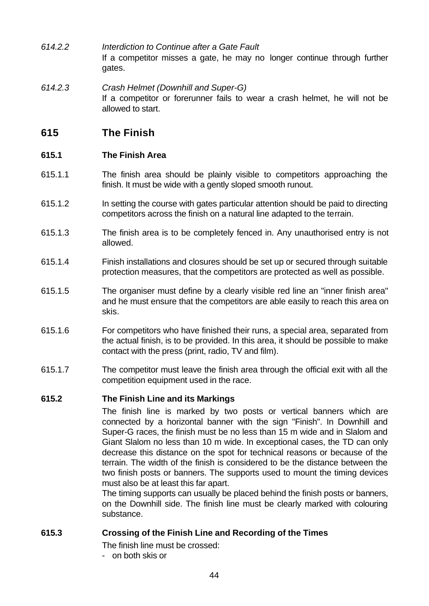- *614.2.2 Interdiction to Continue after a Gate Fault* If a competitor misses a gate, he may no longer continue through further gates.
- *614.2.3 Crash Helmet (Downhill and Super-G)* If a competitor or forerunner fails to wear a crash helmet, he will not be allowed to start.

# **615 The Finish**

#### **615.1 The Finish Area**

- 615.1.1 The finish area should be plainly visible to competitors approaching the finish. It must be wide with a gently sloped smooth runout.
- 615.1.2 In setting the course with gates particular attention should be paid to directing competitors across the finish on a natural line adapted to the terrain.
- 615.1.3 The finish area is to be completely fenced in. Any unauthorised entry is not allowed.
- 615.1.4 Finish installations and closures should be set up or secured through suitable protection measures, that the competitors are protected as well as possible.
- 615.1.5 The organiser must define by a clearly visible red line an "inner finish area" and he must ensure that the competitors are able easily to reach this area on skis.
- 615.1.6 For competitors who have finished their runs, a special area, separated from the actual finish, is to be provided. In this area, it should be possible to make contact with the press (print, radio, TV and film).
- 615.1.7 The competitor must leave the finish area through the official exit with all the competition equipment used in the race.

#### **615.2 The Finish Line and its Markings**

The finish line is marked by two posts or vertical banners which are connected by a horizontal banner with the sign "Finish". In Downhill and Super-G races, the finish must be no less than 15 m wide and in Slalom and Giant Slalom no less than 10 m wide. In exceptional cases, the TD can only decrease this distance on the spot for technical reasons or because of the terrain. The width of the finish is considered to be the distance between the two finish posts or banners. The supports used to mount the timing devices must also be at least this far apart.

The timing supports can usually be placed behind the finish posts or banners, on the Downhill side. The finish line must be clearly marked with colouring substance.

#### **615.3 Crossing of the Finish Line and Recording of the Times**

The finish line must be crossed:

- on both skis or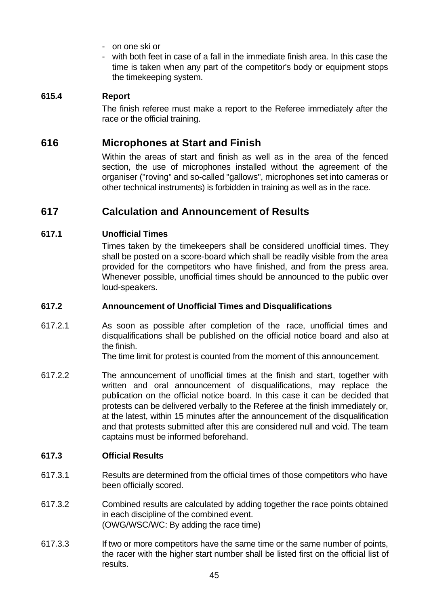- on one ski or
- with both feet in case of a fall in the immediate finish area. In this case the time is taken when any part of the competitor's body or equipment stops the timekeeping system.

### **615.4 Report**

The finish referee must make a report to the Referee immediately after the race or the official training.

# **616 Microphones at Start and Finish**

Within the areas of start and finish as well as in the area of the fenced section, the use of microphones installed without the agreement of the organiser ("roving" and so-called "gallows", microphones set into cameras or other technical instruments) is forbidden in training as well as in the race.

# **617 Calculation and Announcement of Results**

### **617.1 Unofficial Times**

Times taken by the timekeepers shall be considered unofficial times. They shall be posted on a score-board which shall be readily visible from the area provided for the competitors who have finished, and from the press area. Whenever possible, unofficial times should be announced to the public over loud-speakers.

### **617.2 Announcement of Unofficial Times and Disqualifications**

617.2.1 As soon as possible after completion of the race, unofficial times and disqualifications shall be published on the official notice board and also at the finish.

The time limit for protest is counted from the moment of this announcement.

617.2.2 The announcement of unofficial times at the finish and start, together with written and oral announcement of disqualifications, may replace the publication on the official notice board. In this case it can be decided that protests can be delivered verbally to the Referee at the finish immediately or, at the latest, within 15 minutes after the announcement of the disqualification and that protests submitted after this are considered null and void. The team captains must be informed beforehand.

#### **617.3 Official Results**

- 617.3.1 Results are determined from the official times of those competitors who have been officially scored.
- 617.3.2 Combined results are calculated by adding together the race points obtained in each discipline of the combined event. (OWG/WSC/WC: By adding the race time)
- 617.3.3 If two or more competitors have the same time or the same number of points, the racer with the higher start number shall be listed first on the official list of results.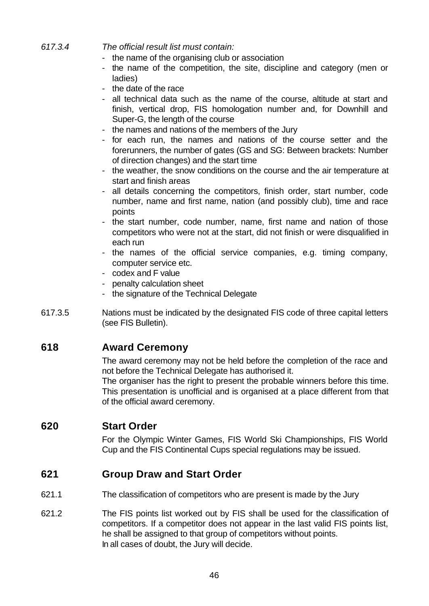- *617.3.4 The official result list must contain:*
	- the name of the organising club or association
	- the name of the competition, the site, discipline and category (men or ladies)
	- the date of the race
	- all technical data such as the name of the course, altitude at start and finish, vertical drop, FIS homologation number and, for Downhill and Super-G, the length of the course
	- the names and nations of the members of the Jury
	- for each run, the names and nations of the course setter and the forerunners, the number of gates (GS and SG: Between brackets: Number of direction changes) and the start time
	- the weather, the snow conditions on the course and the air temperature at start and finish areas
	- all details concerning the competitors, finish order, start number, code number, name and first name, nation (and possibly club), time and race points
	- the start number, code number, name, first name and nation of those competitors who were not at the start, did not finish or were disqualified in each run
	- the names of the official service companies, e.g. timing company, computer service etc.
	- codex and F value
	- penalty calculation sheet
	- the signature of the Technical Delegate
- 617.3.5 Nations must be indicated by the designated FIS code of three capital letters (see FIS Bulletin).

# **618 Award Ceremony**

The award ceremony may not be held before the completion of the race and not before the Technical Delegate has authorised it. The organiser has the right to present the probable winners before this time.

This presentation is unofficial and is organised at a place different from that of the official award ceremony.

# **620 Start Order**

For the Olympic Winter Games, FIS World Ski Championships, FIS World Cup and the FIS Continental Cups special regulations may be issued.

# **621 Group Draw and Start Order**

- 621.1 The classification of competitors who are present is made by the Jury
- 621.2 The FIS points list worked out by FIS shall be used for the classification of competitors. If a competitor does not appear in the last valid FIS points list, he shall be assigned to that group of competitors without points. In all cases of doubt, the Jury will decide.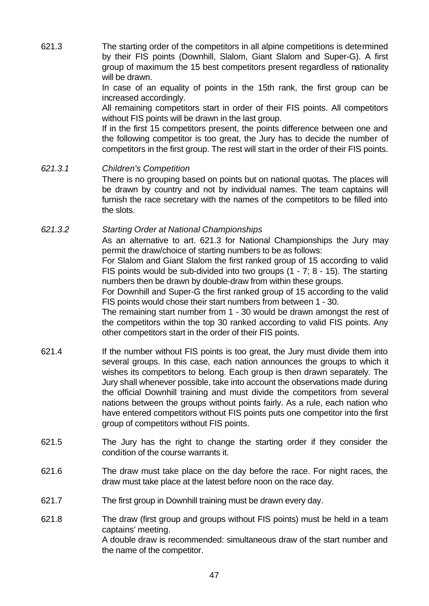621.3 The starting order of the competitors in all alpine competitions is determined by their FIS points (Downhill, Slalom, Giant Slalom and Super-G). A first group of maximum the 15 best competitors present regardless of nationality will be drawn.

> In case of an equality of points in the 15th rank, the first group can be increased accordingly.

> All remaining competitors start in order of their FIS points. All competitors without FIS points will be drawn in the last group.

> If in the first 15 competitors present, the points difference between one and the following competitor is too great, the Jury has to decide the number of competitors in the first group. The rest will start in the order of their FIS points.

*621.3.1 Children's Competition*

There is no grouping based on points but on national quotas. The places will be drawn by country and not by individual names. The team captains will furnish the race secretary with the names of the competitors to be filled into the slots.

#### *621.3.2 Starting Order at National Championships*

As an alternative to art. 621.3 for National Championships the Jury may permit the draw/choice of starting numbers to be as follows:

For Slalom and Giant Slalom the first ranked group of 15 according to valid FIS points would be sub-divided into two groups (1 - 7; 8 - 15). The starting numbers then be drawn by double-draw from within these groups.

For Downhill and Super-G the first ranked group of 15 according to the valid FIS points would chose their start numbers from between 1 - 30.

The remaining start number from 1 - 30 would be drawn amongst the rest of the competitors within the top 30 ranked according to valid FIS points. Any other competitors start in the order of their FIS points.

- 621.4 If the number without FIS points is too great, the Jury must divide them into several groups. In this case, each nation announces the groups to which it wishes its competitors to belong. Each group is then drawn separately. The Jury shall whenever possible, take into account the observations made during the official Downhill training and must divide the competitors from several nations between the groups without points fairly. As a rule, each nation who have entered competitors without FIS points puts one competitor into the first group of competitors without FIS points.
- 621.5 The Jury has the right to change the starting order if they consider the condition of the course warrants it.
- 621.6 The draw must take place on the day before the race. For night races, the draw must take place at the latest before noon on the race day.
- 621.7 The first group in Downhill training must be drawn every day.
- 621.8 The draw (first group and groups without FIS points) must be held in a team captains' meeting. A double draw is recommended: simultaneous draw of the start number and the name of the competitor.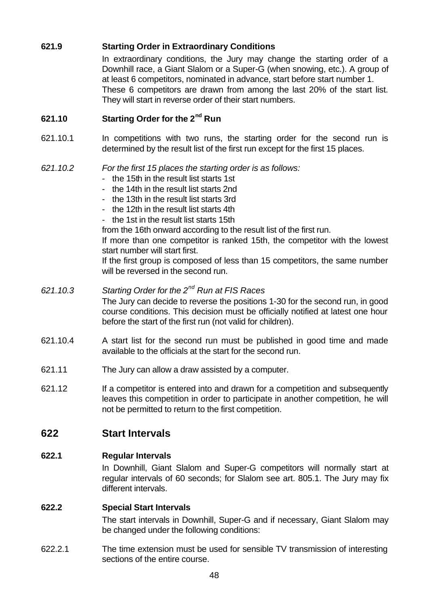### **621.9 Starting Order in Extraordinary Conditions**

In extraordinary conditions, the Jury may change the starting order of a Downhill race, a Giant Slalom or a Super-G (when snowing, etc.). A group of at least 6 competitors, nominated in advance, start before start number 1. These 6 competitors are drawn from among the last 20% of the start list. They will start in reverse order of their start numbers.

### **621.10 Starting Order for the 2nd Run**

621.10.1 In competitions with two runs, the starting order for the second run is determined by the result list of the first run except for the first 15 places.

### *621.10.2 For the first 15 places the starting order is as follows:*

- the 15th in the result list starts 1st
- the 14th in the result list starts 2nd
- the 13th in the result list starts 3rd
- the 12th in the result list starts 4th
- the 1st in the result list starts 15th

from the 16th onward according to the result list of the first run.

If more than one competitor is ranked 15th, the competitor with the lowest start number will start first.

If the first group is composed of less than 15 competitors, the same number will be reversed in the second run.

- *621.10.3 Starting Order for the 2nd Run at FIS Races* The Jury can decide to reverse the positions 1-30 for the second run, in good course conditions. This decision must be officially notified at latest one hour before the start of the first run (not valid for children).
- 621.10.4 A start list for the second run must be published in good time and made available to the officials at the start for the second run.
- 621.11 The Jury can allow a draw assisted by a computer.
- 621.12 If a competitor is entered into and drawn for a competition and subsequently leaves this competition in order to participate in another competition, he will not be permitted to return to the first competition.

# **622 Start Intervals**

#### **622.1 Regular Intervals**

In Downhill, Giant Slalom and Super-G competitors will normally start at regular intervals of 60 seconds; for Slalom see art. 805.1. The Jury may fix different intervals.

#### **622.2 Special Start Intervals**

The start intervals in Downhill, Super-G and if necessary, Giant Slalom may be changed under the following conditions:

622.2.1 The time extension must be used for sensible TV transmission of interesting sections of the entire course.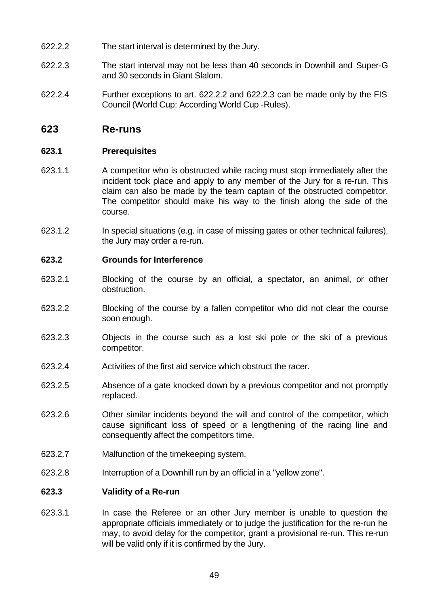- 622.2.2 The start interval is determined by the Jury.
- 622.2.3 The start interval may not be less than 40 seconds in Downhill and Super-G and 30 seconds in Giant Slalom.
- 622.2.4 Further exceptions to art. 622.2.2 and 622.2.3 can be made only by the FIS Council (World Cup: According World Cup -Rules).

### **623 Re-runs**

#### **623.1 Prerequisites**

- 623.1.1 A competitor who is obstructed while racing must stop immediately after the incident took place and apply to any member of the Jury for a re-run. This claim can also be made by the team captain of the obstructed competitor. The competitor should make his way to the finish along the side of the course.
- 623.1.2 In special situations (e.g. in case of missing gates or other technical failures), the Jury may order a re-run.

#### **623.2 Grounds for Interference**

- 623.2.1 Blocking of the course by an official, a spectator, an animal, or other obstruction.
- 623.2.2 Blocking of the course by a fallen competitor who did not clear the course soon enough.
- 623.2.3 Objects in the course such as a lost ski pole or the ski of a previous competitor.
- 623.2.4 Activities of the first aid service which obstruct the racer.
- 623.2.5 Absence of a gate knocked down by a previous competitor and not promptly replaced.
- 623.2.6 Other similar incidents beyond the will and control of the competitor, which cause significant loss of speed or a lengthening of the racing line and consequently affect the competitors time.
- 623.2.7 Malfunction of the timekeeping system.
- 623.2.8 Interruption of a Downhill run by an official in a "yellow zone".

#### **623.3 Validity of a Re-run**

623.3.1 In case the Referee or an other Jury member is unable to question the appropriate officials immediately or to judge the justification for the re-run he may, to avoid delay for the competitor, grant a provisional re-run. This re-run will be valid only if it is confirmed by the Jury.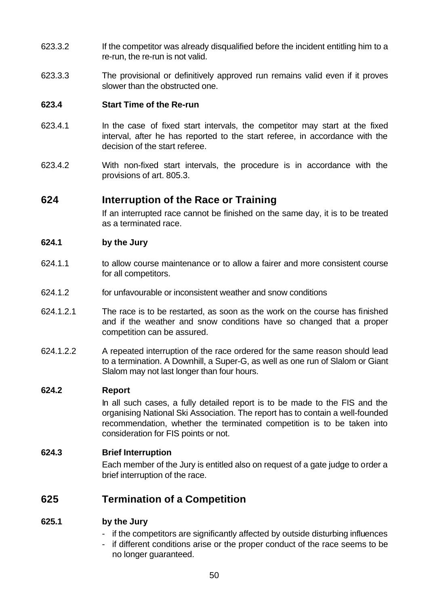- 623.3.2 If the competitor was already disqualified before the incident entitling him to a re-run, the re-run is not valid.
- 623.3.3 The provisional or definitively approved run remains valid even if it proves slower than the obstructed one.

#### **623.4 Start Time of the Re-run**

- 623.4.1 In the case of fixed start intervals, the competitor may start at the fixed interval, after he has reported to the start referee, in accordance with the decision of the start referee.
- 623.4.2 With non-fixed start intervals, the procedure is in accordance with the provisions of art. 805.3.

## **624 Interruption of the Race or Training**

If an interrupted race cannot be finished on the same day, it is to be treated as a terminated race.

### **624.1 by the Jury**

- 624.1.1 to allow course maintenance or to allow a fairer and more consistent course for all competitors.
- 624.1.2 for unfavourable or inconsistent weather and snow conditions
- 624.1.2.1 The race is to be restarted, as soon as the work on the course has finished and if the weather and snow conditions have so changed that a proper competition can be assured.
- 624.1.2.2 A repeated interruption of the race ordered for the same reason should lead to a termination. A Downhill, a Super-G, as well as one run of Slalom or Giant Slalom may not last longer than four hours.

### **624.2 Report**

In all such cases, a fully detailed report is to be made to the FIS and the organising National Ski Association. The report has to contain a well-founded recommendation, whether the terminated competition is to be taken into consideration for FIS points or not.

#### **624.3 Brief Interruption**

Each member of the Jury is entitled also on request of a gate judge to order a brief interruption of the race.

# **625 Termination of a Competition**

#### **625.1 by the Jury**

- if the competitors are significantly affected by outside disturbing influences
- if different conditions arise or the proper conduct of the race seems to be no longer guaranteed.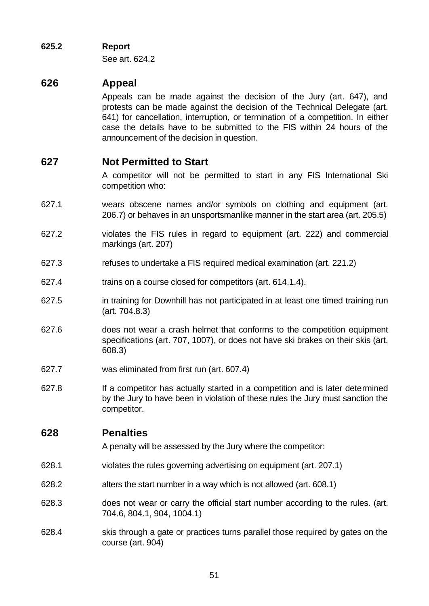## **625.2 Report**

See art. 624.2

# **626 Appeal**

Appeals can be made against the decision of the Jury (art. 647), and protests can be made against the decision of the Technical Delegate (art. 641) for cancellation, interruption, or termination of a competition. In either case the details have to be submitted to the FIS within 24 hours of the announcement of the decision in question.

# **627 Not Permitted to Start**

A competitor will not be permitted to start in any FIS International Ski competition who:

- 627.1 wears obscene names and/or symbols on clothing and equipment (art. 206.7) or behaves in an unsportsmanlike manner in the start area (art. 205.5)
- 627.2 violates the FIS rules in regard to equipment (art. 222) and commercial markings (art. 207)
- 627.3 refuses to undertake a FIS required medical examination (art. 221.2)
- 627.4 trains on a course closed for competitors (art. 614.1.4).
- 627.5 in training for Downhill has not participated in at least one timed training run (art. 704.8.3)
- 627.6 does not wear a crash helmet that conforms to the competition equipment specifications (art. 707, 1007), or does not have ski brakes on their skis (art. 608.3)
- 627.7 was eliminated from first run (art. 607.4)
- 627.8 If a competitor has actually started in a competition and is later determined by the Jury to have been in violation of these rules the Jury must sanction the competitor.

# **628 Penalties**

A penalty will be assessed by the Jury where the competitor:

- 628.1 violates the rules governing advertising on equipment (art. 207.1)
- 628.2 alters the start number in a way which is not allowed (art. 608.1)
- 628.3 does not wear or carry the official start number according to the rules. (art. 704.6, 804.1, 904, 1004.1)
- 628.4 skis through a gate or practices turns parallel those required by gates on the course (art. 904)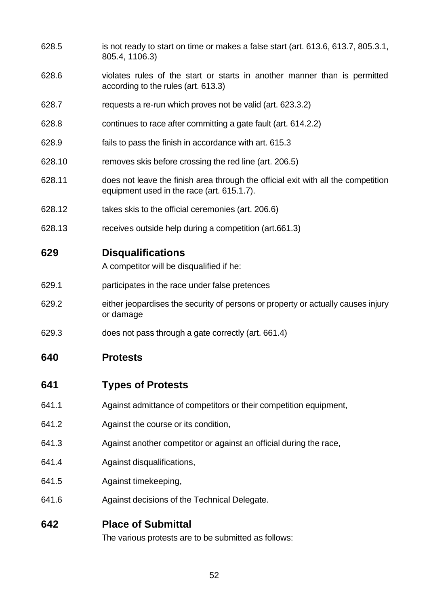- 628.5 is not ready to start on time or makes a false start (art. 613.6, 613.7, 805.3.1, 805.4, 1106.3)
- 628.6 violates rules of the start or starts in another manner than is permitted according to the rules (art. 613.3)
- 628.7 requests a re-run which proves not be valid (art. 623.3.2)
- 628.8 continues to race after committing a gate fault (art. 614.2.2)
- 628.9 fails to pass the finish in accordance with art. 615.3
- 628.10 removes skis before crossing the red line (art. 206.5)
- 628.11 does not leave the finish area through the official exit with all the competition equipment used in the race (art. 615.1.7).
- 628.12 takes skis to the official ceremonies (art. 206.6)
- 628.13 receives outside help during a competition (art.661.3)

### **629 Disqualifications**

A competitor will be disqualified if he:

- 629.1 participates in the race under false pretences
- 629.2 either jeopardises the security of persons or property or actually causes injury or damage
- 629.3 does not pass through a gate correctly (art. 661.4)

### **640 Protests**

- **641 Types of Protests**
- 641.1 Against admittance of competitors or their competition equipment,
- 641.2 Against the course or its condition,
- 641.3 Against another competitor or against an official during the race,
- 641.4 Against disqualifications,
- 641.5 Against timekeeping,
- 641.6 Against decisions of the Technical Delegate.

# **642 Place of Submittal**

The various protests are to be submitted as follows: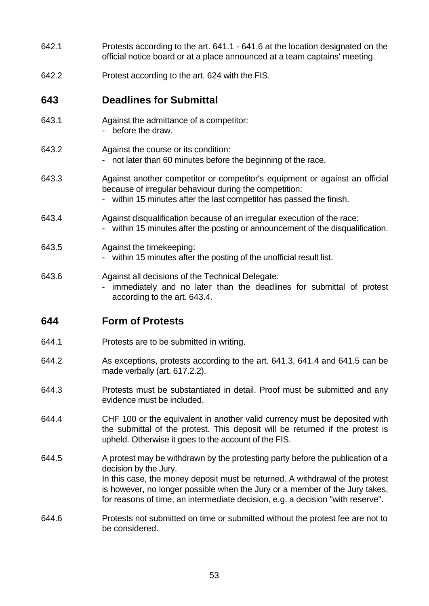| 642.1 | Protests according to the art. 641.1 - 641.6 at the location designated on the<br>official notice board or at a place announced at a team captains' meeting.                                                                                                                                                                                              |
|-------|-----------------------------------------------------------------------------------------------------------------------------------------------------------------------------------------------------------------------------------------------------------------------------------------------------------------------------------------------------------|
| 642.2 | Protest according to the art. 624 with the FIS.                                                                                                                                                                                                                                                                                                           |
| 643   | <b>Deadlines for Submittal</b>                                                                                                                                                                                                                                                                                                                            |
| 643.1 | Against the admittance of a competitor:<br>before the draw.                                                                                                                                                                                                                                                                                               |
| 643.2 | Against the course or its condition:<br>not later than 60 minutes before the beginning of the race.                                                                                                                                                                                                                                                       |
| 643.3 | Against another competitor or competitor's equipment or against an official<br>because of irregular behaviour during the competition:<br>within 15 minutes after the last competitor has passed the finish.                                                                                                                                               |
| 643.4 | Against disqualification because of an irregular execution of the race:<br>- within 15 minutes after the posting or announcement of the disqualification.                                                                                                                                                                                                 |
| 643.5 | Against the timekeeping:<br>- within 15 minutes after the posting of the unofficial result list.                                                                                                                                                                                                                                                          |
| 643.6 | Against all decisions of the Technical Delegate:<br>immediately and no later than the deadlines for submittal of protest                                                                                                                                                                                                                                  |
|       | according to the art. 643.4.                                                                                                                                                                                                                                                                                                                              |
| 644   | <b>Form of Protests</b>                                                                                                                                                                                                                                                                                                                                   |
| 644.1 | Protests are to be submitted in writing.                                                                                                                                                                                                                                                                                                                  |
| 644.2 | As exceptions, protests according to the art. 641.3, 641.4 and 641.5 can be<br>made verbally (art. 617.2.2).                                                                                                                                                                                                                                              |
| 644.3 | Protests must be substantiated in detail. Proof must be submitted and any<br>evidence must be included.                                                                                                                                                                                                                                                   |
| 644.4 | CHF 100 or the equivalent in another valid currency must be deposited with<br>the submittal of the protest. This deposit will be returned if the protest is<br>upheld. Otherwise it goes to the account of the FIS.                                                                                                                                       |
| 644.5 | A protest may be withdrawn by the protesting party before the publication of a<br>decision by the Jury.<br>In this case, the money deposit must be returned. A withdrawal of the protest<br>is however, no longer possible when the Jury or a member of the Jury takes,<br>for reasons of time, an intermediate decision, e.g. a decision "with reserve". |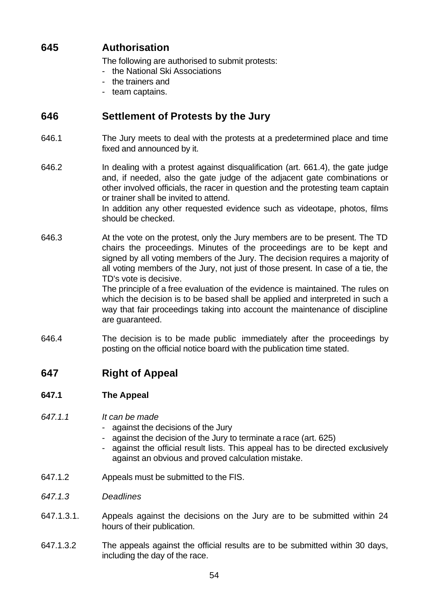# **645 Authorisation**

The following are authorised to submit protests:

- the National Ski Associations
- the trainers and
- team captains.

# **646 Settlement of Protests by the Jury**

- 646.1 The Jury meets to deal with the protests at a predetermined place and time fixed and announced by it.
- 646.2 In dealing with a protest against disqualification (art. 661.4), the gate judge and, if needed, also the gate judge of the adjacent gate combinations or other involved officials, the racer in question and the protesting team captain or trainer shall be invited to attend. In addition any other requested evidence such as videotape, photos, films should be checked.
- 646.3 At the vote on the protest, only the Jury members are to be present. The TD chairs the proceedings. Minutes of the proceedings are to be kept and signed by all voting members of the Jury. The decision requires a majority of all voting members of the Jury, not just of those present. In case of a tie, the TD's vote is decisive.

The principle of a free evaluation of the evidence is maintained. The rules on which the decision is to be based shall be applied and interpreted in such a way that fair proceedings taking into account the maintenance of discipline are guaranteed.

646.4 The decision is to be made public immediately after the proceedings by posting on the official notice board with the publication time stated.

# **647 Right of Appeal**

### **647.1 The Appeal**

- *647.1.1 It can be made*
	- against the decisions of the Jury
	- against the decision of the Jury to terminate a race (art. 625)
	- against the official result lists. This appeal has to be directed exclusively against an obvious and proved calculation mistake.
- 647.1.2 Appeals must be submitted to the FIS.
- *647.1.3 Deadlines*
- 647.1.3.1. Appeals against the decisions on the Jury are to be submitted within 24 hours of their publication.
- 647.1.3.2 The appeals against the official results are to be submitted within 30 days, including the day of the race.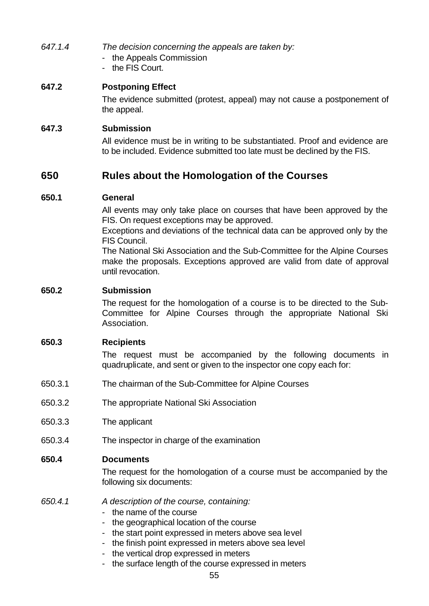- *647.1.4 The decision concerning the appeals are taken by:*
	- the Appeals Commission
	- the FIS Court.

### **647.2 Postponing Effect**

The evidence submitted (protest, appeal) may not cause a postponement of the appeal.

### **647.3 Submission**

All evidence must be in writing to be substantiated. Proof and evidence are to be included. Evidence submitted too late must be declined by the FIS.

# **650 Rules about the Homologation of the Courses**

#### **650.1 General**

All events may only take place on courses that have been approved by the FIS. On request exceptions may be approved.

Exceptions and deviations of the technical data can be approved only by the FIS Council.

The National Ski Association and the Sub-Committee for the Alpine Courses make the proposals. Exceptions approved are valid from date of approval until revocation.

### **650.2 Submission**

The request for the homologation of a course is to be directed to the Sub-Committee for Alpine Courses through the appropriate National Ski Association.

### **650.3 Recipients**

The request must be accompanied by the following documents in quadruplicate, and sent or given to the inspector one copy each for:

- 650.3.1 The chairman of the Sub-Committee for Alpine Courses
- 650.3.2 The appropriate National Ski Association
- 650.3.3 The applicant
- 650.3.4 The inspector in charge of the examination

### **650.4 Documents**

The request for the homologation of a course must be accompanied by the following six documents:

- *650.4.1 A description of the course, containing:*
	- the name of the course
	- the geographical location of the course
	- the start point expressed in meters above sea level
	- the finish point expressed in meters above sea level
	- the vertical drop expressed in meters
	- the surface length of the course expressed in meters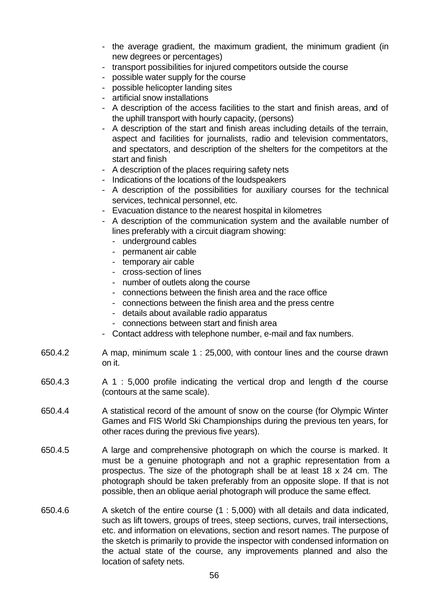- the average gradient, the maximum gradient, the minimum gradient (in new degrees or percentages)
- transport possibilities for injured competitors outside the course
- possible water supply for the course
- possible helicopter landing sites
- artificial snow installations
- A description of the access facilities to the start and finish areas, and of the uphill transport with hourly capacity, (persons)
- A description of the start and finish areas including details of the terrain, aspect and facilities for journalists, radio and television commentators, and spectators, and description of the shelters for the competitors at the start and finish
- A description of the places requiring safety nets
- Indications of the locations of the loudspeakers
- A description of the possibilities for auxiliary courses for the technical services, technical personnel, etc.
- Evacuation distance to the nearest hospital in kilometres
- A description of the communication system and the available number of lines preferably with a circuit diagram showing:
	- underground cables
	- permanent air cable
	- temporary air cable
	- cross-section of lines
	- number of outlets along the course
	- connections between the finish area and the race office
	- connections between the finish area and the press centre
	- details about available radio apparatus
	- connections between start and finish area
- Contact address with telephone number, e-mail and fax numbers.
- 650.4.2 A map, minimum scale 1 : 25,000, with contour lines and the course drawn on it.
- $650.4.3$  A 1 : 5,000 profile indicating the vertical drop and length  $d$  the course (contours at the same scale).
- 650.4.4 A statistical record of the amount of snow on the course (for Olympic Winter Games and FIS World Ski Championships during the previous ten years, for other races during the previous five years).
- 650.4.5 A large and comprehensive photograph on which the course is marked. It must be a genuine photograph and not a graphic representation from a prospectus. The size of the photograph shall be at least 18 x 24 cm. The photograph should be taken preferably from an opposite slope. If that is not possible, then an oblique aerial photograph will produce the same effect.
- 650.4.6 A sketch of the entire course (1 : 5,000) with all details and data indicated, such as lift towers, groups of trees, steep sections, curves, trail intersections, etc. and information on elevations, section and resort names. The purpose of the sketch is primarily to provide the inspector with condensed information on the actual state of the course, any improvements planned and also the location of safety nets.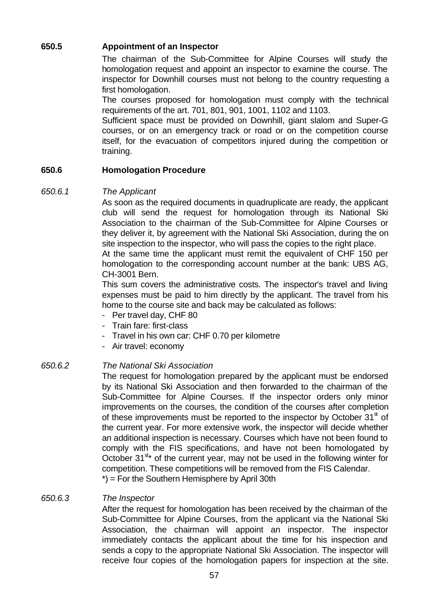## **650.5 Appointment of an Inspector**

The chairman of the Sub-Committee for Alpine Courses will study the homologation request and appoint an inspector to examine the course. The inspector for Downhill courses must not belong to the country requesting a first homologation.

The courses proposed for homologation must comply with the technical requirements of the art. 701, 801, 901, 1001, 1102 and 1103.

Sufficient space must be provided on Downhill, giant slalom and Super-G courses, or on an emergency track or road or on the competition course itself, for the evacuation of competitors injured during the competition or training.

#### **650.6 Homologation Procedure**

#### *650.6.1 The Applicant*

As soon as the required documents in quadruplicate are ready, the applicant club will send the request for homologation through its National Ski Association to the chairman of the Sub-Committee for Alpine Courses or they deliver it, by agreement with the National Ski Association, during the on site inspection to the inspector, who will pass the copies to the right place.

At the same time the applicant must remit the equivalent of CHF 150 per homologation to the corresponding account number at the bank: UBS AG, CH-3001 Bern.

This sum covers the administrative costs. The inspector's travel and living expenses must be paid to him directly by the applicant. The travel from his home to the course site and back may be calculated as follows:

- Per travel day, CHF 80
- Train fare: first-class
- Travel in his own car: CHF 0.70 per kilometre
- Air travel: economy

#### *650.6.2 The National Ski Association*

The request for homologation prepared by the applicant must be endorsed by its National Ski Association and then forwarded to the chairman of the Sub-Committee for Alpine Courses. If the inspector orders only minor improvements on the courses, the condition of the courses after completion of these improvements must be reported to the inspector by October  $31<sup>st</sup>$  of the current year. For more extensive work, the inspector will decide whether an additional inspection is necessary. Courses which have not been found to comply with the FIS specifications, and have not been homologated by October  $31^{st*}$  of the current year, may not be used in the following winter for competition. These competitions will be removed from the FIS Calendar. \*) = For the Southern Hemisphere by April 30th

#### *650.6.3 The Inspector*

After the request for homologation has been received by the chairman of the Sub-Committee for Alpine Courses, from the applicant via the National Ski Association, the chairman will appoint an inspector. The inspector immediately contacts the applicant about the time for his inspection and sends a copy to the appropriate National Ski Association. The inspector will receive four copies of the homologation papers for inspection at the site.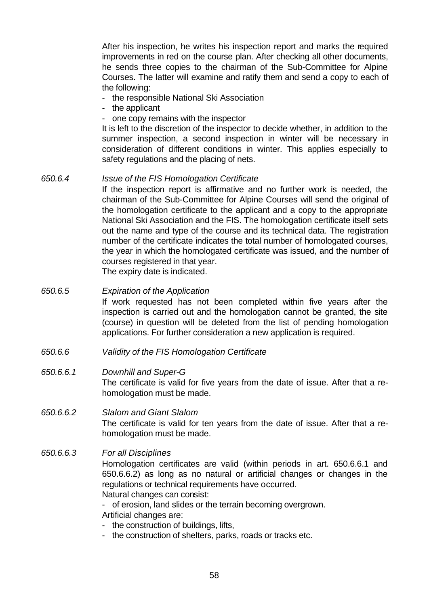After his inspection, he writes his inspection report and marks the required improvements in red on the course plan. After checking all other documents, he sends three copies to the chairman of the Sub-Committee for Alpine Courses. The latter will examine and ratify them and send a copy to each of the following:

- the responsible National Ski Association
- the applicant
- one copy remains with the inspector

It is left to the discretion of the inspector to decide whether, in addition to the summer inspection, a second inspection in winter will be necessary in consideration of different conditions in winter. This applies especially to safety regulations and the placing of nets.

#### *650.6.4 Issue of the FIS Homologation Certificate*

If the inspection report is affirmative and no further work is needed, the chairman of the Sub-Committee for Alpine Courses will send the original of the homologation certificate to the applicant and a copy to the appropriate National Ski Association and the FIS. The homologation certificate itself sets out the name and type of the course and its technical data. The registration number of the certificate indicates the total number of homologated courses, the year in which the homologated certificate was issued, and the number of courses registered in that year.

The expiry date is indicated.

#### *650.6.5 Expiration of the Application*

If work requested has not been completed within five years after the inspection is carried out and the homologation cannot be granted, the site (course) in question will be deleted from the list of pending homologation applications. For further consideration a new application is required.

*650.6.6 Validity of the FIS Homologation Certificate*

### *650.6.6.1 Downhill and Super-G*

The certificate is valid for five years from the date of issue. After that a rehomologation must be made.

#### *650.6.6.2 Slalom and Giant Slalom*

The certificate is valid for ten years from the date of issue. After that a rehomologation must be made.

#### *650.6.6.3 For all Disciplines*

Homologation certificates are valid (within periods in art. 650.6.6.1 and 650.6.6.2) as long as no natural or artificial changes or changes in the regulations or technical requirements have occurred.

Natural changes can consist:

- of erosion, land slides or the terrain becoming overgrown.

- Artificial changes are:
- the construction of buildings, lifts,
- the construction of shelters, parks, roads or tracks etc.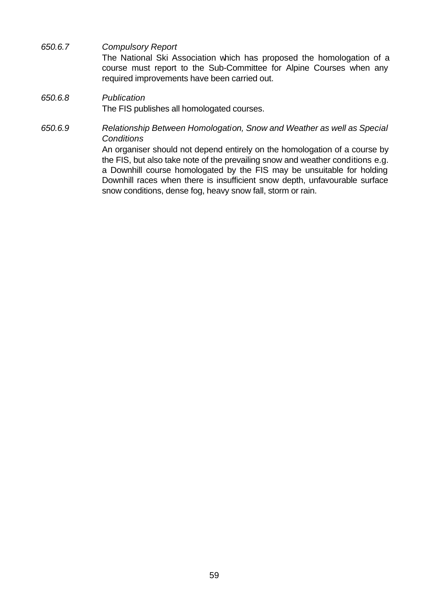*650.6.7 Compulsory Report* The National Ski Association which has proposed the homologation of a course must report to the Sub-Committee for Alpine Courses when any required improvements have been carried out.

### *650.6.8 Publication* The FIS publishes all homologated courses.

*650.6.9 Relationship Between Homologation, Snow and Weather as well as Special Conditions* An organiser should not depend entirely on the homologation of a course by the FIS, but also take note of the prevailing snow and weather conditions e.g. a Downhill course homologated by the FIS may be unsuitable for holding Downhill races when there is insufficient snow depth, unfavourable surface snow conditions, dense fog, heavy snow fall, storm or rain.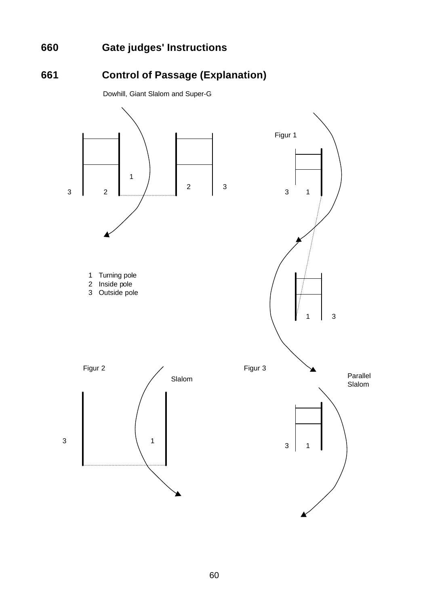# **Gate judges' Instructions**

# **Control of Passage (Explanation)**

Dowhill, Giant Slalom and Super-G

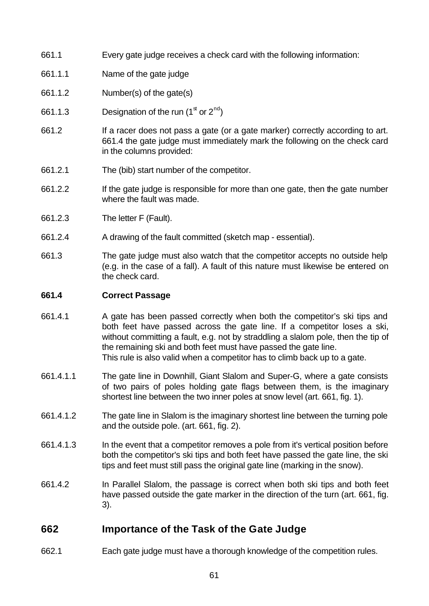- 661.1 Every gate judge receives a check card with the following information:
- 661.1.1 Name of the gate judge
- 661.1.2 Number(s) of the gate(s)
- 661.1.3 Designation of the run  $(1^{\text{st}}$  or  $2^{\text{nd}})$
- 661.2 If a racer does not pass a gate (or a gate marker) correctly according to art. 661.4 the gate judge must immediately mark the following on the check card in the columns provided:
- 661.2.1 The (bib) start number of the competitor.
- 661.2.2 If the gate judge is responsible for more than one gate, then the gate number where the fault was made.
- 661.2.3 The letter F (Fault).
- 661.2.4 A drawing of the fault committed (sketch map essential).
- 661.3 The gate judge must also watch that the competitor accepts no outside help (e.g. in the case of a fall). A fault of this nature must likewise be entered on the check card.

#### **661.4 Correct Passage**

- 661.4.1 A gate has been passed correctly when both the competitor's ski tips and both feet have passed across the gate line. If a competitor loses a ski, without committing a fault, e.g. not by straddling a slalom pole, then the tip of the remaining ski and both feet must have passed the gate line. This rule is also valid when a competitor has to climb back up to a gate.
- 661.4.1.1 The gate line in Downhill, Giant Slalom and Super-G, where a gate consists of two pairs of poles holding gate flags between them, is the imaginary shortest line between the two inner poles at snow level (art. 661, fig. 1).
- 661.4.1.2 The gate line in Slalom is the imaginary shortest line between the turning pole and the outside pole. (art. 661, fig. 2).
- 661.4.1.3 In the event that a competitor removes a pole from it's vertical position before both the competitor's ski tips and both feet have passed the gate line, the ski tips and feet must still pass the original gate line (marking in the snow).
- 661.4.2 In Parallel Slalom, the passage is correct when both ski tips and both feet have passed outside the gate marker in the direction of the turn (art. 661, fig. 3).

# **662 Importance of the Task of the Gate Judge**

662.1 Each gate judge must have a thorough knowledge of the competition rules.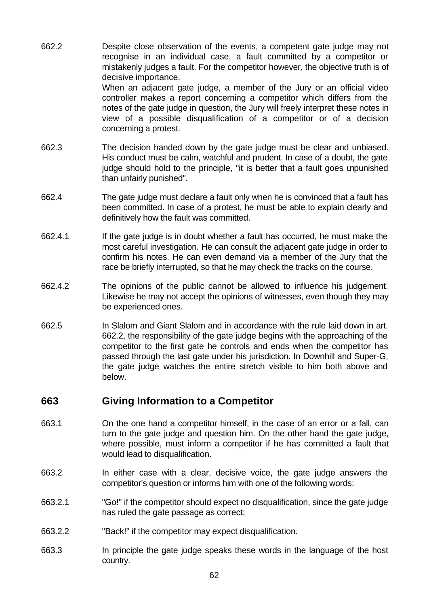- 662.2 Despite close observation of the events, a competent gate judge may not recognise in an individual case, a fault committed by a competitor or mistakenly judges a fault. For the competitor however, the objective truth is of decisive importance. When an adjacent gate judge, a member of the Jury or an official video controller makes a report concerning a competitor which differs from the notes of the gate judge in question, the Jury will freely interpret these notes in view of a possible disqualification of a competitor or of a decision concerning a protest.
- 662.3 The decision handed down by the gate judge must be clear and unbiased. His conduct must be calm, watchful and prudent. In case of a doubt, the gate judge should hold to the principle, "it is better that a fault goes unpunished than unfairly punished".
- 662.4 The gate judge must declare a fault only when he is convinced that a fault has been committed. In case of a protest, he must be able to explain clearly and definitively how the fault was committed.
- 662.4.1 If the gate judge is in doubt whether a fault has occurred, he must make the most careful investigation. He can consult the adjacent gate judge in order to confirm his notes. He can even demand via a member of the Jury that the race be briefly interrupted, so that he may check the tracks on the course.
- 662.4.2 The opinions of the public cannot be allowed to influence his judgement. Likewise he may not accept the opinions of witnesses, even though they may be experienced ones.
- 662.5 In Slalom and Giant Slalom and in accordance with the rule laid down in art. 662.2, the responsibility of the gate judge begins with the approaching of the competitor to the first gate he controls and ends when the competitor has passed through the last gate under his jurisdiction. In Downhill and Super-G, the gate judge watches the entire stretch visible to him both above and below.

# **663 Giving Information to a Competitor**

- 663.1 On the one hand a competitor himself, in the case of an error or a fall, can turn to the gate judge and question him. On the other hand the gate judge, where possible, must inform a competitor if he has committed a fault that would lead to disqualification.
- 663.2 In either case with a clear, decisive voice, the gate judge answers the competitor's question or informs him with one of the following words:
- 663.2.1 "Go!" if the competitor should expect no disqualification, since the gate judge has ruled the gate passage as correct;
- 663.2.2 "Back!" if the competitor may expect disqualification.
- 663.3 In principle the gate judge speaks these words in the language of the host country.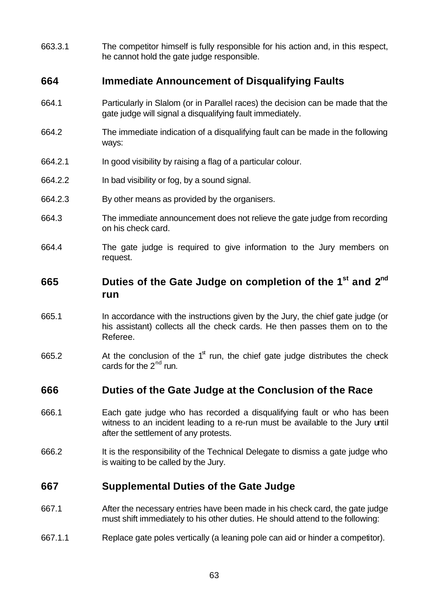663.3.1 The competitor himself is fully responsible for his action and, in this respect, he cannot hold the gate judge responsible.

# **664 Immediate Announcement of Disqualifying Faults**

- 664.1 Particularly in Slalom (or in Parallel races) the decision can be made that the gate judge will signal a disqualifying fault immediately.
- 664.2 The immediate indication of a disqualifying fault can be made in the following ways:
- 664.2.1 In good visibility by raising a flag of a particular colour.
- 664.2.2 In bad visibility or fog, by a sound signal.
- 664.2.3 By other means as provided by the organisers.
- 664.3 The immediate announcement does not relieve the gate judge from recording on his check card.
- 664.4 The gate judge is required to give information to the Jury members on request.

# **665 Duties of the Gate Judge on completion of the 1st and 2nd run**

- 665.1 In accordance with the instructions given by the Jury, the chief gate judge (or his assistant) collects all the check cards. He then passes them on to the Referee.
- 665.2 At the conclusion of the  $1<sup>st</sup>$  run, the chief gate judge distributes the check cards for the  $2<sup>nd</sup>$  run.

# **666 Duties of the Gate Judge at the Conclusion of the Race**

- 666.1 Each gate judge who has recorded a disqualifying fault or who has been witness to an incident leading to a re-run must be available to the Jury until after the settlement of any protests.
- 666.2 It is the responsibility of the Technical Delegate to dismiss a gate judge who is waiting to be called by the Jury.

# **667 Supplemental Duties of the Gate Judge**

- 667.1 After the necessary entries have been made in his check card, the gate judge must shift immediately to his other duties. He should attend to the following:
- 667.1.1 Replace gate poles vertically (a leaning pole can aid or hinder a competitor).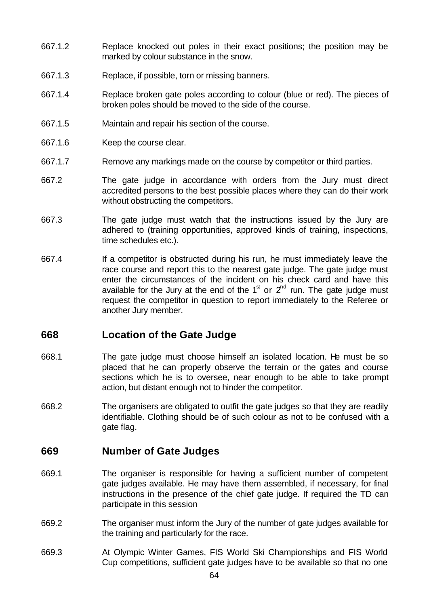- 667.1.2 Replace knocked out poles in their exact positions; the position may be marked by colour substance in the snow.
- 667.1.3 Replace, if possible, torn or missing banners.
- 667.1.4 Replace broken gate poles according to colour (blue or red). The pieces of broken poles should be moved to the side of the course.
- 667.1.5 Maintain and repair his section of the course.
- 667.1.6 Keep the course clear.
- 667.1.7 Remove any markings made on the course by competitor or third parties.
- 667.2 The gate judge in accordance with orders from the Jury must direct accredited persons to the best possible places where they can do their work without obstructing the competitors.
- 667.3 The gate judge must watch that the instructions issued by the Jury are adhered to (training opportunities, approved kinds of training, inspections, time schedules etc.).
- 667.4 If a competitor is obstructed during his run, he must immediately leave the race course and report this to the nearest gate judge. The gate judge must enter the circumstances of the incident on his check card and have this available for the Jury at the end of the  $1<sup>st</sup>$  or  $2<sup>nd</sup>$  run. The gate judge must request the competitor in question to report immediately to the Referee or another Jury member.

# **668 Location of the Gate Judge**

- 668.1 The gate judge must choose himself an isolated location. He must be so placed that he can properly observe the terrain or the gates and course sections which he is to oversee, near enough to be able to take prompt action, but distant enough not to hinder the competitor.
- 668.2 The organisers are obligated to outfit the gate judges so that they are readily identifiable. Clothing should be of such colour as not to be confused with a gate flag.

# **669 Number of Gate Judges**

- 669.1 The organiser is responsible for having a sufficient number of competent gate judges available. He may have them assembled, if necessary, for final instructions in the presence of the chief gate judge. If required the TD can participate in this session
- 669.2 The organiser must inform the Jury of the number of gate judges available for the training and particularly for the race.
- 669.3 At Olympic Winter Games, FIS World Ski Championships and FIS World Cup competitions, sufficient gate judges have to be available so that no one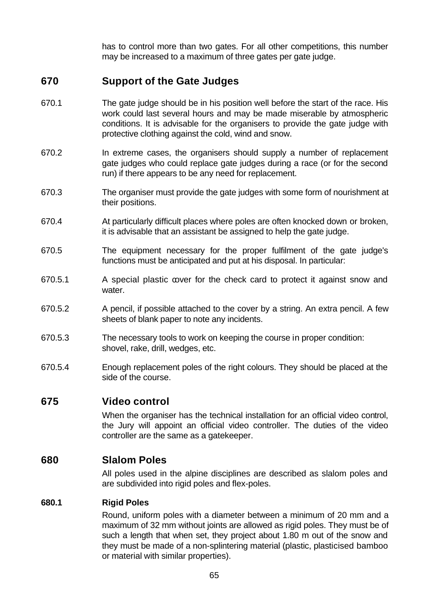has to control more than two gates. For all other competitions, this number may be increased to a maximum of three gates per gate judge.

# **670 Support of the Gate Judges**

- 670.1 The gate judge should be in his position well before the start of the race. His work could last several hours and may be made miserable by atmospheric conditions. It is advisable for the organisers to provide the gate judge with protective clothing against the cold, wind and snow.
- 670.2 In extreme cases, the organisers should supply a number of replacement gate judges who could replace gate judges during a race (or for the second run) if there appears to be any need for replacement.
- 670.3 The organiser must provide the gate judges with some form of nourishment at their positions.
- 670.4 At particularly difficult places where poles are often knocked down or broken, it is advisable that an assistant be assigned to help the gate judge.
- 670.5 The equipment necessary for the proper fulfilment of the gate judge's functions must be anticipated and put at his disposal. In particular:
- 670.5.1 A special plastic cover for the check card to protect it against snow and water.
- 670.5.2 A pencil, if possible attached to the cover by a string. An extra pencil. A few sheets of blank paper to note any incidents.
- 670.5.3 The necessary tools to work on keeping the course in proper condition: shovel, rake, drill, wedges, etc.
- 670.5.4 Enough replacement poles of the right colours. They should be placed at the side of the course.

# **675 Video control**

When the organiser has the technical installation for an official video control, the Jury will appoint an official video controller. The duties of the video controller are the same as a gatekeeper.

### **680 Slalom Poles**

All poles used in the alpine disciplines are described as slalom poles and are subdivided into rigid poles and flex-poles.

#### **680.1 Rigid Poles**

Round, uniform poles with a diameter between a minimum of 20 mm and a maximum of 32 mm without joints are allowed as rigid poles. They must be of such a length that when set, they project about 1.80 m out of the snow and they must be made of a non-splintering material (plastic, plasticised bamboo or material with similar properties).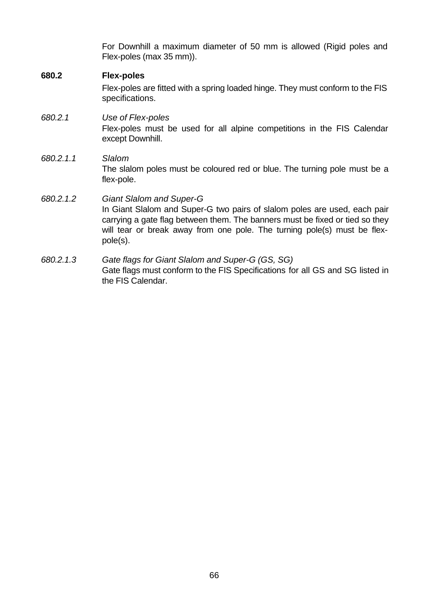For Downhill a maximum diameter of 50 mm is allowed (Rigid poles and Flex-poles (max 35 mm)).

#### **680.2 Flex-poles**

Flex-poles are fitted with a spring loaded hinge. They must conform to the FIS specifications.

### *680.2.1 Use of Flex-poles* Flex-poles must be used for all alpine competitions in the FIS Calendar except Downhill.

*680.2.1.1 Slalom* The slalom poles must be coloured red or blue. The turning pole must be a flex-pole.

### *680.2.1.2 Giant Slalom and Super-G* In Giant Slalom and Super-G two pairs of slalom poles are used, each pair carrying a gate flag between them. The banners must be fixed or tied so they will tear or break away from one pole. The turning pole(s) must be flexpole(s).

### *680.2.1.3 Gate flags for Giant Slalom and Super-G (GS, SG)* Gate flags must conform to the FIS Specifications for all GS and SG listed in the FIS Calendar.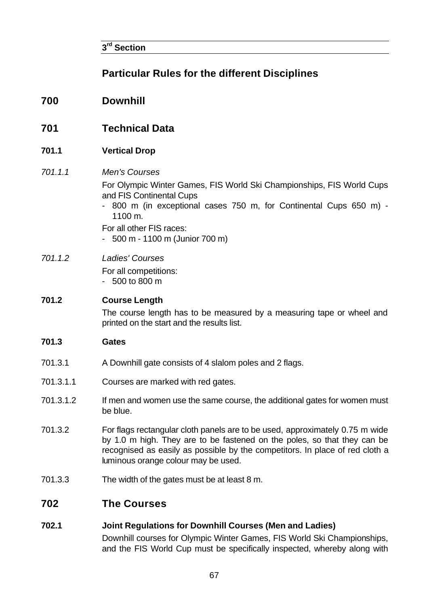## **3 rd Section**

# **Particular Rules for the different Disciplines**

# **700 Downhill**

**701 Technical Data**

# **701.1 Vertical Drop**

*701.1.1 Men's Courses*

For Olympic Winter Games, FIS World Ski Championships, FIS World Cups and FIS Continental Cups

- 800 m (in exceptional cases 750 m, for Continental Cups 650 m) - 1100 m.

For all other FIS races:

- 500 m - 1100 m (Junior 700 m)

## *701.1.2 Ladies' Courses*

For all competitions:

- 500 to 800 m

### **701.2 Course Length**

The course length has to be measured by a measuring tape or wheel and printed on the start and the results list.

### **701.3 Gates**

- 701.3.1 A Downhill gate consists of 4 slalom poles and 2 flags.
- 701.3.1.1 Courses are marked with red gates.
- 701.3.1.2 If men and women use the same course, the additional gates for women must be blue.
- 701.3.2 For flags rectangular cloth panels are to be used, approximately 0.75 m wide by 1.0 m high. They are to be fastened on the poles, so that they can be recognised as easily as possible by the competitors. In place of red cloth a luminous orange colour may be used.
- 701.3.3 The width of the gates must be at least 8 m.

# **702 The Courses**

### **702.1 Joint Regulations for Downhill Courses (Men and Ladies)**

Downhill courses for Olympic Winter Games, FIS World Ski Championships, and the FIS World Cup must be specifically inspected, whereby along with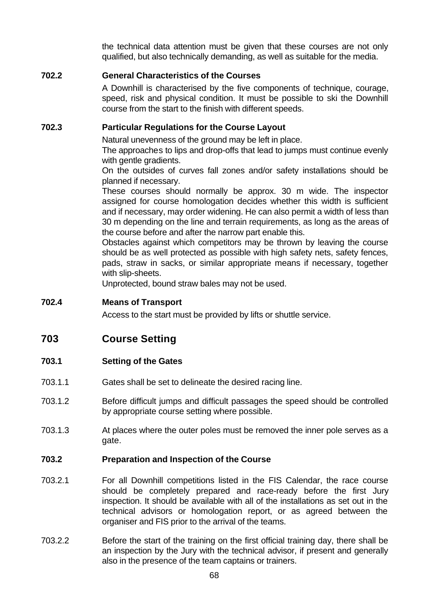the technical data attention must be given that these courses are not only qualified, but also technically demanding, as well as suitable for the media.

### **702.2 General Characteristics of the Courses**

A Downhill is characterised by the five components of technique, courage, speed, risk and physical condition. It must be possible to ski the Downhill course from the start to the finish with different speeds.

### **702.3 Particular Regulations for the Course Layout**

Natural unevenness of the ground may be left in place.

The approaches to lips and drop-offs that lead to jumps must continue evenly with gentle gradients.

On the outsides of curves fall zones and/or safety installations should be planned if necessary.

These courses should normally be approx. 30 m wide. The inspector assigned for course homologation decides whether this width is sufficient and if necessary, may order widening. He can also permit a width of less than 30 m depending on the line and terrain requirements, as long as the areas of the course before and after the narrow part enable this.

Obstacles against which competitors may be thrown by leaving the course should be as well protected as possible with high safety nets, safety fences, pads, straw in sacks, or similar appropriate means if necessary, together with slip-sheets.

Unprotected, bound straw bales may not be used.

### **702.4 Means of Transport**

Access to the start must be provided by lifts or shuttle service.

## **703 Course Setting**

### **703.1 Setting of the Gates**

- 703.1.1 Gates shall be set to delineate the desired racing line.
- 703.1.2 Before difficult jumps and difficult passages the speed should be controlled by appropriate course setting where possible.
- 703.1.3 At places where the outer poles must be removed the inner pole serves as a gate.

### **703.2 Preparation and Inspection of the Course**

- 703.2.1 For all Downhill competitions listed in the FIS Calendar, the race course should be completely prepared and race-ready before the first Jury inspection. It should be available with all of the installations as set out in the technical advisors or homologation report, or as agreed between the organiser and FIS prior to the arrival of the teams.
- 703.2.2 Before the start of the training on the first official training day, there shall be an inspection by the Jury with the technical advisor, if present and generally also in the presence of the team captains or trainers.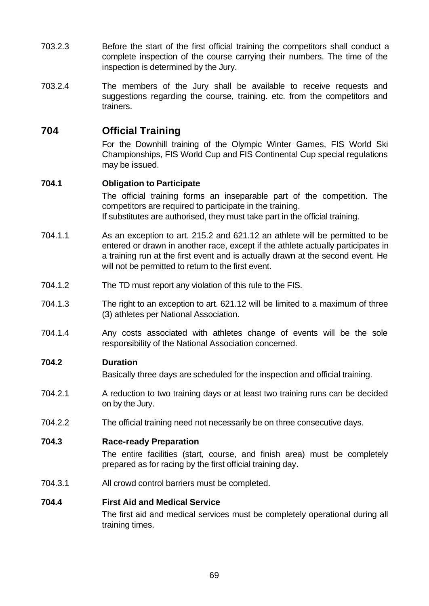- 703.2.3 Before the start of the first official training the competitors shall conduct a complete inspection of the course carrying their numbers. The time of the inspection is determined by the Jury.
- 703.2.4 The members of the Jury shall be available to receive requests and suggestions regarding the course, training. etc. from the competitors and trainers.

## **704 Official Training**

For the Downhill training of the Olympic Winter Games, FIS World Ski Championships, FIS World Cup and FIS Continental Cup special regulations may be issued.

### **704.1 Obligation to Participate**

The official training forms an inseparable part of the competition. The competitors are required to participate in the training. If substitutes are authorised, they must take part in the official training.

- 704.1.1 As an exception to art. 215.2 and 621.12 an athlete will be permitted to be entered or drawn in another race, except if the athlete actually participates in a training run at the first event and is actually drawn at the second event. He will not be permitted to return to the first event.
- 704.1.2 The TD must report any violation of this rule to the FIS.
- 704.1.3 The right to an exception to art. 621.12 will be limited to a maximum of three (3) athletes per National Association.
- 704.1.4 Any costs associated with athletes change of events will be the sole responsibility of the National Association concerned.

### **704.2 Duration**

Basically three days are scheduled for the inspection and official training.

- 704.2.1 A reduction to two training days or at least two training runs can be decided on by the Jury.
- 704.2.2 The official training need not necessarily be on three consecutive days.

### **704.3 Race-ready Preparation**

The entire facilities (start, course, and finish area) must be completely prepared as for racing by the first official training day.

704.3.1 All crowd control barriers must be completed.

### **704.4 First Aid and Medical Service**

The first aid and medical services must be completely operational during all training times.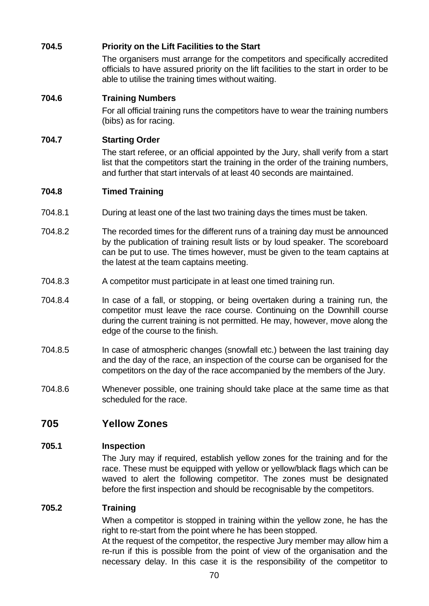### **704.5 Priority on the Lift Facilities to the Start**

The organisers must arrange for the competitors and specifically accredited officials to have assured priority on the lift facilities to the start in order to be able to utilise the training times without waiting.

### **704.6 Training Numbers**

For all official training runs the competitors have to wear the training numbers (bibs) as for racing.

### **704.7 Starting Order**

The start referee, or an official appointed by the Jury, shall verify from a start list that the competitors start the training in the order of the training numbers, and further that start intervals of at least 40 seconds are maintained.

### **704.8 Timed Training**

- 704.8.1 During at least one of the last two training days the times must be taken.
- 704.8.2 The recorded times for the different runs of a training day must be announced by the publication of training result lists or by loud speaker. The scoreboard can be put to use. The times however, must be given to the team captains at the latest at the team captains meeting.
- 704.8.3 A competitor must participate in at least one timed training run.
- 704.8.4 In case of a fall, or stopping, or being overtaken during a training run, the competitor must leave the race course. Continuing on the Downhill course during the current training is not permitted. He may, however, move along the edge of the course to the finish.
- 704.8.5 In case of atmospheric changes (snowfall etc.) between the last training day and the day of the race, an inspection of the course can be organised for the competitors on the day of the race accompanied by the members of the Jury.
- 704.8.6 Whenever possible, one training should take place at the same time as that scheduled for the race.

## **705 Yellow Zones**

### **705.1 Inspection**

The Jury may if required, establish yellow zones for the training and for the race. These must be equipped with yellow or yellow/black flags which can be waved to alert the following competitor. The zones must be designated before the first inspection and should be recognisable by the competitors.

### **705.2 Training**

When a competitor is stopped in training within the yellow zone, he has the right to re-start from the point where he has been stopped.

At the request of the competitor, the respective Jury member may allow him a re-run if this is possible from the point of view of the organisation and the necessary delay. In this case it is the responsibility of the competitor to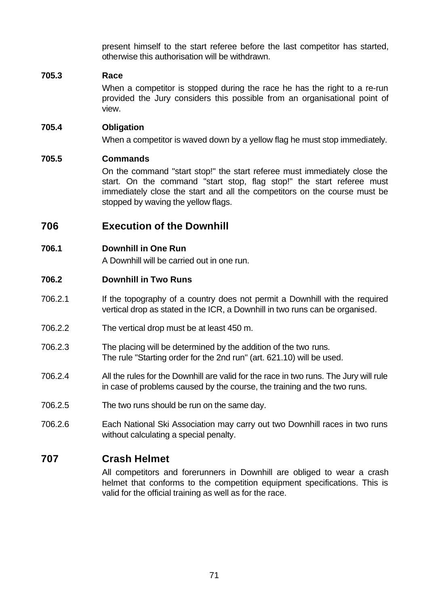present himself to the start referee before the last competitor has started, otherwise this authorisation will be withdrawn.

### **705.3 Race**

When a competitor is stopped during the race he has the right to a re-run provided the Jury considers this possible from an organisational point of view.

### **705.4 Obligation**

When a competitor is waved down by a yellow flag he must stop immediately.

### **705.5 Commands**

On the command "start stop!" the start referee must immediately close the start. On the command "start stop, flag stop!" the start referee must immediately close the start and all the competitors on the course must be stopped by waving the yellow flags.

## **706 Execution of the Downhill**

### **706.1 Downhill in One Run**

A Downhill will be carried out in one run.

### **706.2 Downhill in Two Runs**

- 706.2.1 If the topography of a country does not permit a Downhill with the required vertical drop as stated in the ICR, a Downhill in two runs can be organised.
- 706.2.2 The vertical drop must be at least 450 m.
- 706.2.3 The placing will be determined by the addition of the two runs. The rule "Starting order for the 2nd run" (art. 621.10) will be used.
- 706.2.4 All the rules for the Downhill are valid for the race in two runs. The Jury will rule in case of problems caused by the course, the training and the two runs.
- 706.2.5 The two runs should be run on the same day.
- 706.2.6 Each National Ski Association may carry out two Downhill races in two runs without calculating a special penalty.

## **707 Crash Helmet**

All competitors and forerunners in Downhill are obliged to wear a crash helmet that conforms to the competition equipment specifications. This is valid for the official training as well as for the race.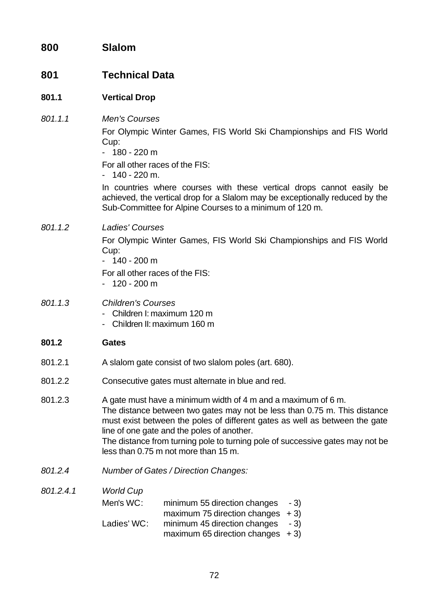| 800       | <b>Slalom</b>                                                                                                                                                                                                                                                                                                                                                                                    |  |  |  |  |
|-----------|--------------------------------------------------------------------------------------------------------------------------------------------------------------------------------------------------------------------------------------------------------------------------------------------------------------------------------------------------------------------------------------------------|--|--|--|--|
| 801       | <b>Technical Data</b>                                                                                                                                                                                                                                                                                                                                                                            |  |  |  |  |
| 801.1     | <b>Vertical Drop</b>                                                                                                                                                                                                                                                                                                                                                                             |  |  |  |  |
| 801.1.1   | <b>Men's Courses</b><br>For Olympic Winter Games, FIS World Ski Championships and FIS World<br>Cup:<br>$-180 - 220$ m<br>For all other races of the FIS:<br>$-140 - 220$ m.<br>In countries where courses with these vertical drops cannot easily be<br>achieved, the vertical drop for a Slalom may be exceptionally reduced by the<br>Sub-Committee for Alpine Courses to a minimum of 120 m.  |  |  |  |  |
| 801.1.2   | <b>Ladies' Courses</b><br>For Olympic Winter Games, FIS World Ski Championships and FIS World<br>Cup:<br>$-140 - 200$ m<br>For all other races of the FIS:<br>$-120 - 200$ m                                                                                                                                                                                                                     |  |  |  |  |
| 801.1.3   | <b>Children's Courses</b><br>Children I: maximum 120 m<br>- Children II: maximum 160 m                                                                                                                                                                                                                                                                                                           |  |  |  |  |
| 801.2     | <b>Gates</b>                                                                                                                                                                                                                                                                                                                                                                                     |  |  |  |  |
| 801.2.1   | A slalom gate consist of two slalom poles (art. 680).                                                                                                                                                                                                                                                                                                                                            |  |  |  |  |
| 801.2.2   | Consecutive gates must alternate in blue and red.                                                                                                                                                                                                                                                                                                                                                |  |  |  |  |
| 801.2.3   | A gate must have a minimum width of 4 m and a maximum of 6 m.<br>The distance between two gates may not be less than 0.75 m. This distance<br>must exist between the poles of different gates as well as between the gate<br>line of one gate and the poles of another.<br>The distance from turning pole to turning pole of successive gates may not be<br>less than 0.75 m not more than 15 m. |  |  |  |  |
| 801.2.4   | Number of Gates / Direction Changes:                                                                                                                                                                                                                                                                                                                                                             |  |  |  |  |
| 801.2.4.1 | <b>World Cup</b><br>Men's WC:<br>minimum 55 direction changes<br>$-3)$<br>maximum 75 direction changes<br>$+3)$<br>Ladies' WC:<br>minimum 45 direction changes<br>$-3)$<br>maximum 65 direction changes<br>$+3)$                                                                                                                                                                                 |  |  |  |  |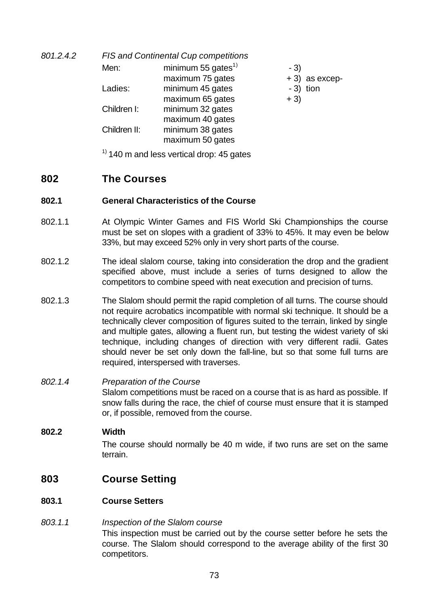*801.2.4.2 FIS and Continental Cup competitions*

| Men:         | minimum 55 gates <sup>1)</sup> | $-3)$            |
|--------------|--------------------------------|------------------|
|              | maximum 75 gates               | $+3$ ) as excep- |
| Ladies:      | minimum 45 gates               | $-3$ ) tion      |
|              | maximum 65 gates               | $+3)$            |
| Children I:  | minimum 32 gates               |                  |
|              | maximum 40 gates               |                  |
| Children II: | minimum 38 gates               |                  |
|              | maximum 50 gates               |                  |

 $<sup>1</sup>$  140 m and less vertical drop: 45 gates</sup>

# **802 The Courses**

### **802.1 General Characteristics of the Course**

- 802.1.1 At Olympic Winter Games and FIS World Ski Championships the course must be set on slopes with a gradient of 33% to 45%. It may even be below 33%, but may exceed 52% only in very short parts of the course.
- 802.1.2 The ideal slalom course, taking into consideration the drop and the gradient specified above, must include a series of turns designed to allow the competitors to combine speed with neat execution and precision of turns.
- 802.1.3 The Slalom should permit the rapid completion of all turns. The course should not require acrobatics incompatible with normal ski technique. It should be a technically clever composition of figures suited to the terrain, linked by single and multiple gates, allowing a fluent run, but testing the widest variety of ski technique, including changes of direction with very different radii. Gates should never be set only down the fall-line, but so that some full turns are required, interspersed with traverses.

### *802.1.4 Preparation of the Course* Slalom competitions must be raced on a course that is as hard as possible. If snow falls during the race, the chief of course must ensure that it is stamped or, if possible, removed from the course.

### **802.2 Width**

The course should normally be 40 m wide, if two runs are set on the same terrain.

# **803 Course Setting**

## **803.1 Course Setters**

### *803.1.1 Inspection of the Slalom course*

This inspection must be carried out by the course setter before he sets the course. The Slalom should correspond to the average ability of the first 30 competitors.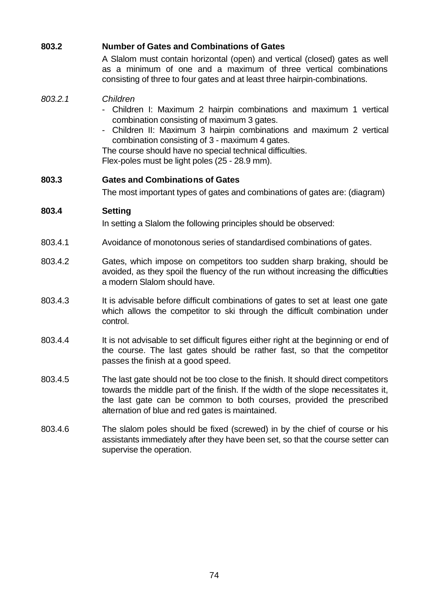### **803.2 Number of Gates and Combinations of Gates**

A Slalom must contain horizontal (open) and vertical (closed) gates as well as a minimum of one and a maximum of three vertical combinations consisting of three to four gates and at least three hairpin-combinations.

### *803.2.1 Children*

- Children I: Maximum 2 hairpin combinations and maximum 1 vertical combination consisting of maximum 3 gates.
- Children II: Maximum 3 hairpin combinations and maximum 2 vertical combination consisting of 3 - maximum 4 gates.

The course should have no special technical difficulties. Flex-poles must be light poles (25 - 28.9 mm).

### **803.3 Gates and Combinations of Gates**

The most important types of gates and combinations of gates are: (diagram)

#### **803.4 Setting**

In setting a Slalom the following principles should be observed:

- 803.4.1 Avoidance of monotonous series of standardised combinations of gates.
- 803.4.2 Gates, which impose on competitors too sudden sharp braking, should be avoided, as they spoil the fluency of the run without increasing the difficulties a modern Slalom should have.
- 803.4.3 It is advisable before difficult combinations of gates to set at least one gate which allows the competitor to ski through the difficult combination under control.
- 803.4.4 It is not advisable to set difficult figures either right at the beginning or end of the course. The last gates should be rather fast, so that the competitor passes the finish at a good speed.
- 803.4.5 The last gate should not be too close to the finish. It should direct competitors towards the middle part of the finish. If the width of the slope necessitates it, the last gate can be common to both courses, provided the prescribed alternation of blue and red gates is maintained.
- 803.4.6 The slalom poles should be fixed (screwed) in by the chief of course or his assistants immediately after they have been set, so that the course setter can supervise the operation.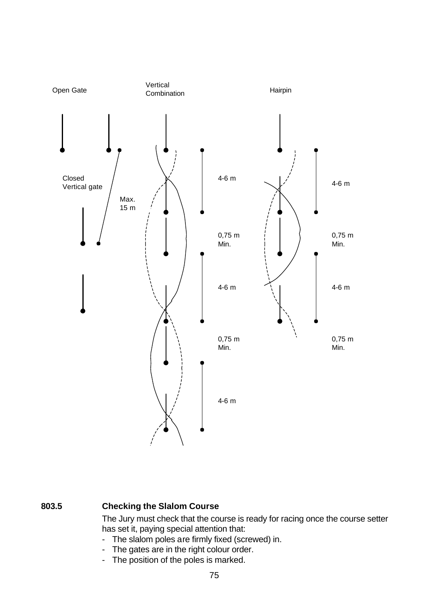

### **803.5 Checking the Slalom Course**

The Jury must check that the course is ready for racing once the course setter has set it, paying special attention that:

- The slalom poles are firmly fixed (screwed) in.
- The gates are in the right colour order.
- The position of the poles is marked.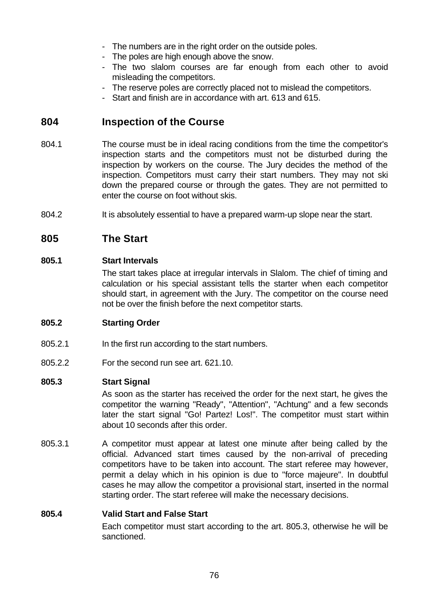- The numbers are in the right order on the outside poles.
- The poles are high enough above the snow.
- The two slalom courses are far enough from each other to avoid misleading the competitors.
- The reserve poles are correctly placed not to mislead the competitors.
- Start and finish are in accordance with art. 613 and 615.

## **804 Inspection of the Course**

- 804.1 The course must be in ideal racing conditions from the time the competitor's inspection starts and the competitors must not be disturbed during the inspection by workers on the course. The Jury decides the method of the inspection. Competitors must carry their start numbers. They may not ski down the prepared course or through the gates. They are not permitted to enter the course on foot without skis.
- 804.2 It is absolutely essential to have a prepared warm-up slope near the start.

## **805 The Start**

### **805.1 Start Intervals**

The start takes place at irregular intervals in Slalom. The chief of timing and calculation or his special assistant tells the starter when each competitor should start, in agreement with the Jury. The competitor on the course need not be over the finish before the next competitor starts.

### **805.2 Starting Order**

- 805.2.1 In the first run according to the start numbers.
- 805.2.2 For the second run see art. 621.10.

### **805.3 Start Signal**

As soon as the starter has received the order for the next start, he gives the competitor the warning "Ready", "Attention", "Achtung" and a few seconds later the start signal "Go! Partez! Los!". The competitor must start within about 10 seconds after this order.

805.3.1 A competitor must appear at latest one minute after being called by the official. Advanced start times caused by the non-arrival of preceding competitors have to be taken into account. The start referee may however, permit a delay which in his opinion is due to "force majeure". In doubtful cases he may allow the competitor a provisional start, inserted in the normal starting order. The start referee will make the necessary decisions.

### **805.4 Valid Start and False Start**

Each competitor must start according to the art. 805.3, otherwise he will be sanctioned.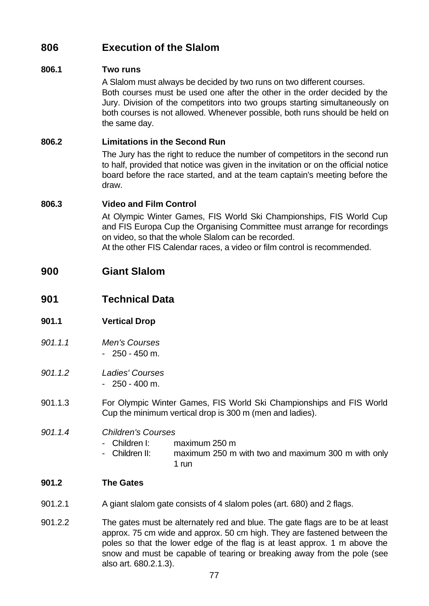# **806 Execution of the Slalom**

### **806.1 Two runs**

A Slalom must always be decided by two runs on two different courses. Both courses must be used one after the other in the order decided by the Jury. Division of the competitors into two groups starting simultaneously on both courses is not allowed. Whenever possible, both runs should be held on the same day.

### **806.2 Limitations in the Second Run**

The Jury has the right to reduce the number of competitors in the second run to half, provided that notice was given in the invitation or on the official notice board before the race started, and at the team captain's meeting before the draw.

### **806.3 Video and Film Control**

At Olympic Winter Games, FIS World Ski Championships, FIS World Cup and FIS Europa Cup the Organising Committee must arrange for recordings on video, so that the whole Slalom can be recorded. At the other FIS Calendar races, a video or film control is recommended.

## **900 Giant Slalom**

## **901 Technical Data**

- **901.1 Vertical Drop**
- *901.1.1 Men's Courses*  $-250 - 450$  m.
- *901.1.2 Ladies' Courses*  $-250 - 400$  m.
- 901.1.3 For Olympic Winter Games, FIS World Ski Championships and FIS World Cup the minimum vertical drop is 300 m (men and ladies).
- *901.1.4 Children's Courses*
	- Children I: maximum 250 m
	- Children II: maximum 250 m with two and maximum 300 m with only 1 run

### **901.2 The Gates**

- 901.2.1 A giant slalom gate consists of 4 slalom poles (art. 680) and 2 flags.
- 901.2.2 The gates must be alternately red and blue. The gate flags are to be at least approx. 75 cm wide and approx. 50 cm high. They are fastened between the poles so that the lower edge of the flag is at least approx. 1 m above the snow and must be capable of tearing or breaking away from the pole (see also art. 680.2.1.3).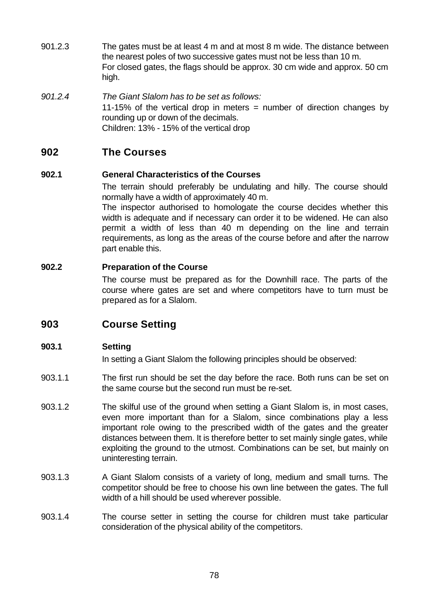901.2.3 The gates must be at least 4 m and at most 8 m wide. The distance between the nearest poles of two successive gates must not be less than 10 m. For closed gates, the flags should be approx. 30 cm wide and approx. 50 cm high.

*901.2.4 The Giant Slalom has to be set as follows:* 11-15% of the vertical drop in meters  $=$  number of direction changes by rounding up or down of the decimals. Children: 13% - 15% of the vertical drop

## **902 The Courses**

### **902.1 General Characteristics of the Courses**

The terrain should preferably be undulating and hilly. The course should normally have a width of approximately 40 m.

The inspector authorised to homologate the course decides whether this width is adequate and if necessary can order it to be widened. He can also permit a width of less than 40 m depending on the line and terrain requirements, as long as the areas of the course before and after the narrow part enable this.

### **902.2 Preparation of the Course**

The course must be prepared as for the Downhill race. The parts of the course where gates are set and where competitors have to turn must be prepared as for a Slalom.

## **903 Course Setting**

### **903.1 Setting**

In setting a Giant Slalom the following principles should be observed:

- 903.1.1 The first run should be set the day before the race. Both runs can be set on the same course but the second run must be re-set.
- 903.1.2 The skilful use of the ground when setting a Giant Slalom is, in most cases, even more important than for a Slalom, since combinations play a less important role owing to the prescribed width of the gates and the greater distances between them. It is therefore better to set mainly single gates, while exploiting the ground to the utmost. Combinations can be set, but mainly on uninteresting terrain.
- 903.1.3 A Giant Slalom consists of a variety of long, medium and small turns. The competitor should be free to choose his own line between the gates. The full width of a hill should be used wherever possible.
- 903.1.4 The course setter in setting the course for children must take particular consideration of the physical ability of the competitors.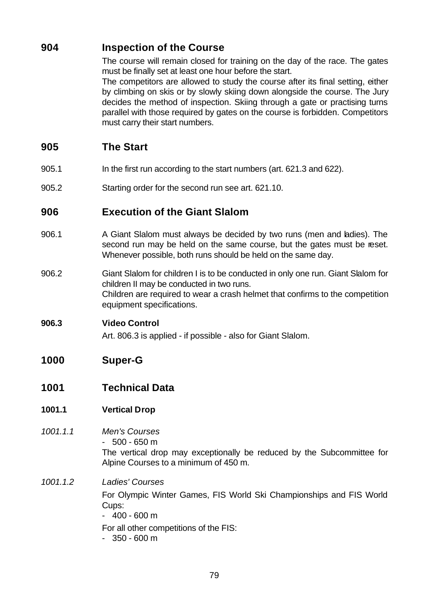# **904 Inspection of the Course**

The course will remain closed for training on the day of the race. The gates must be finally set at least one hour before the start.

The competitors are allowed to study the course after its final setting, either by climbing on skis or by slowly skiing down alongside the course. The Jury decides the method of inspection. Skiing through a gate or practising turns parallel with those required by gates on the course is forbidden. Competitors must carry their start numbers.

# **905 The Start**

- 905.1 In the first run according to the start numbers (art. 621.3 and 622).
- 905.2 Starting order for the second run see art. 621.10.

## **906 Execution of the Giant Slalom**

- 906.1 A Giant Slalom must always be decided by two runs (men and ladies). The second run may be held on the same course, but the gates must be reset. Whenever possible, both runs should be held on the same day.
- 906.2 Giant Slalom for children I is to be conducted in only one run. Giant Slalom for children II may be conducted in two runs. Children are required to wear a crash helmet that confirms to the competition equipment specifications.

## **906.3 Video Control**

Art. 806.3 is applied - if possible - also for Giant Slalom.

- **1000 Super-G**
- **1001 Technical Data**

## **1001.1 Vertical Drop**

*1001.1.1 Men's Courses*  $-500 - 650$  m

The vertical drop may exceptionally be reduced by the Subcommittee for Alpine Courses to a minimum of 450 m.

*1001.1.2 Ladies' Courses*

For Olympic Winter Games, FIS World Ski Championships and FIS World Cups:

 $-400 - 600$  m

For all other competitions of the FIS:

- 350 - 600 m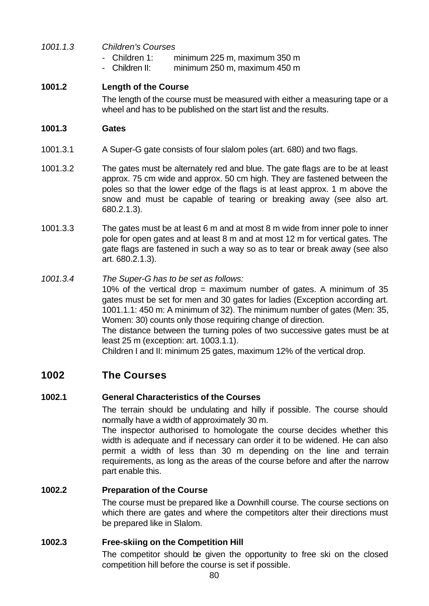- *1001.1.3 Children's Courses*
	- Children 1: minimum 225 m, maximum 350 m
	- Children II: minimum 250 m, maximum 450 m

### **1001.2 Length of the Course**

The length of the course must be measured with either a measuring tape or a wheel and has to be published on the start list and the results.

#### **1001.3 Gates**

- 1001.3.1 A Super-G gate consists of four slalom poles (art. 680) and two flags.
- 1001.3.2 The gates must be alternately red and blue. The gate flags are to be at least approx. 75 cm wide and approx. 50 cm high. They are fastened between the poles so that the lower edge of the flags is at least approx. 1 m above the snow and must be capable of tearing or breaking away (see also art. 680.2.1.3).
- 1001.3.3 The gates must be at least 6 m and at most 8 m wide from inner pole to inner pole for open gates and at least 8 m and at most 12 m for vertical gates. The gate flags are fastened in such a way so as to tear or break away (see also art. 680.2.1.3).
- *1001.3.4 The Super-G has to be set as follows:* 10% of the vertical drop = maximum number of gates. A minimum of  $35$ gates must be set for men and 30 gates for ladies (Exception according art. 1001.1.1: 450 m: A minimum of 32). The minimum number of gates (Men: 35, Women: 30) counts only those requiring change of direction. The distance between the turning poles of two successive gates must be at least 25 m (exception: art. 1003.1.1). Children I and II: minimum 25 gates, maximum 12% of the vertical drop.

## **1002 The Courses**

### **1002.1 General Characteristics of the Courses**

The terrain should be undulating and hilly if possible. The course should normally have a width of approximately 30 m.

The inspector authorised to homologate the course decides whether this width is adequate and if necessary can order it to be widened. He can also permit a width of less than 30 m depending on the line and terrain requirements, as long as the areas of the course before and after the narrow part enable this.

### **1002.2 Preparation of the Course**

The course must be prepared like a Downhill course. The course sections on which there are gates and where the competitors alter their directions must be prepared like in Slalom.

### **1002.3 Free-skiing on the Competition Hill**

The competitor should be given the opportunity to free ski on the closed competition hill before the course is set if possible.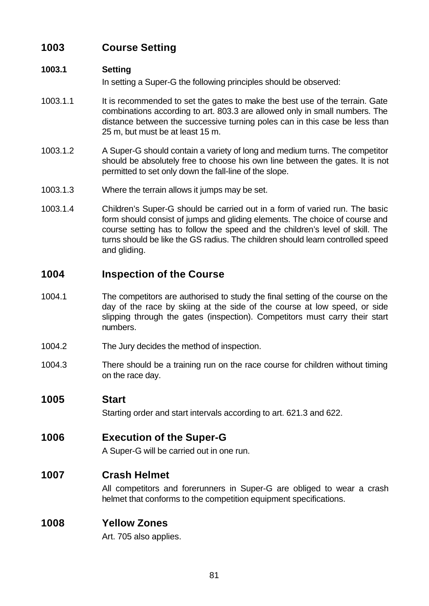# **1003 Course Setting**

### **1003.1 Setting**

In setting a Super-G the following principles should be observed:

- 1003.1.1 It is recommended to set the gates to make the best use of the terrain. Gate combinations according to art. 803.3 are allowed only in small numbers. The distance between the successive turning poles can in this case be less than 25 m, but must be at least 15 m.
- 1003.1.2 A Super-G should contain a variety of long and medium turns. The competitor should be absolutely free to choose his own line between the gates. It is not permitted to set only down the fall-line of the slope.
- 1003.1.3 Where the terrain allows it jumps may be set.
- 1003.1.4 Children's Super-G should be carried out in a form of varied run. The basic form should consist of jumps and gliding elements. The choice of course and course setting has to follow the speed and the children's level of skill. The turns should be like the GS radius. The children should learn controlled speed and gliding.

## **1004 Inspection of the Course**

- 1004.1 The competitors are authorised to study the final setting of the course on the day of the race by skiing at the side of the course at low speed, or side slipping through the gates (inspection). Competitors must carry their start numbers.
- 1004.2 The Jury decides the method of inspection.
- 1004.3 There should be a training run on the race course for children without timing on the race day.

### **1005 Start**

Starting order and start intervals according to art. 621.3 and 622.

## **1006 Execution of the Super-G**

A Super-G will be carried out in one run.

## **1007 Crash Helmet**

All competitors and forerunners in Super-G are obliged to wear a crash helmet that conforms to the competition equipment specifications.

## **1008 Yellow Zones**

Art. 705 also applies.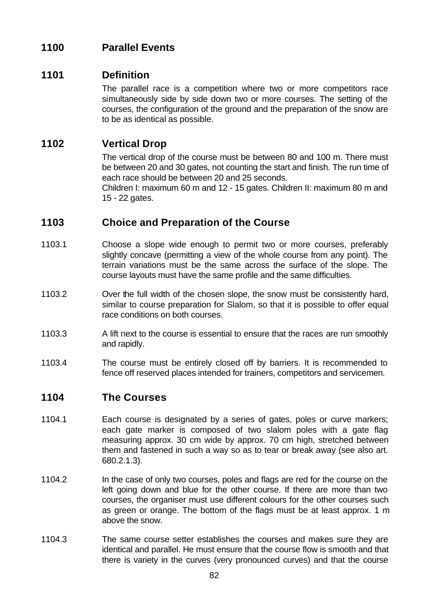# **1100 Parallel Events**

## **1101 Definition**

The parallel race is a competition where two or more competitors race simultaneously side by side down two or more courses. The setting of the courses, the configuration of the ground and the preparation of the snow are to be as identical as possible.

## **1102 Vertical Drop**

The vertical drop of the course must be between 80 and 100 m. There must be between 20 and 30 gates, not counting the start and finish. The run time of each race should be between 20 and 25 seconds. Children I: maximum 60 m and 12 - 15 gates. Children II: maximum 80 m and 15 - 22 gates.

## **1103 Choice and Preparation of the Course**

- 1103.1 Choose a slope wide enough to permit two or more courses, preferably slightly concave (permitting a view of the whole course from any point). The terrain variations must be the same across the surface of the slope. The course layouts must have the same profile and the same difficulties.
- 1103.2 Over the full width of the chosen slope, the snow must be consistently hard, similar to course preparation for Slalom, so that it is possible to offer equal race conditions on both courses.
- 1103.3 A lift next to the course is essential to ensure that the races are run smoothly and rapidly.
- 1103.4 The course must be entirely closed off by barriers. It is recommended to fence off reserved places intended for trainers, competitors and servicemen.

## **1104 The Courses**

- 1104.1 Each course is designated by a series of gates, poles or curve markers; each gate marker is composed of two slalom poles with a gate flag measuring approx. 30 cm wide by approx. 70 cm high, stretched between them and fastened in such a way so as to tear or break away (see also art. 680.2.1.3).
- 1104.2 In the case of only two courses, poles and flags are red for the course on the left going down and blue for the other course. If there are more than two courses, the organiser must use different colours for the other courses such as green or orange. The bottom of the flags must be at least approx. 1 m above the snow.
- 1104.3 The same course setter establishes the courses and makes sure they are identical and parallel. He must ensure that the course flow is smooth and that there is variety in the curves (very pronounced curves) and that the course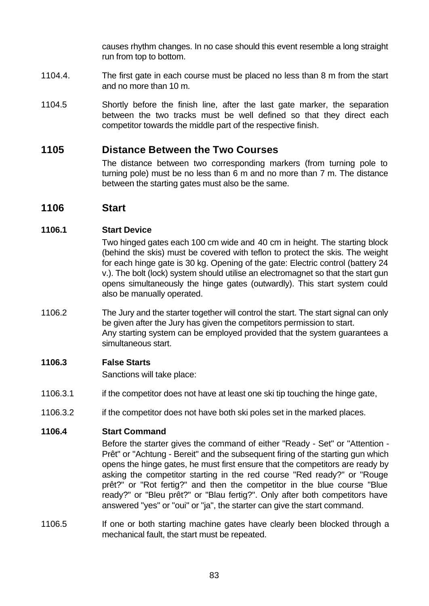causes rhythm changes. In no case should this event resemble a long straight run from top to bottom.

- 1104.4. The first gate in each course must be placed no less than 8 m from the start and no more than 10 m.
- 1104.5 Shortly before the finish line, after the last gate marker, the separation between the two tracks must be well defined so that they direct each competitor towards the middle part of the respective finish.

### **1105 Distance Between the Two Courses**

The distance between two corresponding markers (from turning pole to turning pole) must be no less than 6 m and no more than 7 m. The distance between the starting gates must also be the same.

### **1106 Start**

### **1106.1 Start Device**

Two hinged gates each 100 cm wide and 40 cm in height. The starting block (behind the skis) must be covered with teflon to protect the skis. The weight for each hinge gate is 30 kg. Opening of the gate: Electric control (battery 24 v.). The bolt (lock) system should utilise an electromagnet so that the start gun opens simultaneously the hinge gates (outwardly). This start system could also be manually operated.

1106.2 The Jury and the starter together will control the start. The start signal can only be given after the Jury has given the competitors permission to start. Any starting system can be employed provided that the system guarantees a simultaneous start.

### **1106.3 False Starts**

Sanctions will take place:

- 1106.3.1 if the competitor does not have at least one ski tip touching the hinge gate,
- 1106.3.2 if the competitor does not have both ski poles set in the marked places.

### **1106.4 Start Command**

Before the starter gives the command of either "Ready - Set" or "Attention - Prêt" or "Achtung - Bereit" and the subsequent firing of the starting gun which opens the hinge gates, he must first ensure that the competitors are ready by asking the competitor starting in the red course "Red ready?" or "Rouge prêt?" or "Rot fertig?" and then the competitor in the blue course "Blue ready?" or "Bleu prêt?" or "Blau fertig?". Only after both competitors have answered "yes" or "oui" or "ja", the starter can give the start command.

1106.5 If one or both starting machine gates have clearly been blocked through a mechanical fault, the start must be repeated.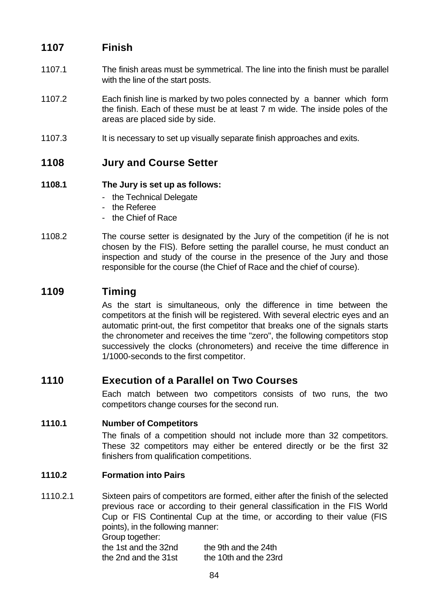## **1107 Finish**

- 1107.1 The finish areas must be symmetrical. The line into the finish must be parallel with the line of the start posts.
- 1107.2 Each finish line is marked by two poles connected by a banner which form the finish. Each of these must be at least 7 m wide. The inside poles of the areas are placed side by side.
- 1107.3 It is necessary to set up visually separate finish approaches and exits.

## **1108 Jury and Course Setter**

### **1108.1 The Jury is set up as follows:**

- the Technical Delegate
- the Referee
- the Chief of Race
- 1108.2 The course setter is designated by the Jury of the competition (if he is not chosen by the FIS). Before setting the parallel course, he must conduct an inspection and study of the course in the presence of the Jury and those responsible for the course (the Chief of Race and the chief of course).

### **1109 Timing**

As the start is simultaneous, only the difference in time between the competitors at the finish will be registered. With several electric eyes and an automatic print-out, the first competitor that breaks one of the signals starts the chronometer and receives the time "zero", the following competitors stop successively the clocks (chronometers) and receive the time difference in 1/1000-seconds to the first competitor.

## **1110 Execution of a Parallel on Two Courses**

Each match between two competitors consists of two runs, the two competitors change courses for the second run.

### **1110.1 Number of Competitors**

The finals of a competition should not include more than 32 competitors. These 32 competitors may either be entered directly or be the first 32 finishers from qualification competitions.

### **1110.2 Formation into Pairs**

1110.2.1 Sixteen pairs of competitors are formed, either after the finish of the selected previous race or according to their general classification in the FIS World Cup or FIS Continental Cup at the time, or according to their value (FIS points), in the following manner: Group together: the 1st and the 32nd the 9th and the 24th the 2nd and the 31st the 10th and the 23rd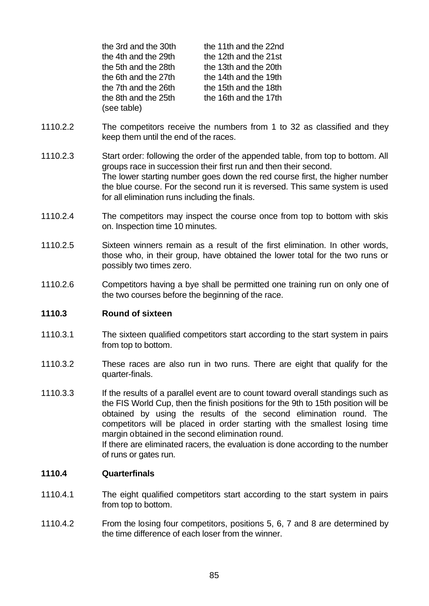| the 3rd and the 30th | the 11th and the 22nd |
|----------------------|-----------------------|
| the 4th and the 29th | the 12th and the 21st |
| the 5th and the 28th | the 13th and the 20th |
| the 6th and the 27th | the 14th and the 19th |
| the 7th and the 26th | the 15th and the 18th |
| the 8th and the 25th | the 16th and the 17th |
| (see table)          |                       |

- 1110.2.2 The competitors receive the numbers from 1 to 32 as classified and they keep them until the end of the races.
- 1110.2.3 Start order: following the order of the appended table, from top to bottom. All groups race in succession their first run and then their second. The lower starting number goes down the red course first, the higher number the blue course. For the second run it is reversed. This same system is used for all elimination runs including the finals.
- 1110.2.4 The competitors may inspect the course once from top to bottom with skis on. Inspection time 10 minutes.
- 1110.2.5 Sixteen winners remain as a result of the first elimination. In other words, those who, in their group, have obtained the lower total for the two runs or possibly two times zero.
- 1110.2.6 Competitors having a bye shall be permitted one training run on only one of the two courses before the beginning of the race.

#### **1110.3 Round of sixteen**

- 1110.3.1 The sixteen qualified competitors start according to the start system in pairs from top to bottom.
- 1110.3.2 These races are also run in two runs. There are eight that qualify for the quarter-finals.
- 1110.3.3 If the results of a parallel event are to count toward overall standings such as the FIS World Cup, then the finish positions for the 9th to 15th position will be obtained by using the results of the second elimination round. The competitors will be placed in order starting with the smallest losing time margin obtained in the second elimination round. If there are eliminated racers, the evaluation is done according to the number of runs or gates run.

#### **1110.4 Quarterfinals**

- 1110.4.1 The eight qualified competitors start according to the start system in pairs from top to bottom.
- 1110.4.2 From the losing four competitors, positions 5, 6, 7 and 8 are determined by the time difference of each loser from the winner.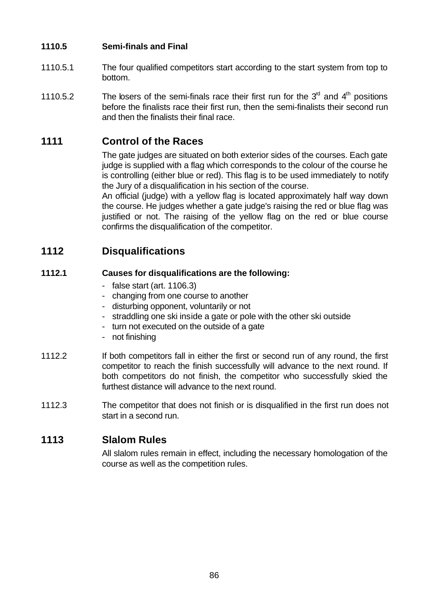### **1110.5 Semi-finals and Final**

- 1110.5.1 The four qualified competitors start according to the start system from top to bottom.
- 1110.5.2 The losers of the semi-finals race their first run for the  $3<sup>rd</sup>$  and  $4<sup>th</sup>$  positions before the finalists race their first run, then the semi-finalists their second run and then the finalists their final race.

## **1111 Control of the Races**

The gate judges are situated on both exterior sides of the courses. Each gate judge is supplied with a flag which corresponds to the colour of the course he is controlling (either blue or red). This flag is to be used immediately to notify the Jury of a disqualification in his section of the course.

An official (judge) with a yellow flag is located approximately half way down the course. He judges whether a gate judge's raising the red or blue flag was justified or not. The raising of the yellow flag on the red or blue course confirms the disqualification of the competitor.

## **1112 Disqualifications**

### **1112.1 Causes for disqualifications are the following:**

- false start (art. 1106.3)
- changing from one course to another
- disturbing opponent, voluntarily or not
- straddling one ski inside a gate or pole with the other ski outside
- turn not executed on the outside of a gate
- not finishing
- 1112.2 If both competitors fall in either the first or second run of any round, the first competitor to reach the finish successfully will advance to the next round. If both competitors do not finish, the competitor who successfully skied the furthest distance will advance to the next round.
- 1112.3 The competitor that does not finish or is disqualified in the first run does not start in a second run.

## **1113 Slalom Rules**

All slalom rules remain in effect, including the necessary homologation of the course as well as the competition rules.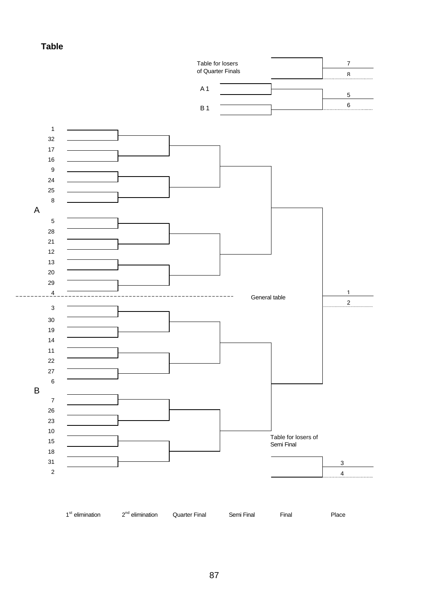**Table**



 $2^{nd}$  elimination Quarter Final Semi Final Final Place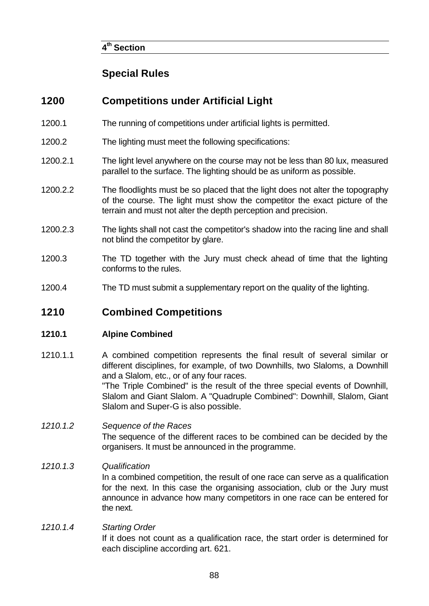### **4 th Section**

# **Special Rules**

# **1200 Competitions under Artificial Light**

- 1200.1 The running of competitions under artificial lights is permitted.
- 1200.2 The lighting must meet the following specifications:
- 1200.2.1 The light level anywhere on the course may not be less than 80 lux, measured parallel to the surface. The lighting should be as uniform as possible.
- 1200.2.2 The floodlights must be so placed that the light does not alter the topography of the course. The light must show the competitor the exact picture of the terrain and must not alter the depth perception and precision.
- 1200.2.3 The lights shall not cast the competitor's shadow into the racing line and shall not blind the competitor by glare.
- 1200.3 The TD together with the Jury must check ahead of time that the lighting conforms to the rules.
- 1200.4 The TD must submit a supplementary report on the quality of the lighting.

## **1210 Combined Competitions**

### **1210.1 Alpine Combined**

1210.1.1 A combined competition represents the final result of several similar or different disciplines, for example, of two Downhills, two Slaloms, a Downhill and a Slalom, etc., or of any four races. "The Triple Combined" is the result of the three special events of Downhill, Slalom and Giant Slalom. A "Quadruple Combined": Downhill, Slalom, Giant Slalom and Super-G is also possible.

# *1210.1.2 Sequence of the Races* The sequence of the different races to be combined can be decided by the organisers. It must be announced in the programme.

### *1210.1.3 Qualification*

In a combined competition, the result of one race can serve as a qualification for the next. In this case the organising association, club or the Jury must announce in advance how many competitors in one race can be entered for the next.

### *1210.1.4 Starting Order* If it does not count as a qualification race, the start order is determined for each discipline according art. 621.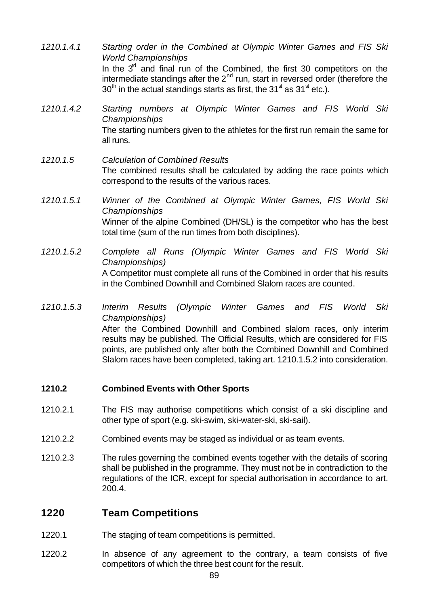- *1210.1.4.1 Starting order in the Combined at Olympic Winter Games and FIS Ski World Championships* In the  $3<sup>d</sup>$  and final run of the Combined, the first 30 competitors on the intermediate standings after the  $2<sup>nd</sup>$  run, start in reversed order (therefore the  $30<sup>th</sup>$  in the actual standings starts as first, the 31<sup>st</sup> as 31<sup>st</sup> etc.).
- *1210.1.4.2 Starting numbers at Olympic Winter Games and FIS World Ski Championships* The starting numbers given to the athletes for the first run remain the same for all runs.
- *1210.1.5 Calculation of Combined Results* The combined results shall be calculated by adding the race points which correspond to the results of the various races.
- *1210.1.5.1 Winner of the Combined at Olympic Winter Games, FIS World Ski Championships* Winner of the alpine Combined (DH/SL) is the competitor who has the best total time (sum of the run times from both disciplines).
- *1210.1.5.2 Complete all Runs (Olympic Winter Games and FIS World Ski Championships)* A Competitor must complete all runs of the Combined in order that his results in the Combined Downhill and Combined Slalom races are counted.
- *1210.1.5.3 Interim Results (Olympic Winter Games and FIS World Ski Championships)* After the Combined Downhill and Combined slalom races, only interim results may be published. The Official Results, which are considered for FIS points, are published only after both the Combined Downhill and Combined Slalom races have been completed, taking art. 1210.1.5.2 into consideration.

### **1210.2 Combined Events with Other Sports**

- 1210.2.1 The FIS may authorise competitions which consist of a ski discipline and other type of sport (e.g. ski-swim, ski-water-ski, ski-sail).
- 1210.2.2 Combined events may be staged as individual or as team events.
- 1210.2.3 The rules governing the combined events together with the details of scoring shall be published in the programme. They must not be in contradiction to the regulations of the ICR, except for special authorisation in accordance to art. 200.4.

## **1220 Team Competitions**

- 1220.1 The staging of team competitions is permitted.
- 1220.2 In absence of any agreement to the contrary, a team consists of five competitors of which the three best count for the result.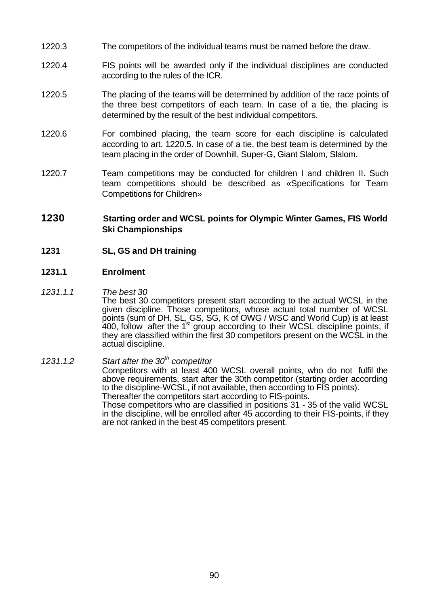- 1220.3 The competitors of the individual teams must be named before the draw.
- 1220.4 FIS points will be awarded only if the individual disciplines are conducted according to the rules of the ICR.
- 1220.5 The placing of the teams will be determined by addition of the race points of the three best competitors of each team. In case of a tie, the placing is determined by the result of the best individual competitors.
- 1220.6 For combined placing, the team score for each discipline is calculated according to art. 1220.5. In case of a tie, the best team is determined by the team placing in the order of Downhill, Super-G, Giant Slalom, Slalom.
- 1220.7 Team competitions may be conducted for children I and children II. Such team competitions should be described as «Specifications for Team Competitions for Children»

### **1230 Starting order and WCSL points for Olympic Winter Games, FIS World Ski Championships**

**1231 SL, GS and DH training**

### **1231.1 Enrolment**

#### *1231.1.1 The best 30*

The best 30 competitors present start according to the actual WCSL in the given discipline. Those competitors, whose actual total number of WCSL points (sum of DH, SL, GS, SG, K of OWG / WSC and World Cup) is at least 400, follow after the 1<sup>st</sup> group according to their WCSL discipline points, if they are classified within the first 30 competitors present on the WCSL in the actual discipline.

### *1231.1.2 Start after the 30th competitor*

Competitors with at least 400 WCSL overall points, who do not fulfil the above requirements, start after the 30th competitor (starting order according to the discipline-WCSL, if not available, then according to FIS points). Thereafter the competitors start according to FIS-points.

Those competitors who are classified in positions 31 - 35 of the valid WCSL in the discipline, will be enrolled after 45 according to their FIS-points, if they are not ranked in the best 45 competitors present.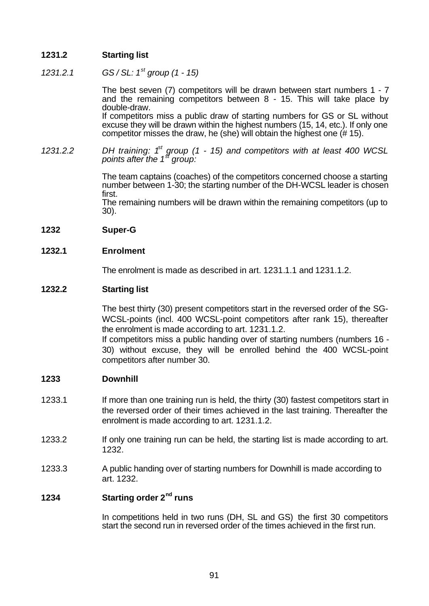### **1231.2 Starting list**

*1231.2.1 GS / SL: 1st group (1 - 15)*

The best seven (7) competitors will be drawn between start numbers 1 - 7 and the remaining competitors between 8 - 15. This will take place by double-draw.

If competitors miss a public draw of starting numbers for GS or SL without excuse they will be drawn within the highest numbers (15, 14, etc.). If only one competitor misses the draw, he (she) will obtain the highest one (# 15).

*1231.2.2 DH training: 1st group (1 - 15) and competitors with at least 400 WCSL points after the 1st group:*

> The team captains (coaches) of the competitors concerned choose a starting number between 1-30; the starting number of the DH-WCSL leader is chosen first.

> The remaining numbers will be drawn within the remaining competitors (up to 30).

#### **1232 Super-G**

#### **1232.1 Enrolment**

The enrolment is made as described in art. 1231.1.1 and 1231.1.2.

#### **1232.2 Starting list**

The best thirty (30) present competitors start in the reversed order of the SG-WCSL-points (incl. 400 WCSL-point competitors after rank 15), thereafter the enrolment is made according to art. 1231.1.2.

If competitors miss a public handing over of starting numbers (numbers 16 - 30) without excuse, they will be enrolled behind the 400 WCSL-point competitors after number 30.

#### **1233 Downhill**

- 1233.1 If more than one training run is held, the thirty (30) fastest competitors start in the reversed order of their times achieved in the last training. Thereafter the enrolment is made according to art. 1231.1.2.
- 1233.2 If only one training run can be held, the starting list is made according to art. 1232.
- 1233.3 A public handing over of starting numbers for Downhill is made according to art. 1232.

### **1234 Starting order 2nd runs**

In competitions held in two runs (DH, SL and GS) the first 30 competitors start the second run in reversed order of the times achieved in the first run.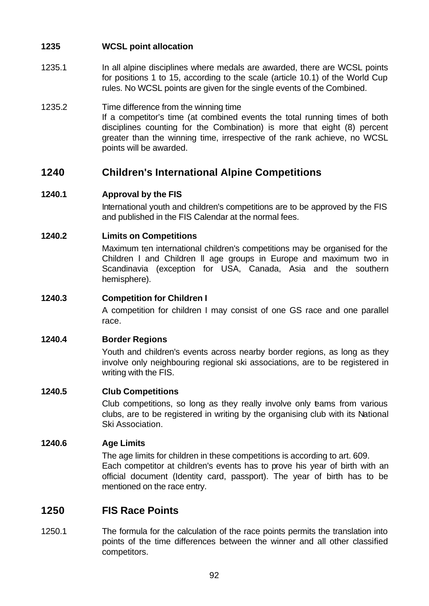### **1235 WCSL point allocation**

- 1235.1 In all alpine disciplines where medals are awarded, there are WCSL points for positions 1 to 15, according to the scale (article 10.1) of the World Cup rules. No WCSL points are given for the single events of the Combined.
- 1235.2 Time difference from the winning time If a competitor's time (at combined events the total running times of both disciplines counting for the Combination) is more that eight (8) percent greater than the winning time, irrespective of the rank achieve, no WCSL points will be awarded.

# **1240 Children's International Alpine Competitions**

### **1240.1 Approval by the FIS**

International youth and children's competitions are to be approved by the FIS and published in the FIS Calendar at the normal fees.

### **1240.2 Limits on Competitions**

Maximum ten international children's competitions may be organised for the Children l and Children ll age groups in Europe and maximum two in Scandinavia (exception for USA, Canada, Asia and the southern hemisphere).

### **1240.3 Competition for Children I**

A competition for children I may consist of one GS race and one parallel race.

### **1240.4 Border Regions**

Youth and children's events across nearby border regions, as long as they involve only neighbouring regional ski associations, are to be registered in writing with the FIS.

### **1240.5 Club Competitions**

Club competitions, so long as they really involve only teams from various clubs, are to be registered in writing by the organising club with its National Ski Association.

### **1240.6 Age Limits**

The age limits for children in these competitions is according to art. 609. Each competitor at children's events has to prove his year of birth with an official document (Identity card, passport). The year of birth has to be mentioned on the race entry.

## **1250 FIS Race Points**

1250.1 The formula for the calculation of the race points permits the translation into points of the time differences between the winner and all other classified competitors.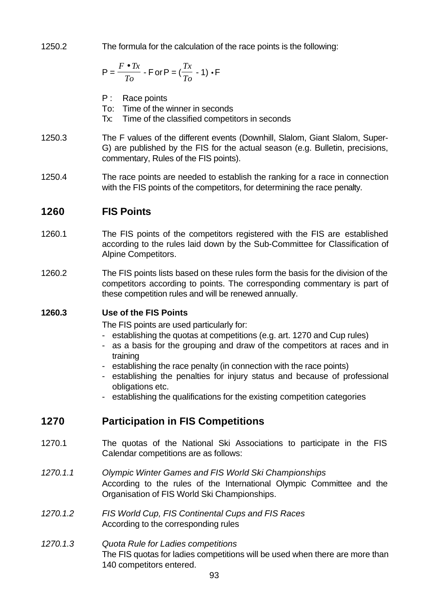1250.2 The formula for the calculation of the race points is the following:

$$
P = \frac{F \bullet Tx}{To} - F \text{ or } P = (\frac{Tx}{To} - 1) \bullet F
$$

- P : Race points
- To: Time of the winner in seconds
- Tx: Time of the classified competitors in seconds
- 1250.3 The F values of the different events (Downhill, Slalom, Giant Slalom, Super-G) are published by the FIS for the actual season (e.g. Bulletin, precisions, commentary, Rules of the FIS points).
- 1250.4 The race points are needed to establish the ranking for a race in connection with the FIS points of the competitors, for determining the race penalty.

## **1260 FIS Points**

- 1260.1 The FIS points of the competitors registered with the FIS are established according to the rules laid down by the Sub-Committee for Classification of Alpine Competitors.
- 1260.2 The FIS points lists based on these rules form the basis for the division of the competitors according to points. The corresponding commentary is part of these competition rules and will be renewed annually.

### **1260.3 Use of the FIS Points**

The FIS points are used particularly for:

- establishing the quotas at competitions (e.g. art. 1270 and Cup rules)
- as a basis for the grouping and draw of the competitors at races and in training
- establishing the race penalty (in connection with the race points)
- establishing the penalties for injury status and because of professional obligations etc.
- establishing the qualifications for the existing competition categories

## **1270 Participation in FIS Competitions**

- 1270.1 The quotas of the National Ski Associations to participate in the FIS Calendar competitions are as follows:
- *1270.1.1 Olympic Winter Games and FIS World Ski Championships* According to the rules of the International Olympic Committee and the Organisation of FIS World Ski Championships.
- *1270.1.2 FIS World Cup, FIS Continental Cups and FIS Races* According to the corresponding rules
- *1270.1.3 Quota Rule for Ladies competitions* The FIS quotas for ladies competitions will be used when there are more than 140 competitors entered.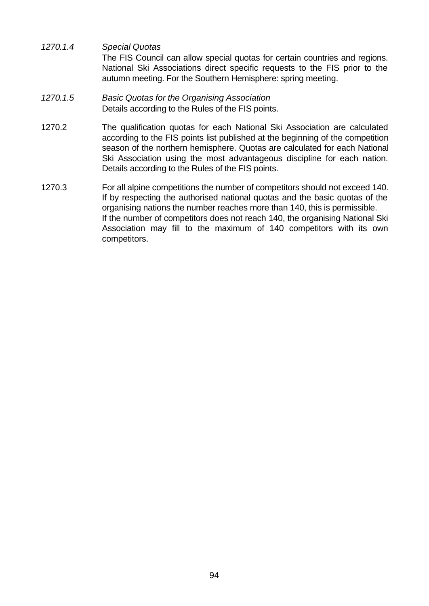- *1270.1.4 Special Quotas* The FIS Council can allow special quotas for certain countries and regions. National Ski Associations direct specific requests to the FIS prior to the autumn meeting. For the Southern Hemisphere: spring meeting.
- *1270.1.5 Basic Quotas for the Organising Association* Details according to the Rules of the FIS points.
- 1270.2 The qualification quotas for each National Ski Association are calculated according to the FIS points list published at the beginning of the competition season of the northern hemisphere. Quotas are calculated for each National Ski Association using the most advantageous discipline for each nation. Details according to the Rules of the FIS points.
- 1270.3 For all alpine competitions the number of competitors should not exceed 140. If by respecting the authorised national quotas and the basic quotas of the organising nations the number reaches more than 140, this is permissible. If the number of competitors does not reach 140, the organising National Ski Association may fill to the maximum of 140 competitors with its own competitors.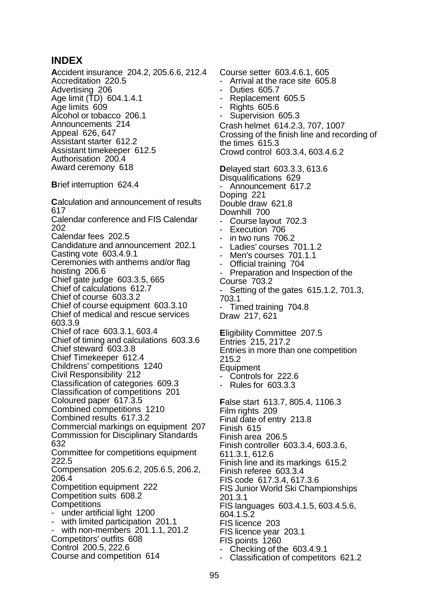## **INDEX**

**A**ccident insurance 204.2, 205.6.6, 212.4 Accreditation 220.5 Advertising 206 Age limit (TD) 604.1.4.1 Age limits 609 Alcohol or tobacco 206.1 Announcements 214 Appeal 626, 647 Assistant starter 612.2 Assistant timekeeper 612.5 Authorisation 200.4 Award ceremony 618 **B**rief interruption 624.4 **C**alculation and announcement of results 617 Calendar conference and FIS Calendar 202 Calendar fees 202.5 Candidature and announcement 202.1 Casting vote 603.4.9.1 Ceremonies with anthems and/or flag hoisting 206.6 Chief gate judge 603.3.5, 665 Chief of calculations 612.7 Chief of course 603.3.2 Chief of course equipment 603.3.10 Chief of medical and rescue services 603.3.9 Chief of race 603.3.1, 603.4 Chief of timing and calculations 603.3.6 Chief steward 603.3.8 Chief Timekeeper 612.4 Childrens' competitions 1240 Civil Responsibility 212 Classification of categories 609.3 Classification of competitions 201 Coloured paper 617.3.5 Combined competitions 1210 Combined results 617.3.2 Commercial markings on equipment 207 Commission for Disciplinary Standards 632 Committee for competitions equipment 222.5 Compensation 205.6.2, 205.6.5, 206.2, 206.4 Competition equipment 222 Competition suits 608.2 **Competitions** under artificial light 1200 with limited participation 201.1 with non-members 201.1.1, 201.2 Competitors' outfits 608 Control 200.5, 222.6 Course and competition 614

Course setter 603.4.6.1, 605 - Arrival at the race site 605.8 - Duties 605.7 - Replacement 605.5 - Rights 605.6 Supervision 605.3 Crash helmet 614.2.3, 707, 1007 Crossing of the finish line and recording of the times 615.3 Crowd control 603.3.4, 603.4.6.2 **D**elayed start 603.3.3, 613.6 Disqualifications 629 - Announcement 617.2 Doping 221 Double draw 621.8 Downhill 700 Course layout 702.3 Execution 706 in two runs 706.2 Ladies' courses 701.1.2 Men's courses 701.1.1 - Official training 704 Preparation and Inspection of the Course 703.2 - Setting of the gates 615.1.2, 701.3, 703.1 - Timed training 704.8 Draw 217, 621 **E**ligibility Committee 207.5 Entries 215, 217.2 Entries in more than one competition 215.2 Equipment - Controls for 222.6 - Rules for 603.3.3 **F**alse start 613.7, 805.4, 1106.3 Film rights 209 Final date of entry 213.8 Finish 615 Finish area 206.5 Finish controller 603.3.4, 603.3.6, 611.3.1, 612.6 Finish line and its markings 615.2 Finish referee 603.3.4 FIS code 617.3.4, 617.3.6 FIS Junior World Ski Championships 201.3.1 FIS languages 603.4.1.5, 603.4.5.6, 604.1.5.2 FIS licence 203 FIS licence year 203.1 FIS points 1260 - Checking of the 603.4.9.1 - Classification of competitors 621.2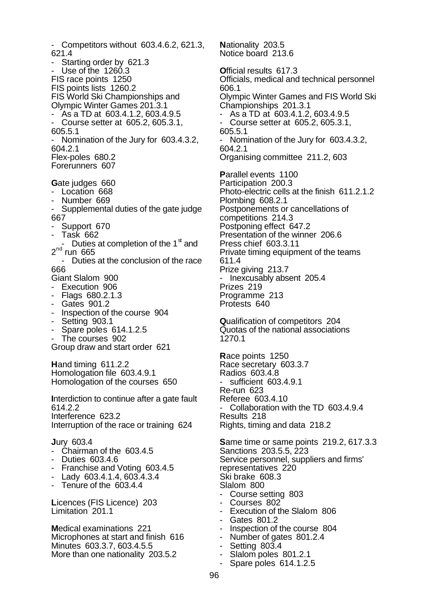- Competitors without 603.4.6.2, 621.3, 621.4 Starting order by 621.3 Use of the 1260.3 FIS race points 1250 FIS points lists 1260.2 FIS World Ski Championships and Olympic Winter Games 201.3.1 - As a TD at 603.4.1.2, 603.4.9.5 - Course setter at 605.2, 605.3.1, 605.5.1 Nomination of the Jury for 603.4.3.2, 604.2.1 Flex-poles 680.2 Forerunners 607 **G**ate judges 660 - Location 668 - Number 669 Supplemental duties of the gate judge 667 Support 670 - Task 662 - Duties at completion of the 1 $\mathrm{^{st}}$  and  $2<sup>nd</sup>$  run 665 - Duties at the conclusion of the race 666 Giant Slalom 900 - Execution 906 - Flags 680.2.1.3 - Gates 901.2 - Inspection of the course 904 - Setting 903.1 - Spare poles 614.1.2.5 - The courses 902 Group draw and start order 621 **H**and timing 611.2.2 Homologation file 603.4.9.1 Homologation of the courses 650 **I**nterdiction to continue after a gate fault 614.2.2 Interference 623.2 Interruption of the race or training 624 **J**ury 603.4 - Chairman of the 603.4.5 - Duties 603.4.6 - Franchise and Voting 603.4.5 - Lady 603.4.1.4, 603.4.3.4 - Tenure of the 603.4.4 **L**icences (FIS Licence) 203 Limitation 201.1 **M**edical examinations 221 Microphones at start and finish 616 Minutes 603.3.7, 603.4.5.5

More than one nationality 203.5.2

**N**ationality 203.5 Notice board 213.6 **O**fficial results 617.3 Officials, medical and technical personnel 606.1 Olympic Winter Games and FIS World Ski Championships 201.3.1 - As a TD at 603.4.1.2, 603.4.9.5 - Course setter at 605.2, 605.3.1, 605.5.1 Nomination of the Jury for 603.4.3.2, 604.2.1 Organising committee 211.2, 603 **P**arallel events 1100 Participation 200.3 Photo-electric cells at the finish 611.2.1.2 Plombing 608.2.1 Postponements or cancellations of competitions 214.3 Postponing effect 647.2 Presentation of the winner 206.6 Press chief 603.3.11 Private timing equipment of the teams 611.4 Prize giving 213.7 Inexcusably absent 205.4 Prizes 219 Programme 213 Protests 640 **Q**ualification of competitors 204 Quotas of the national associations 1270.1 **R**ace points 1250 Race secretary 603.3.7 Radios 603.4.8 sufficient 603.4.9.1 Re-run 623 Referee 603.4.10 Collaboration with the TD 603.4.9.4 Results 218 Rights, timing and data 218.2 **S**ame time or same points 219.2, 617.3.3 Sanctions 203.5.5, 223 Service personnel, suppliers and firms' representatives 220 Ski brake 608.3 Slalom 800 - Course setting 803 - Courses 802 - Execution of the Slalom 806 Gates 801.2 - Inspection of the course 804 Number of gates 801.2.4 - Setting 803.4 - Slalom poles 801.2.1

- Spare poles 614.1.2.5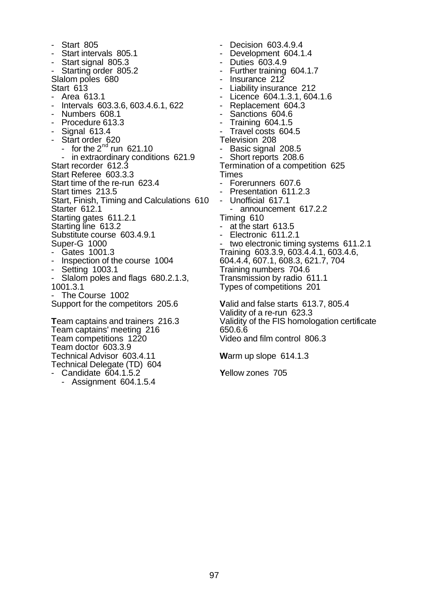- Start 805 - Start intervals 805.1 - Start signal 805.3 - Starting order 805.2 Slalom poles 680 Start 613 - Area 613.1 - Intervals 603.3.6, 603.4.6.1, 622 - Numbers 608.1 - Procedure 613.3 - Signal 613.4 - Start order 620 - for the  $2<sup>nd</sup>$  run 621.10 in extraordinary conditions 621.9 Start recorder 612.3 Start Referee 603.3.3 Start time of the re-run 623.4 Start times 213.5 Start, Finish, Timing and Calculations 610 Starter 612.1 Starting gates 611.2.1 Starting line 613.2 Substitute course 603.4.9.1 Super-G 1000 - Gates 1001.3 - Inspection of the course 1004 - Setting 1003.1 - Slalom poles and flags 680.2.1.3, 1001.3.1 - The Course 1002 Support for the competitors 205.6 **T**eam captains and trainers 216.3 Team captains' meeting 216 Team competitions 1220 Team doctor 603.3.9 Technical Advisor 603.4.11 Technical Delegate (TD) 604

- Candidate 604.1.5.2
	- Assignment 604.1.5.4

- Decision 603.4.9.4 - Development 604.1.4 - Duties 603.4.9 - Further training 604.1.7 - Insurance 212 - Liability insurance 212 - Licence 604.1.3.1, 604.1.6 - Replacement 604.3 - Sanctions 604.6 - Training 604.1.5 - Travel costs 604.5 Television 208 - Basic signal 208.5 Short reports 208.6 Termination of a competition 625 Times - Forerunners 607.6 - Presentation 611.2.3 - Unofficial 617.1 - announcement 617.2.2 Timing 610 - at the start 613.5 - Electronic 611.2.1 - two electronic timing systems 611.2.1 Training 603.3.9, 603.4.4.1, 603.4.6, 604.4.4, 607.1, 608.3, 621.7, 704 Training numbers 704.6 Transmission by radio 611.1 Types of competitions 201 **V**alid and false starts 613.7, 805.4 Validity of a re-run 623.3 Validity of the FIS homologation certificate 650.6.6 Video and film control 806.3 **W**arm up slope 614.1.3

**Y**ellow zones 705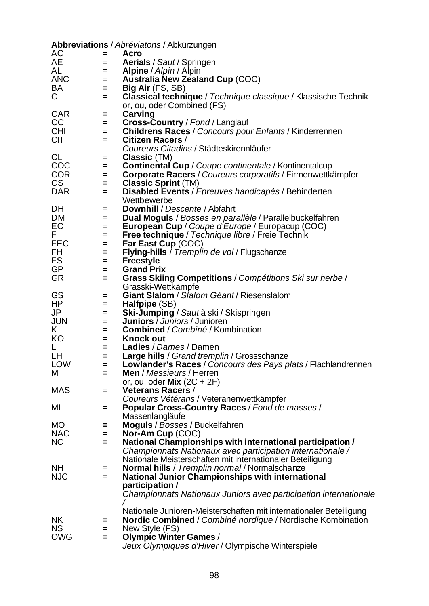|            |          | <b>Abbreviations</b> / Abréviatons / Abkürzungen                                                 |
|------------|----------|--------------------------------------------------------------------------------------------------|
| AC         | $=$      | <b>Acro</b>                                                                                      |
| AE         | $=$      | Aerials / Saut / Springen                                                                        |
| AL         | $=$      | <b>Alpine</b> / <i>Alpin</i> / Alpin                                                             |
| <b>ANC</b> | $=$      | <b>Australia New Zealand Cup (COC)</b>                                                           |
| BA         | $=$      | Big Air (FS, SB)                                                                                 |
| C          | $=$      | <b>Classical technique</b> / Technique classique / Klassische Technik                            |
|            |          | or, ou, oder Combined (FS)                                                                       |
| <b>CAR</b> | =        | Carving                                                                                          |
| CC         | $=$      | Cross-Country / Fond / Langlauf                                                                  |
| <b>CHI</b> | $=$      | <b>Childrens Races / Concours pour Enfants / Kinderrennen</b>                                    |
| <b>CIT</b> | $=$      | <b>Citizen Racers /</b>                                                                          |
|            |          | Coureurs Citadins / Städteskirennläufer                                                          |
| <b>CL</b>  | $=$      | Classic (TM)                                                                                     |
| COC        |          | <b>Continental Cup</b> / Coupe continentale / Kontinentalcup                                     |
| <b>COR</b> | $=$      |                                                                                                  |
| <b>CS</b>  | $=$      | <b>Corporate Racers / Coureurs corporatifs / Firmenwettkämpfer</b><br><b>Classic Sprint (TM)</b> |
|            | =        |                                                                                                  |
| <b>DAR</b> | $=$      | <b>Disabled Events</b> / <i>Epreuves handicapés</i> / Behinderten                                |
|            |          | Wettbewerbe                                                                                      |
| DH         | $=$      | Downhill / Descente / Abfahrt                                                                    |
| DM         | $=$      | Dual Moguls / Bosses en parallèle / Parallelbuckelfahren                                         |
| EC         | =        | European Cup / Coupe d'Europe / Europacup (COC)                                                  |
| F.         | =        | Free technique / Technique libre / Freie Technik                                                 |
| <b>FEC</b> | =        | Far East Cup (COC)                                                                               |
| FH         | =        | Flying-hills / Tremplin de vol / Flugschanze                                                     |
| FS         | =        | <b>Freestyle</b>                                                                                 |
| GP         | =        | <b>Grand Prix</b>                                                                                |
| <b>GR</b>  | $=$      | Grass Skiing Competitions / Compétitions Ski sur herbe /                                         |
|            |          | Grasski-Wettkämpfe                                                                               |
| <b>GS</b>  | $=$      | Giant Slalom / Slalom Géant / Riesenslalom                                                       |
| HP         | =        | Halfpipe (SB)                                                                                    |
| JP         | =        | <b>Ski-Jumping</b> / Saut à ski / Skispringen                                                    |
| <b>JUN</b> | $=$      | Juniors / Juniors / Junioren                                                                     |
| K.         | $=$      | <b>Combined</b> / Combiné / Kombination                                                          |
| KO         | $=$      | <b>Knock out</b>                                                                                 |
| L.         | =        | <b>Ladies</b> / Dames / Damen                                                                    |
| LН         | $=$      | <b>Large hills / Grand tremplin / Grossschanze</b>                                               |
| <b>LOW</b> |          | Lowlander's Races / Concours des Pays plats / Flachlandrennen                                    |
| M          | $=$      | <b>Men</b> / <i>Messieurs</i> / Herren                                                           |
|            |          | or, ou, oder Mix $(2C + 2F)$                                                                     |
| <b>MAS</b> | $=$      | <b>Veterans Racers /</b>                                                                         |
|            |          | Coureurs Vétérans / Veteranenwettkämpfer                                                         |
| ML         | $=$      | Popular Cross-Country Races / Fond de masses /                                                   |
|            |          | Massenlangläufe                                                                                  |
| <b>MO</b>  | =        | <b>Moguls</b> / Bosses / Buckelfahren                                                            |
| <b>NAC</b> | =        | Nor-Am Cup (COC)                                                                                 |
| <b>NC</b>  | $=$      | National Championships with international participation /                                        |
|            |          | Championnats Nationaux avec participation internationale /                                       |
|            |          | Nationale Meisterschaften mit internationaler Beteiligung                                        |
| <b>NH</b>  |          | <b>Normal hills / Tremplin normal / Normalschanze</b>                                            |
| <b>NJC</b> | =<br>$=$ | National Junior Championships with international                                                 |
|            |          | participation /                                                                                  |
|            |          | Championnats Nationaux Juniors avec participation internationale                                 |
|            |          |                                                                                                  |
|            |          | Nationale Junioren-Meisterschaften mit internationaler Beteiligung                               |
| <b>NK</b>  |          | Nordic Combined / Combiné nordique / Nordische Kombination                                       |
| <b>NS</b>  | =        |                                                                                                  |
| <b>OWG</b> | =        | New Style (FS)<br><b>Olympic Winter Games /</b>                                                  |
|            | $=$      | Jeux Olympiques d'Hiver / Olympische Winterspiele                                                |
|            |          |                                                                                                  |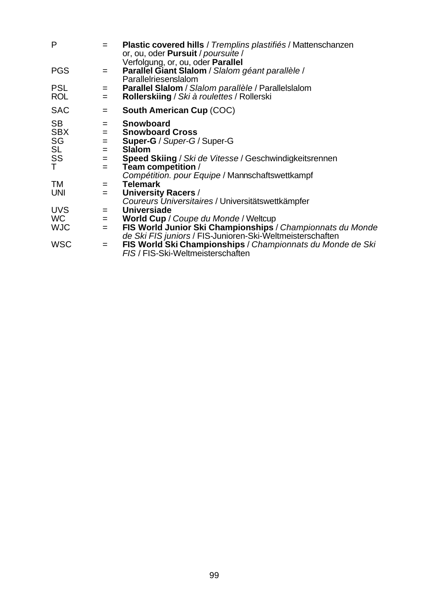| P          | $=$     | Plastic covered hills / Tremplins plastifiés / Mattenschanzen<br>or, ou, oder <b>Pursuit</b> / poursuite /<br>Verfolgung, or, ou, oder Parallel |
|------------|---------|-------------------------------------------------------------------------------------------------------------------------------------------------|
| <b>PGS</b> | $=$ $-$ | Parallel Giant Slalom / Slalom géant parallèle /<br>Parallelriesenslalom                                                                        |
| <b>PSL</b> | $=$     | Parallel Slalom / Slalom parallèle / Parallelslalom                                                                                             |
| <b>ROL</b> | $=$     | Rollerskiing / Ski à roulettes / Rollerski                                                                                                      |
| <b>SAC</b> | $=$     | <b>South American Cup (COC)</b>                                                                                                                 |
| SВ         | $=$     | <b>Snowboard</b>                                                                                                                                |
| <b>SBX</b> | $=$     | <b>Snowboard Cross</b>                                                                                                                          |
| SG         | $=$     | <b>Super-G / Super-G / Super-G</b>                                                                                                              |
|            | $=$     | <b>Slalom</b>                                                                                                                                   |
| SL<br>SS   | $=$     | Speed Skiing / Ski de Vitesse / Geschwindigkeitsrennen                                                                                          |
| T.         | $=$     | Team competition /                                                                                                                              |
|            |         | Compétition. pour Equipe / Mannschaftswettkampf                                                                                                 |
| TM         | $=$     | <b>Telemark</b>                                                                                                                                 |
| UNI        | $=$     | <b>University Racers /</b>                                                                                                                      |
|            |         | Coureurs Universitaires / Universitätswettkämpfer                                                                                               |
| <b>UVS</b> | $=$     | <b>Universiade</b>                                                                                                                              |
| WC.        | $=$     | <b>World Cup</b> / Coupe du Monde / Weltcup                                                                                                     |
| <b>WJC</b> | $=$     | FIS World Junior Ski Championships / Championnats du Monde                                                                                      |
|            |         | de Ski FIS juniors / FIS-Junioren-Ski-Weltmeisterschaften                                                                                       |
| WSC        | $=$     | FIS World Ski Championships / Championnats du Monde de Ski<br>FIS / FIS-Ski-Weltmeisterschaften                                                 |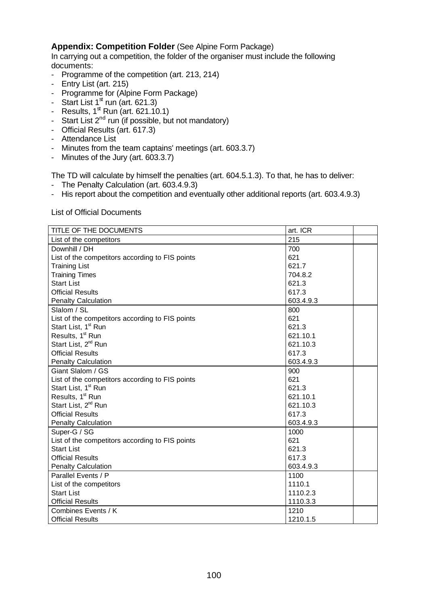### **Appendix: Competition Folder** (See Alpine Form Package)

In carrying out a competition, the folder of the organiser must include the following documents:

- Programme of the competition (art. 213, 214)
- Entry List (art. 215)
- Programme for (Alpine Form Package)
- Start List  $1<sup>st</sup>$  run (art. 621.3)
- Results, 1 $\mathrm{st}$  Run (art. 621.10.1)
- Start List  $2<sup>nd</sup>$  run (if possible, but not mandatory)
- Official Results (art. 617.3)
- Attendance List
- Minutes from the team captains' meetings (art. 603.3.7)
- Minutes of the Jury (art. 603.3.7)

The TD will calculate by himself the penalties (art. 604.5.1.3). To that, he has to deliver:

- The Penalty Calculation (art. 603.4.9.3)
- His report about the competition and eventually other additional reports (art. 603.4.9.3)

List of Official Documents

| TITLE OF THE DOCUMENTS                          | art. ICR  |
|-------------------------------------------------|-----------|
| List of the competitors                         | 215       |
| Downhill / DH                                   | 700       |
| List of the competitors according to FIS points | 621       |
| <b>Training List</b>                            | 621.7     |
| <b>Training Times</b>                           | 704.8.2   |
| <b>Start List</b>                               | 621.3     |
| <b>Official Results</b>                         | 617.3     |
| <b>Penalty Calculation</b>                      | 603.4.9.3 |
| Slalom / SL                                     | 800       |
| List of the competitors according to FIS points | 621       |
| Start List, 1 <sup>st</sup> Run                 | 621.3     |
| Results, 1 <sup>st</sup> Run                    | 621.10.1  |
| Start List, 2 <sup>nd</sup> Run                 | 621.10.3  |
| <b>Official Results</b>                         | 617.3     |
| <b>Penalty Calculation</b>                      | 603.4.9.3 |
| Giant Slalom / GS                               | 900       |
| List of the competitors according to FIS points | 621       |
| Start List, 1 <sup>st</sup> Run                 | 621.3     |
| Results, 1 <sup>st</sup> Run                    | 621.10.1  |
| Start List, 2 <sup>nd</sup> Run                 | 621.10.3  |
| <b>Official Results</b>                         | 617.3     |
| <b>Penalty Calculation</b>                      | 603.4.9.3 |
| Super-G / SG                                    | 1000      |
| List of the competitors according to FIS points | 621       |
| <b>Start List</b>                               | 621.3     |
| <b>Official Results</b>                         | 617.3     |
| <b>Penalty Calculation</b>                      | 603.4.9.3 |
| Parallel Events / P                             | 1100      |
| List of the competitors                         | 1110.1    |
| <b>Start List</b>                               | 1110.2.3  |
| <b>Official Results</b>                         | 1110.3.3  |
| Combines Events / K                             | 1210      |
| <b>Official Results</b>                         | 1210.1.5  |